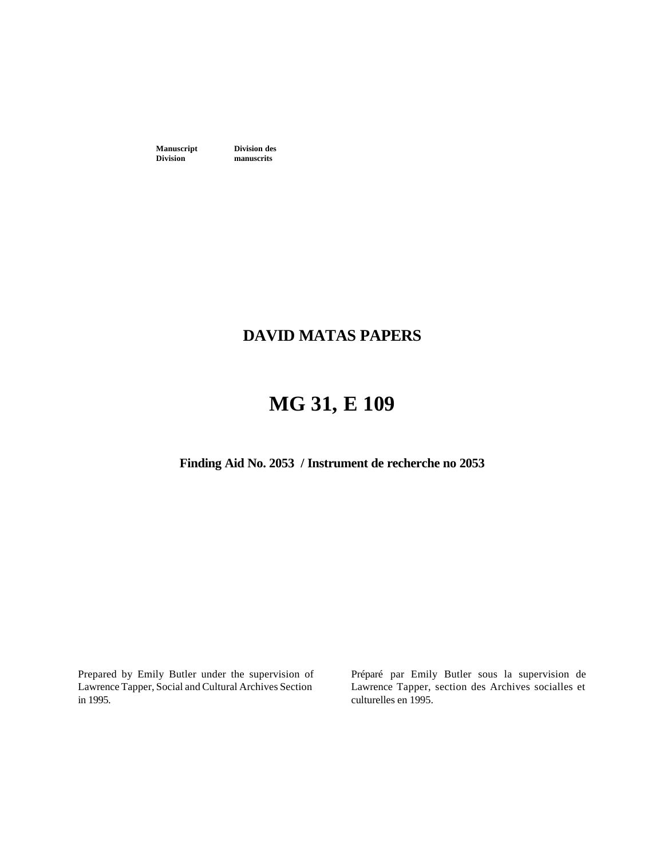**Manuscript Division des**<br>**Division manuscrits** 

**manuscrits** 

### **DAVID MATAS PAPERS**

### **MG 31, E 109**

**Finding Aid No. 2053 / Instrument de recherche no 2053**

Prepared by Emily Butler under the supervision of Lawrence Tapper, Social and Cultural Archives Section in 1995.

Préparé par Emily Butler sous la supervision de Lawrence Tapper, section des Archives socialles et culturelles en 1995.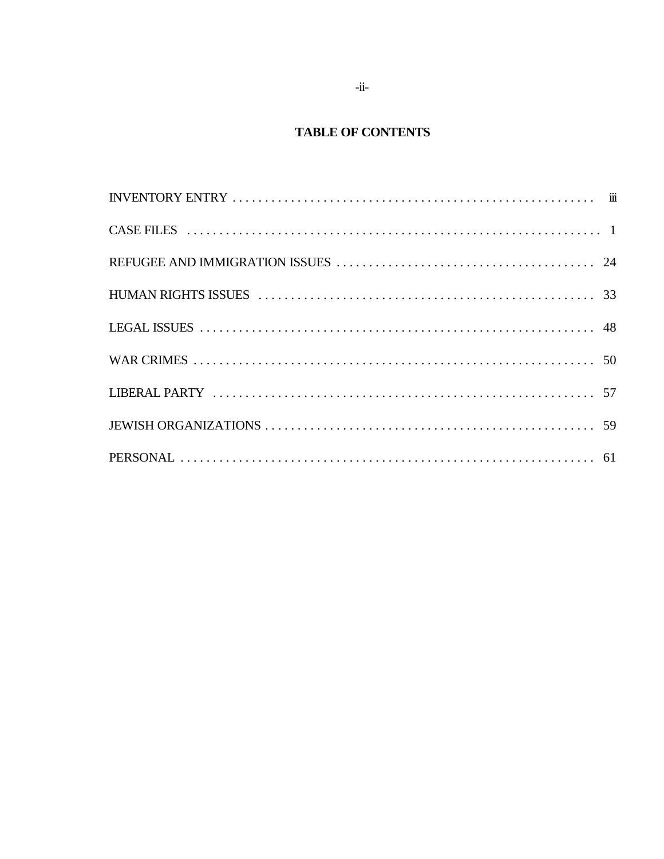### **TABLE OF CONTENTS**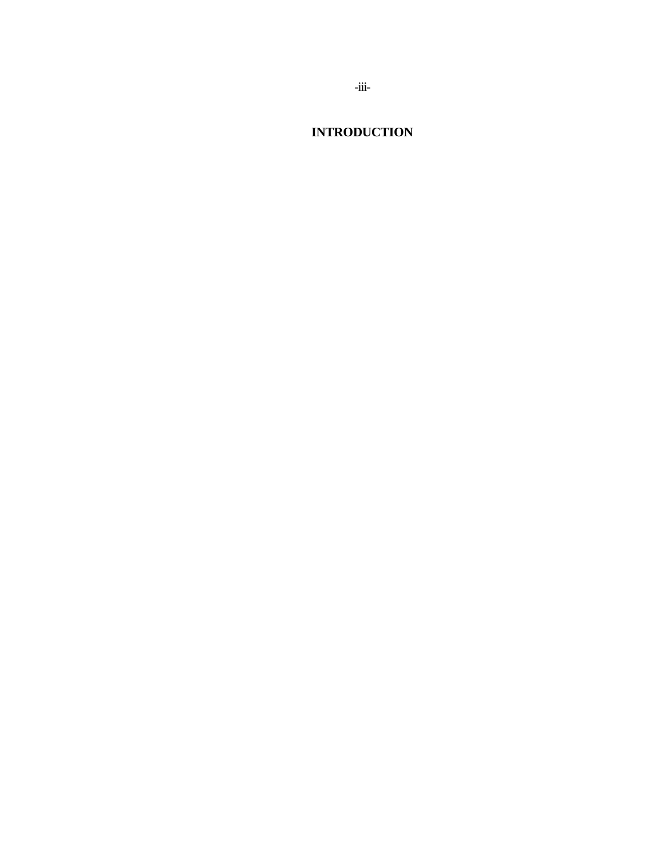**INTRODUCTION**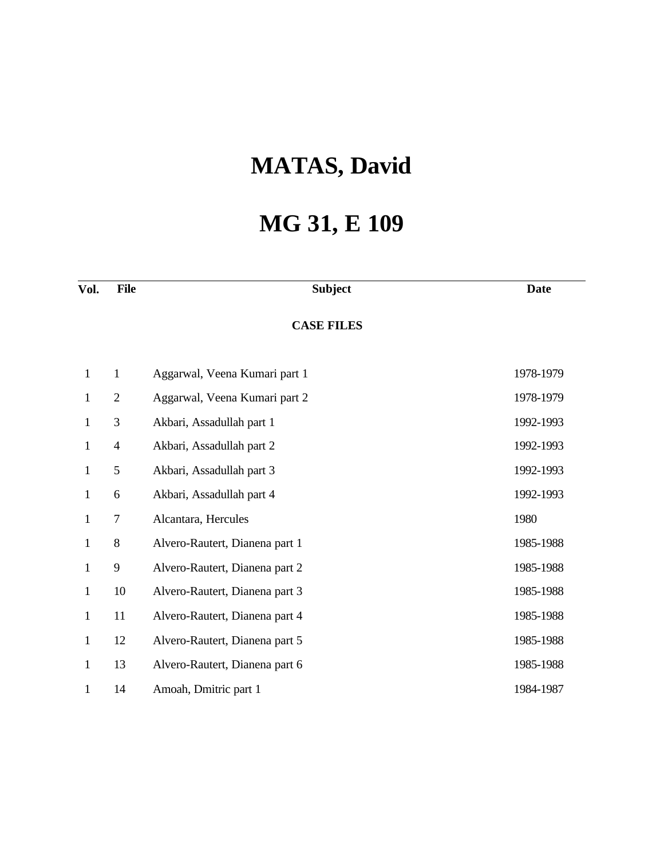## **MATAS, David**

# **MG 31, E 109**

| Vol.         | <b>File</b>    | <b>Subject</b>                 | <b>Date</b> |
|--------------|----------------|--------------------------------|-------------|
|              |                | <b>CASE FILES</b>              |             |
| $\mathbf{1}$ | $\mathbf{1}$   | Aggarwal, Veena Kumari part 1  | 1978-1979   |
| $\mathbf{1}$ | $\overline{2}$ | Aggarwal, Veena Kumari part 2  | 1978-1979   |
| $\mathbf{1}$ | 3              | Akbari, Assadullah part 1      | 1992-1993   |
| $\mathbf{1}$ | $\overline{4}$ | Akbari, Assadullah part 2      | 1992-1993   |
| $\mathbf{1}$ | 5              | Akbari, Assadullah part 3      | 1992-1993   |
| $\mathbf{1}$ | 6              | Akbari, Assadullah part 4      | 1992-1993   |
| 1            | 7              | Alcantara, Hercules            | 1980        |
| 1            | 8              | Alvero-Rautert, Dianena part 1 | 1985-1988   |
| 1            | 9              | Alvero-Rautert, Dianena part 2 | 1985-1988   |
| $\mathbf{1}$ | 10             | Alvero-Rautert, Dianena part 3 | 1985-1988   |
| $\mathbf{1}$ | 11             | Alvero-Rautert, Dianena part 4 | 1985-1988   |
| $\mathbf{1}$ | 12             | Alvero-Rautert, Dianena part 5 | 1985-1988   |
| 1            | 13             | Alvero-Rautert, Dianena part 6 | 1985-1988   |
| 1            | 14             | Amoah, Dmitric part 1          | 1984-1987   |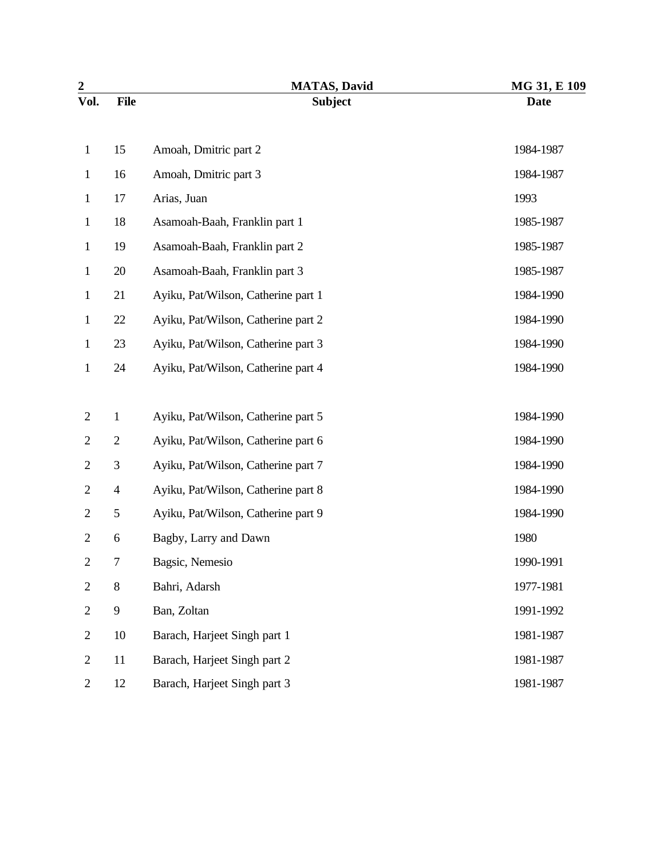| $\overline{2}$ |                | <b>MATAS, David</b>                 | MG 31, E 109 |
|----------------|----------------|-------------------------------------|--------------|
| Vol.           | <b>File</b>    | <b>Subject</b>                      | <b>Date</b>  |
| $\mathbf{1}$   | 15             | Amoah, Dmitric part 2               | 1984-1987    |
| $\mathbf{1}$   | 16             | Amoah, Dmitric part 3               | 1984-1987    |
| $\mathbf{1}$   | 17             | Arias, Juan                         | 1993         |
| $\mathbf{1}$   | 18             | Asamoah-Baah, Franklin part 1       | 1985-1987    |
| $\mathbf{1}$   | 19             | Asamoah-Baah, Franklin part 2       | 1985-1987    |
| $\mathbf{1}$   | 20             | Asamoah-Baah, Franklin part 3       | 1985-1987    |
| $\mathbf{1}$   | 21             | Ayiku, Pat/Wilson, Catherine part 1 | 1984-1990    |
| $\mathbf{1}$   | 22             | Ayiku, Pat/Wilson, Catherine part 2 | 1984-1990    |
| $\mathbf{1}$   | 23             | Ayiku, Pat/Wilson, Catherine part 3 | 1984-1990    |
| $\mathbf{1}$   | 24             | Ayiku, Pat/Wilson, Catherine part 4 | 1984-1990    |
|                |                |                                     |              |
| $\overline{2}$ | $\mathbf{1}$   | Ayiku, Pat/Wilson, Catherine part 5 | 1984-1990    |
| $\overline{2}$ | $\overline{2}$ | Ayiku, Pat/Wilson, Catherine part 6 | 1984-1990    |
| $\overline{2}$ | $\mathfrak{Z}$ | Ayiku, Pat/Wilson, Catherine part 7 | 1984-1990    |
| $\overline{2}$ | $\overline{4}$ | Ayiku, Pat/Wilson, Catherine part 8 | 1984-1990    |
| $\overline{2}$ | $\mathfrak{S}$ | Ayiku, Pat/Wilson, Catherine part 9 | 1984-1990    |
| $\overline{2}$ | 6              | Bagby, Larry and Dawn               | 1980         |
| 2              | 7              | Bagsic, Nemesio                     | 1990-1991    |
| $\overline{2}$ | $8\,$          | Bahri, Adarsh                       | 1977-1981    |
| $\overline{2}$ | $\overline{9}$ | Ban, Zoltan                         | 1991-1992    |
| $\overline{2}$ | 10             | Barach, Harjeet Singh part 1        | 1981-1987    |
| $\overline{2}$ | 11             | Barach, Harjeet Singh part 2        | 1981-1987    |
| $\overline{2}$ | 12             | Barach, Harjeet Singh part 3        | 1981-1987    |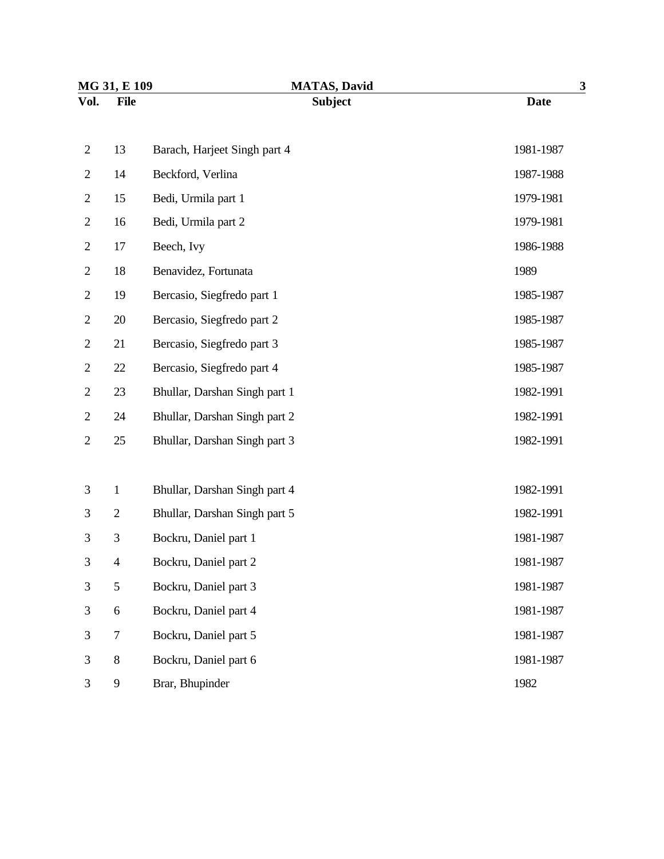| MG 31, E 109   |                  | <b>MATAS, David</b>           | 3           |  |
|----------------|------------------|-------------------------------|-------------|--|
| Vol.           | <b>File</b>      | <b>Subject</b>                | <b>Date</b> |  |
| $\overline{2}$ | 13               | Barach, Harjeet Singh part 4  | 1981-1987   |  |
| $\overline{2}$ | 14               | Beckford, Verlina             | 1987-1988   |  |
| $\mathbf{2}$   | 15               | Bedi, Urmila part 1           | 1979-1981   |  |
| $\overline{2}$ | 16               | Bedi, Urmila part 2           | 1979-1981   |  |
| $\overline{2}$ | 17               | Beech, Ivy                    | 1986-1988   |  |
| $\overline{2}$ | 18               | Benavidez, Fortunata          | 1989        |  |
| $\overline{2}$ | 19               | Bercasio, Siegfredo part 1    | 1985-1987   |  |
| $\overline{2}$ | 20               | Bercasio, Siegfredo part 2    | 1985-1987   |  |
| $\overline{2}$ | 21               | Bercasio, Siegfredo part 3    | 1985-1987   |  |
| $\mathbf{2}$   | 22               | Bercasio, Siegfredo part 4    | 1985-1987   |  |
| $\overline{2}$ | 23               | Bhullar, Darshan Singh part 1 | 1982-1991   |  |
| $\overline{c}$ | 24               | Bhullar, Darshan Singh part 2 | 1982-1991   |  |
| $\mathbf{2}$   | 25               | Bhullar, Darshan Singh part 3 | 1982-1991   |  |
|                |                  |                               |             |  |
| 3              | $\mathbf{1}$     | Bhullar, Darshan Singh part 4 | 1982-1991   |  |
| 3              | $\overline{2}$   | Bhullar, Darshan Singh part 5 | 1982-1991   |  |
| $\mathfrak{Z}$ | $\mathfrak{Z}$   | Bockru, Daniel part 1         | 1981-1987   |  |
| 3              | $\overline{4}$   | Bockru, Daniel part 2         | 1981-1987   |  |
| 3              | 5                | Bockru, Daniel part 3         | 1981-1987   |  |
| 3              | $\boldsymbol{6}$ | Bockru, Daniel part 4         | 1981-1987   |  |
| $\mathfrak{Z}$ | $\tau$           | Bockru, Daniel part 5         | 1981-1987   |  |
| $\mathfrak{Z}$ | $\,8\,$          | Bockru, Daniel part 6         | 1981-1987   |  |
| 3              | 9                | Brar, Bhupinder               | 1982        |  |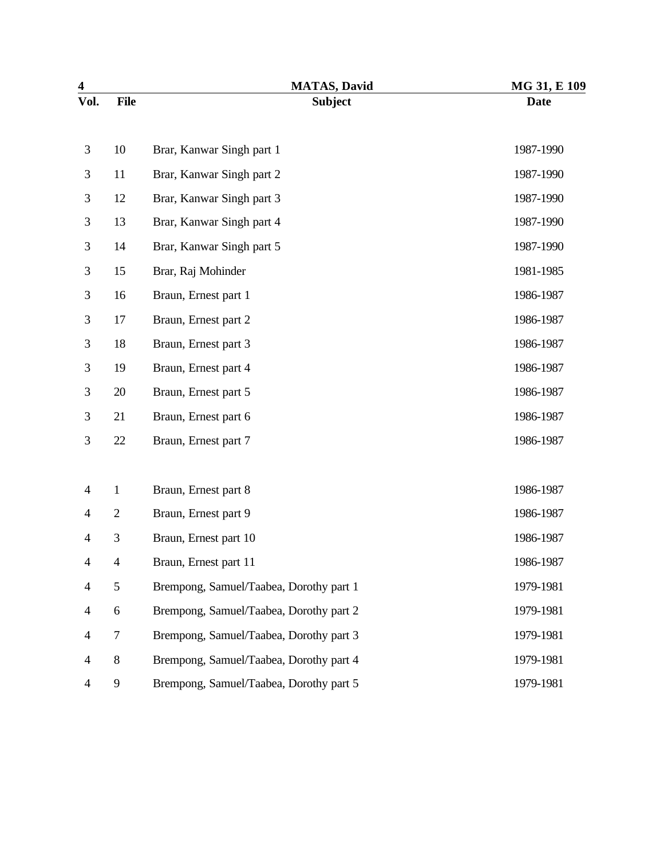| $\overline{\mathbf{4}}$ |                | <b>MATAS, David</b>                     | MG 31, E 109 |
|-------------------------|----------------|-----------------------------------------|--------------|
| Vol.                    | <b>File</b>    | <b>Subject</b>                          | <b>Date</b>  |
|                         |                |                                         |              |
| 3                       | 10             | Brar, Kanwar Singh part 1               | 1987-1990    |
| 3                       | 11             | Brar, Kanwar Singh part 2               | 1987-1990    |
| 3                       | 12             | Brar, Kanwar Singh part 3               | 1987-1990    |
| 3                       | 13             | Brar, Kanwar Singh part 4               | 1987-1990    |
| 3                       | 14             | Brar, Kanwar Singh part 5               | 1987-1990    |
| 3                       | 15             | Brar, Raj Mohinder                      | 1981-1985    |
| 3                       | 16             | Braun, Ernest part 1                    | 1986-1987    |
| 3                       | 17             | Braun, Ernest part 2                    | 1986-1987    |
| 3                       | 18             | Braun, Ernest part 3                    | 1986-1987    |
| 3                       | 19             | Braun, Ernest part 4                    | 1986-1987    |
| 3                       | 20             | Braun, Ernest part 5                    | 1986-1987    |
| 3                       | 21             | Braun, Ernest part 6                    | 1986-1987    |
| 3                       | 22             | Braun, Ernest part 7                    | 1986-1987    |
|                         |                |                                         |              |
| $\overline{4}$          | $\mathbf{1}$   | Braun, Ernest part 8                    | 1986-1987    |
| 4                       | $\overline{2}$ | Braun, Ernest part 9                    | 1986-1987    |
| 4                       | 3              | Braun, Ernest part 10                   | 1986-1987    |
| 4                       | 4              | Braun, Ernest part 11                   | 1986-1987    |
| 4                       | $\sqrt{5}$     | Brempong, Samuel/Taabea, Dorothy part 1 | 1979-1981    |
| 4                       | 6              | Brempong, Samuel/Taabea, Dorothy part 2 | 1979-1981    |
| 4                       | $\tau$         | Brempong, Samuel/Taabea, Dorothy part 3 | 1979-1981    |
| 4                       | $\,8\,$        | Brempong, Samuel/Taabea, Dorothy part 4 | 1979-1981    |
| 4                       | 9              | Brempong, Samuel/Taabea, Dorothy part 5 | 1979-1981    |
|                         |                |                                         |              |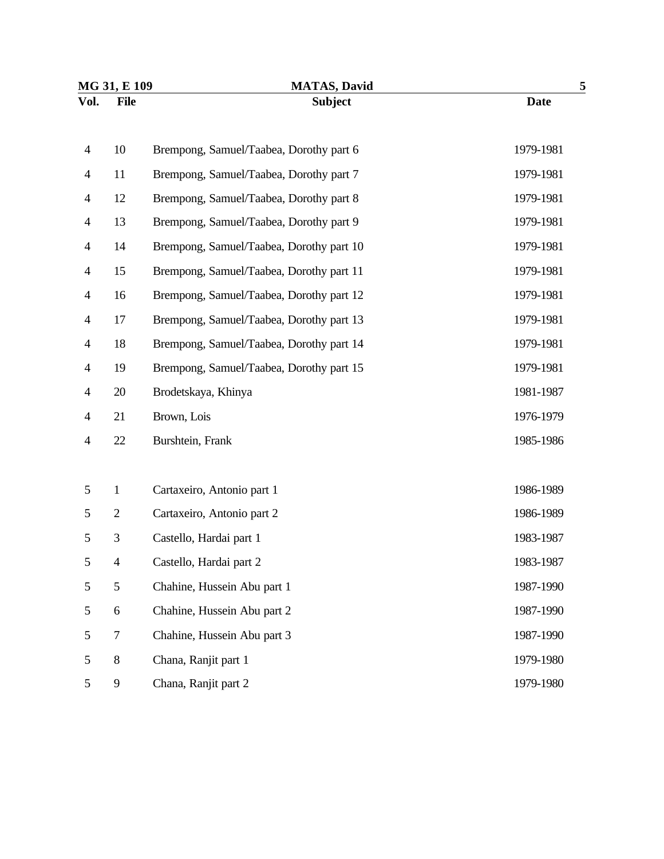| MG 31, E 109   |                  | <b>MATAS, David</b>                      | 5           |  |
|----------------|------------------|------------------------------------------|-------------|--|
| Vol.           | <b>File</b>      | <b>Subject</b>                           | <b>Date</b> |  |
| $\overline{4}$ | 10               | Brempong, Samuel/Taabea, Dorothy part 6  | 1979-1981   |  |
| $\overline{4}$ | 11               | Brempong, Samuel/Taabea, Dorothy part 7  | 1979-1981   |  |
| $\overline{4}$ | 12               | Brempong, Samuel/Taabea, Dorothy part 8  | 1979-1981   |  |
| 4              | 13               | Brempong, Samuel/Taabea, Dorothy part 9  | 1979-1981   |  |
| 4              | 14               | Brempong, Samuel/Taabea, Dorothy part 10 | 1979-1981   |  |
| $\overline{4}$ | 15               | Brempong, Samuel/Taabea, Dorothy part 11 | 1979-1981   |  |
| $\overline{4}$ | 16               | Brempong, Samuel/Taabea, Dorothy part 12 | 1979-1981   |  |
| $\overline{4}$ | 17               | Brempong, Samuel/Taabea, Dorothy part 13 | 1979-1981   |  |
| 4              | 18               | Brempong, Samuel/Taabea, Dorothy part 14 | 1979-1981   |  |
| $\overline{4}$ | 19               | Brempong, Samuel/Taabea, Dorothy part 15 | 1979-1981   |  |
| 4              | 20               | Brodetskaya, Khinya                      | 1981-1987   |  |
| 4              | 21               | Brown, Lois                              | 1976-1979   |  |
| 4              | 22               | Burshtein, Frank                         | 1985-1986   |  |
|                |                  |                                          |             |  |
| 5              | $\mathbf{1}$     | Cartaxeiro, Antonio part 1               | 1986-1989   |  |
| 5              | $\mathbf{2}$     | Cartaxeiro, Antonio part 2               | 1986-1989   |  |
| 5              | 3                | Castello, Hardai part 1                  | 1983-1987   |  |
| 5              | $\overline{4}$   | Castello, Hardai part 2                  | 1983-1987   |  |
| 5              | 5                | Chahine, Hussein Abu part 1              | 1987-1990   |  |
| 5              | 6                | Chahine, Hussein Abu part 2              | 1987-1990   |  |
| 5              | $\boldsymbol{7}$ | Chahine, Hussein Abu part 3              | 1987-1990   |  |
| 5              | $8\,$            | Chana, Ranjit part 1                     | 1979-1980   |  |
| 5              | 9                | Chana, Ranjit part 2                     | 1979-1980   |  |
|                |                  |                                          |             |  |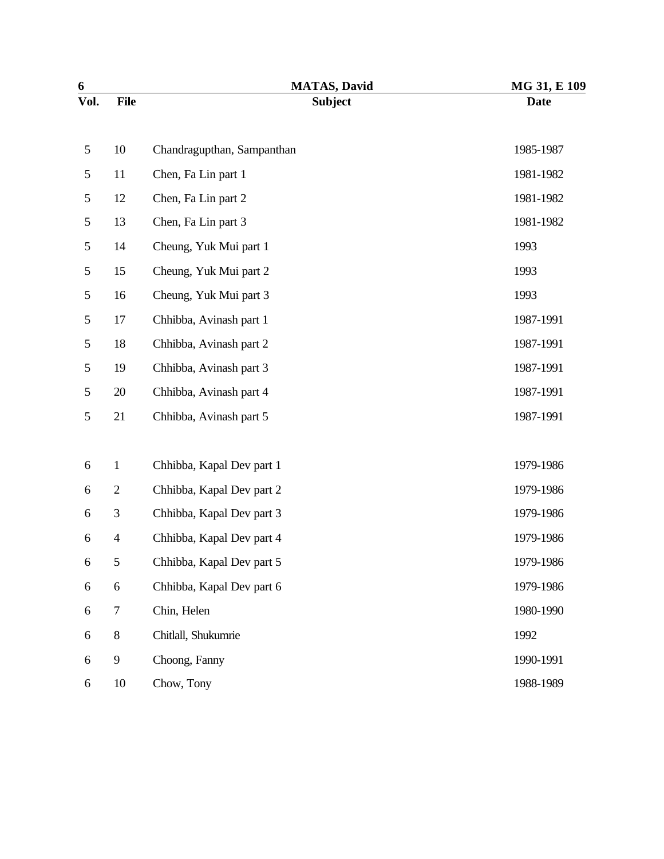|                | <b>MATAS, David</b>        | MG 31, E 109 |
|----------------|----------------------------|--------------|
| <b>File</b>    | <b>Subject</b>             | <b>Date</b>  |
| 10             | Chandragupthan, Sampanthan | 1985-1987    |
| 11             | Chen, Fa Lin part 1        | 1981-1982    |
| 12             | Chen, Fa Lin part 2        | 1981-1982    |
| 13             | Chen, Fa Lin part 3        | 1981-1982    |
| 14             | Cheung, Yuk Mui part 1     | 1993         |
| 15             | Cheung, Yuk Mui part 2     | 1993         |
| 16             | Cheung, Yuk Mui part 3     | 1993         |
| 17             | Chhibba, Avinash part 1    | 1987-1991    |
| 18             | Chhibba, Avinash part 2    | 1987-1991    |
| 19             | Chhibba, Avinash part 3    | 1987-1991    |
| 20             | Chhibba, Avinash part 4    | 1987-1991    |
| 21             | Chhibba, Avinash part 5    | 1987-1991    |
| $\mathbf{1}$   | Chhibba, Kapal Dev part 1  | 1979-1986    |
| $\overline{2}$ | Chhibba, Kapal Dev part 2  | 1979-1986    |
| $\mathfrak{Z}$ | Chhibba, Kapal Dev part 3  | 1979-1986    |
| $\overline{4}$ | Chhibba, Kapal Dev part 4  | 1979-1986    |
| 5              | Chhibba, Kapal Dev part 5  | 1979-1986    |
| 6              | Chhibba, Kapal Dev part 6  | 1979-1986    |
| $\tau$         | Chin, Helen                | 1980-1990    |
| $8\,$          | Chitlall, Shukumrie        | 1992         |
| 9              | Choong, Fanny              | 1990-1991    |
| 10             | Chow, Tony                 | 1988-1989    |
|                |                            |              |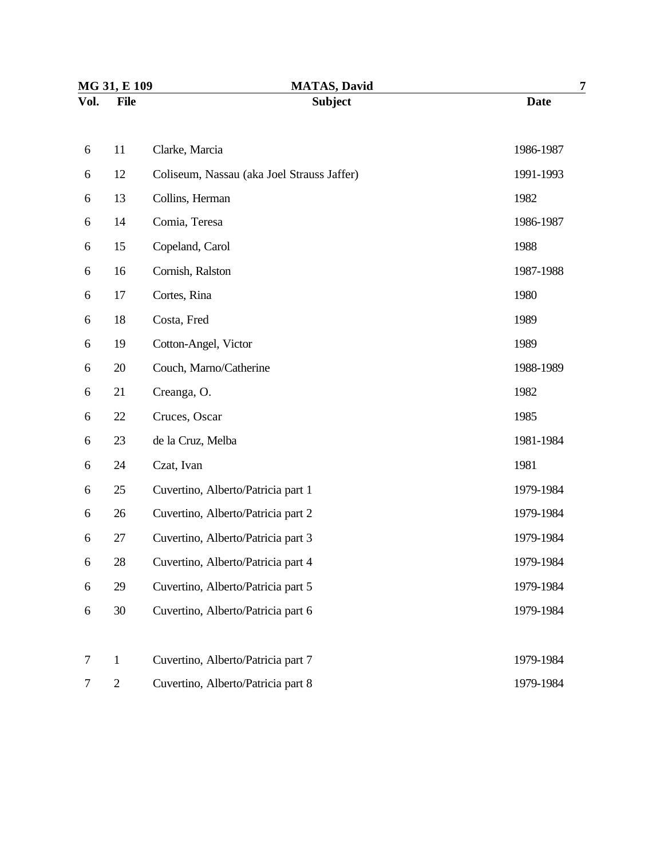| MG 31, E 109 |                | <b>MATAS, David</b>                        | 7           |  |
|--------------|----------------|--------------------------------------------|-------------|--|
| Vol.         | <b>File</b>    | <b>Subject</b>                             | <b>Date</b> |  |
| 6            | 11             | Clarke, Marcia                             | 1986-1987   |  |
| 6            | 12             | Coliseum, Nassau (aka Joel Strauss Jaffer) | 1991-1993   |  |
| 6            | 13             | Collins, Herman                            | 1982        |  |
| 6            | 14             | Comia, Teresa                              | 1986-1987   |  |
| 6            | 15             | Copeland, Carol                            | 1988        |  |
| 6            | 16             | Cornish, Ralston                           | 1987-1988   |  |
| 6            | 17             | Cortes, Rina                               | 1980        |  |
| 6            | 18             | Costa, Fred                                | 1989        |  |
| 6            | 19             | Cotton-Angel, Victor                       | 1989        |  |
| 6            | 20             | Couch, Marno/Catherine                     | 1988-1989   |  |
| 6            | 21             | Creanga, O.                                | 1982        |  |
| 6            | 22             | Cruces, Oscar                              | 1985        |  |
| 6            | 23             | de la Cruz, Melba                          | 1981-1984   |  |
| 6            | 24             | Czat, Ivan                                 | 1981        |  |
| 6            | 25             | Cuvertino, Alberto/Patricia part 1         | 1979-1984   |  |
| 6            | 26             | Cuvertino, Alberto/Patricia part 2         | 1979-1984   |  |
| 6            | 27             | Cuvertino, Alberto/Patricia part 3         | 1979-1984   |  |
| 6            | 28             | Cuvertino, Alberto/Patricia part 4         | 1979-1984   |  |
| 6            | 29             | Cuvertino, Alberto/Patricia part 5         | 1979-1984   |  |
| 6            | 30             | Cuvertino, Alberto/Patricia part 6         | 1979-1984   |  |
|              |                |                                            |             |  |
| 7            | $\mathbf{1}$   | Cuvertino, Alberto/Patricia part 7         | 1979-1984   |  |
| 7            | $\overline{2}$ | Cuvertino, Alberto/Patricia part 8         | 1979-1984   |  |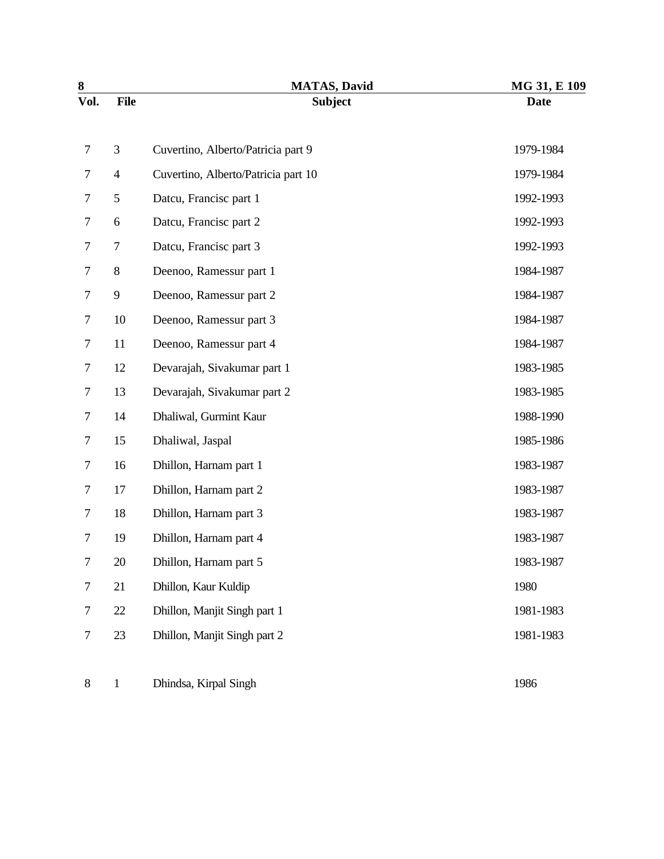| $\bf 8$ |                | <b>MATAS, David</b>                 | MG 31, E 109 |
|---------|----------------|-------------------------------------|--------------|
| Vol.    | <b>File</b>    | <b>Subject</b>                      | <b>Date</b>  |
| 7       | 3              | Cuvertino, Alberto/Patricia part 9  | 1979-1984    |
| 7       | $\overline{4}$ | Cuvertino, Alberto/Patricia part 10 | 1979-1984    |
| 7       | 5              | Datcu, Francisc part 1              | 1992-1993    |
| 7       | 6              | Datcu, Francisc part 2              | 1992-1993    |
| 7       | 7              | Datcu, Francisc part 3              | 1992-1993    |
| 7       | 8              | Deenoo, Ramessur part 1             | 1984-1987    |
| 7       | 9              | Deenoo, Ramessur part 2             | 1984-1987    |
| 7       | 10             | Deenoo, Ramessur part 3             | 1984-1987    |
| 7       | 11             | Deenoo, Ramessur part 4             | 1984-1987    |
| 7       | 12             | Devarajah, Sivakumar part 1         | 1983-1985    |
| 7       | 13             | Devarajah, Sivakumar part 2         | 1983-1985    |
| 7       | 14             | Dhaliwal, Gurmint Kaur              | 1988-1990    |
| 7       | 15             | Dhaliwal, Jaspal                    | 1985-1986    |
| 7       | 16             | Dhillon, Harnam part 1              | 1983-1987    |
| 7       | 17             | Dhillon, Harnam part 2              | 1983-1987    |
| 7       | 18             | Dhillon, Harnam part 3              | 1983-1987    |
| $\tau$  | 19             | Dhillon, Harnam part 4              | 1983-1987    |
| 7       | 20             | Dhillon, Harnam part 5              | 1983-1987    |
| $\tau$  | 21             | Dhillon, Kaur Kuldip                | 1980         |
| $\tau$  | $22\,$         | Dhillon, Manjit Singh part 1        | 1981-1983    |
| $\tau$  | 23             | Dhillon, Manjit Singh part 2        | 1981-1983    |
| $8\,$   | $\mathbf{1}$   | Dhindsa, Kirpal Singh               | 1986         |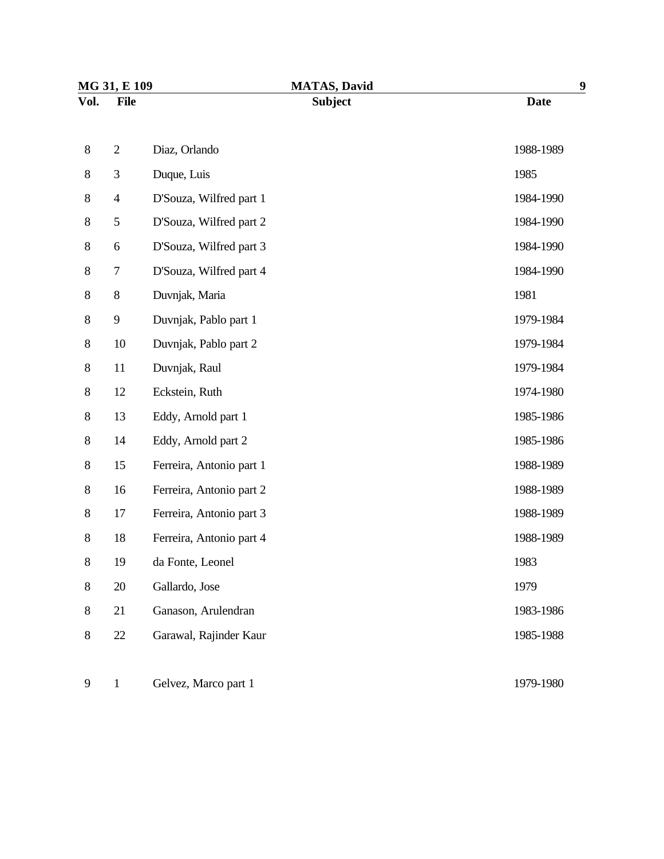| MG 31, E 109 |                | <b>MATAS, David</b>      | 9           |
|--------------|----------------|--------------------------|-------------|
| Vol.         | <b>File</b>    | <b>Subject</b>           | <b>Date</b> |
|              |                |                          |             |
| $8\,$        | $\overline{2}$ | Diaz, Orlando            | 1988-1989   |
| $8\,$        | 3              | Duque, Luis              | 1985        |
| $8\,$        | $\overline{4}$ | D'Souza, Wilfred part 1  | 1984-1990   |
| $8\,$        | 5              | D'Souza, Wilfred part 2  | 1984-1990   |
| $8\,$        | 6              | D'Souza, Wilfred part 3  | 1984-1990   |
| $8\,$        | 7              | D'Souza, Wilfred part 4  | 1984-1990   |
| $8\,$        | $8\,$          | Duvnjak, Maria           | 1981        |
| $8\,$        | 9              | Duvnjak, Pablo part 1    | 1979-1984   |
| $8\,$        | 10             | Duvnjak, Pablo part 2    | 1979-1984   |
| $8\,$        | 11             | Duvnjak, Raul            | 1979-1984   |
| $8\,$        | 12             | Eckstein, Ruth           | 1974-1980   |
| $8\,$        | 13             | Eddy, Arnold part 1      | 1985-1986   |
| $8\,$        | 14             | Eddy, Arnold part 2      | 1985-1986   |
| $8\,$        | 15             | Ferreira, Antonio part 1 | 1988-1989   |
| $8\,$        | 16             | Ferreira, Antonio part 2 | 1988-1989   |
| $8\,$        | 17             | Ferreira, Antonio part 3 | 1988-1989   |
| $8\,$        | 18             | Ferreira, Antonio part 4 | 1988-1989   |
| $8\,$        | 19             | da Fonte, Leonel         | 1983        |
| 8            | 20             | Gallardo, Jose           | 1979        |
| 8            | 21             | Ganason, Arulendran      | 1983-1986   |
| $8\,$        | 22             | Garawal, Rajinder Kaur   | 1985-1988   |
|              |                |                          |             |
| 9            | $\mathbf{1}$   | Gelvez, Marco part 1     | 1979-1980   |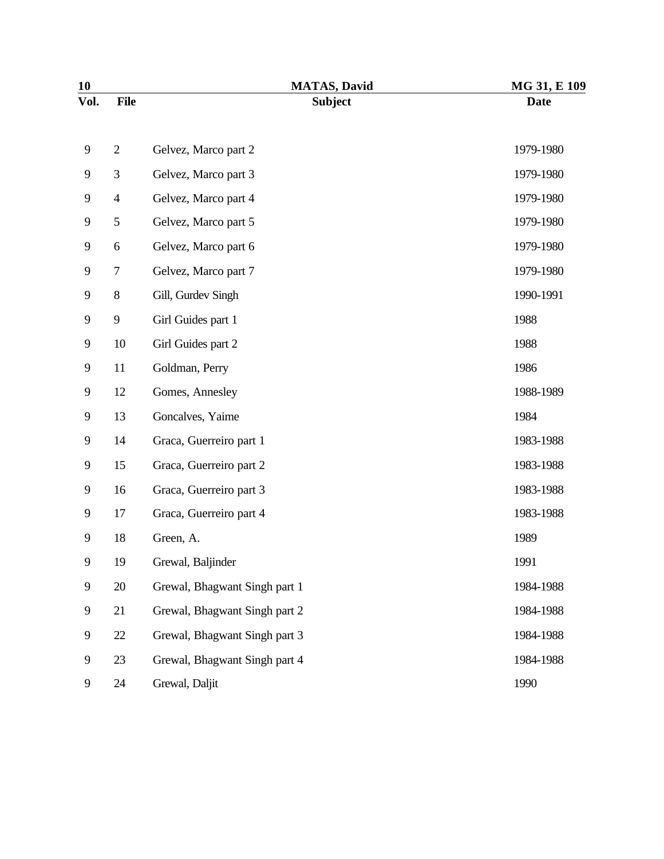| 10   |             | <b>MATAS, David</b>           | MG 31, E 109 |
|------|-------------|-------------------------------|--------------|
| Vol. | <b>File</b> | <b>Subject</b>                | <b>Date</b>  |
| 9    | $\sqrt{2}$  | Gelvez, Marco part 2          | 1979-1980    |
| 9    | 3           | Gelvez, Marco part 3          | 1979-1980    |
| 9    | 4           | Gelvez, Marco part 4          | 1979-1980    |
| 9    | 5           | Gelvez, Marco part 5          | 1979-1980    |
| 9    | 6           | Gelvez, Marco part 6          | 1979-1980    |
| 9    | 7           | Gelvez, Marco part 7          | 1979-1980    |
| 9    | $8\,$       | Gill, Gurdev Singh            | 1990-1991    |
| 9    | 9           | Girl Guides part 1            | 1988         |
| 9    | 10          | Girl Guides part 2            | 1988         |
| 9    | 11          | Goldman, Perry                | 1986         |
| 9    | 12          | Gomes, Annesley               | 1988-1989    |
| 9    | 13          | Goncalves, Yaime              | 1984         |
| 9    | 14          | Graca, Guerreiro part 1       | 1983-1988    |
| 9    | 15          | Graca, Guerreiro part 2       | 1983-1988    |
| 9    | 16          | Graca, Guerreiro part 3       | 1983-1988    |
| 9    | 17          | Graca, Guerreiro part 4       | 1983-1988    |
| 9    | 18          | Green, A.                     | 1989         |
| 9    | 19          | Grewal, Baljinder             | 1991         |
| 9    | 20          | Grewal, Bhagwant Singh part 1 | 1984-1988    |
| 9    | 21          | Grewal, Bhagwant Singh part 2 | 1984-1988    |
| 9    | 22          | Grewal, Bhagwant Singh part 3 | 1984-1988    |
| 9    | 23          | Grewal, Bhagwant Singh part 4 | 1984-1988    |
| 9    | 24          | Grewal, Daljit                | 1990         |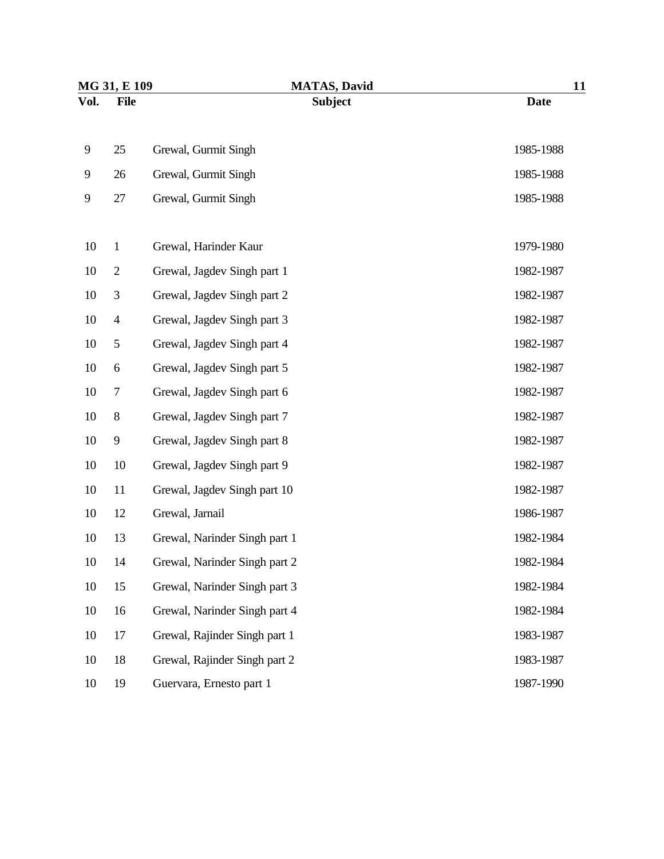| MG 31, E 109 |                | <b>MATAS, David</b>           | 11          |  |
|--------------|----------------|-------------------------------|-------------|--|
| Vol.         | <b>File</b>    | <b>Subject</b>                | <b>Date</b> |  |
| 9            | 25             | Grewal, Gurmit Singh          | 1985-1988   |  |
| 9            | 26             | Grewal, Gurmit Singh          | 1985-1988   |  |
| 9            | 27             | Grewal, Gurmit Singh          | 1985-1988   |  |
| 10           | $\mathbf{1}$   | Grewal, Harinder Kaur         | 1979-1980   |  |
| 10           | $\overline{2}$ | Grewal, Jagdev Singh part 1   | 1982-1987   |  |
| 10           | 3              | Grewal, Jagdev Singh part 2   | 1982-1987   |  |
| 10           | $\overline{4}$ | Grewal, Jagdev Singh part 3   | 1982-1987   |  |
| 10           | 5              | Grewal, Jagdev Singh part 4   | 1982-1987   |  |
| 10           | 6              | Grewal, Jagdev Singh part 5   | 1982-1987   |  |
| 10           | 7              | Grewal, Jagdev Singh part 6   | 1982-1987   |  |
| 10           | $8\,$          | Grewal, Jagdev Singh part 7   | 1982-1987   |  |
| 10           | 9              | Grewal, Jagdev Singh part 8   | 1982-1987   |  |
| 10           | 10             | Grewal, Jagdev Singh part 9   | 1982-1987   |  |
| 10           | 11             | Grewal, Jagdev Singh part 10  | 1982-1987   |  |
| 10           | 12             | Grewal, Jarnail               | 1986-1987   |  |
| 10           | 13             | Grewal, Narinder Singh part 1 | 1982-1984   |  |
| 10           | 14             | Grewal, Narinder Singh part 2 | 1982-1984   |  |
| 10           | 15             | Grewal, Narinder Singh part 3 | 1982-1984   |  |
| 10           | 16             | Grewal, Narinder Singh part 4 | 1982-1984   |  |
| 10           | 17             | Grewal, Rajinder Singh part 1 | 1983-1987   |  |
| 10           | 18             | Grewal, Rajinder Singh part 2 | 1983-1987   |  |
| 10           | 19             | Guervara, Ernesto part 1      | 1987-1990   |  |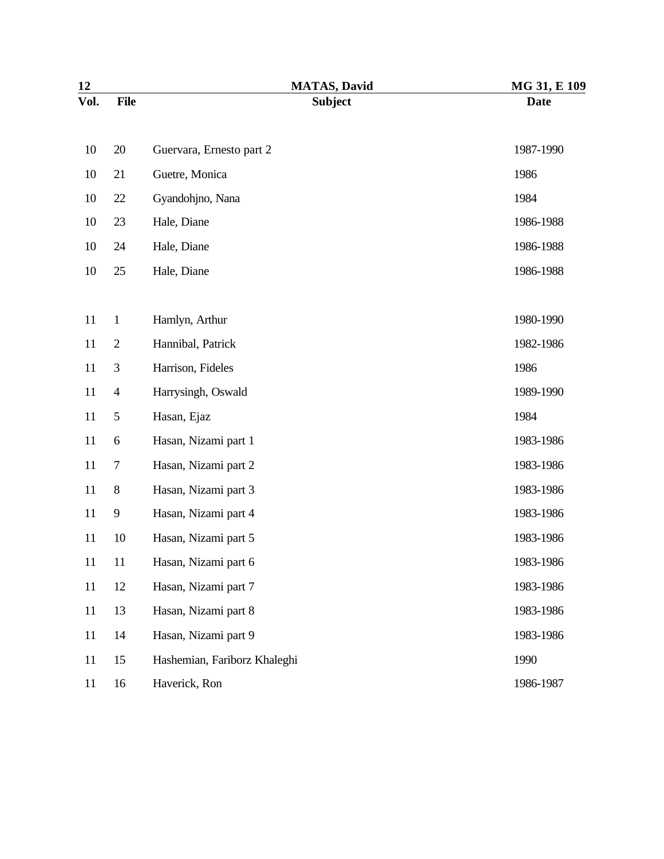| 12     |                | <b>MATAS, David</b>          | MG 31, E 109 |
|--------|----------------|------------------------------|--------------|
| Vol.   | <b>File</b>    | <b>Subject</b>               | <b>Date</b>  |
| 10     | 20             | Guervara, Ernesto part 2     | 1987-1990    |
| 10     | 21             | Guetre, Monica               | 1986         |
| 10     | 22             | Gyandohjno, Nana             | 1984         |
| 10     | 23             | Hale, Diane                  | 1986-1988    |
| 10     | 24             | Hale, Diane                  | 1986-1988    |
| 10     | 25             | Hale, Diane                  | 1986-1988    |
|        |                |                              |              |
| 11     | $\mathbf{1}$   | Hamlyn, Arthur               | 1980-1990    |
| 11     | $\mathbf{2}$   | Hannibal, Patrick            | 1982-1986    |
| 11     | 3              | Harrison, Fideles            | 1986         |
| 11     | $\overline{4}$ | Harrysingh, Oswald           | 1989-1990    |
| 11     | 5              | Hasan, Ejaz                  | 1984         |
| 11     | 6              | Hasan, Nizami part 1         | 1983-1986    |
| 11     | 7              | Hasan, Nizami part 2         | 1983-1986    |
| 11     | $8\,$          | Hasan, Nizami part 3         | 1983-1986    |
| 11     | 9              | Hasan, Nizami part 4         | 1983-1986    |
| 11     | 10             | Hasan, Nizami part 5         | 1983-1986    |
| 11     | 11             | Hasan, Nizami part 6         | 1983-1986    |
| 11     | 12             | Hasan, Nizami part 7         | 1983-1986    |
| $11\,$ | 13             | Hasan, Nizami part 8         | 1983-1986    |
| 11     | 14             | Hasan, Nizami part 9         | 1983-1986    |
| 11     | 15             | Hashemian, Fariborz Khaleghi | 1990         |
| 11     | 16             | Haverick, Ron                | 1986-1987    |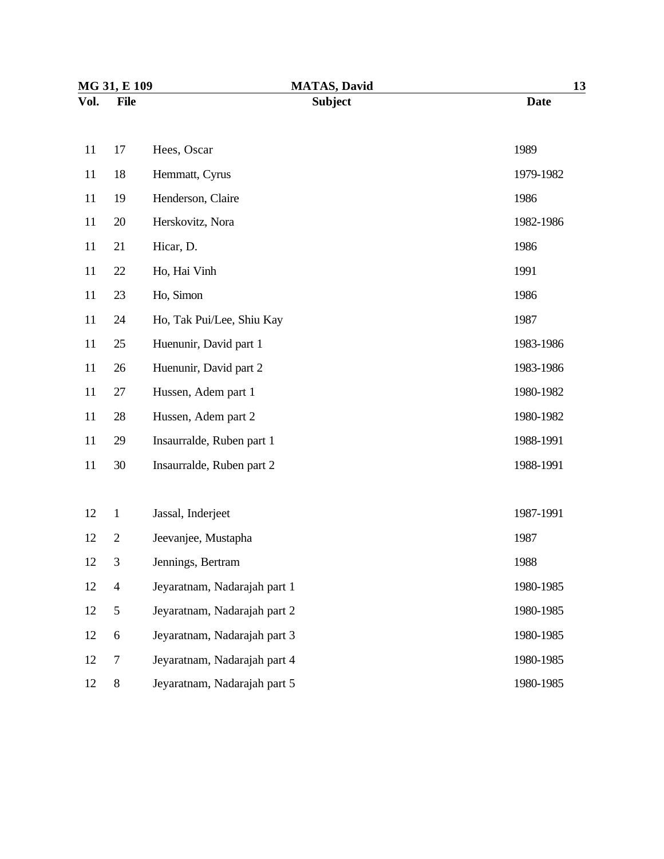| MG 31, E 109 |                  | <b>MATAS, David</b>          | 13          |
|--------------|------------------|------------------------------|-------------|
| Vol.         | <b>File</b>      | <b>Subject</b>               | <b>Date</b> |
| 11           | 17               | Hees, Oscar                  | 1989        |
| 11           | 18               | Hemmatt, Cyrus               | 1979-1982   |
| 11           | 19               | Henderson, Claire            | 1986        |
| 11           | 20               | Herskovitz, Nora             | 1982-1986   |
| 11           | 21               | Hicar, D.                    | 1986        |
| 11           | 22               | Ho, Hai Vinh                 | 1991        |
| 11           | 23               | Ho, Simon                    | 1986        |
| 11           | 24               | Ho, Tak Pui/Lee, Shiu Kay    | 1987        |
| 11           | 25               | Huenunir, David part 1       | 1983-1986   |
| 11           | 26               | Huenunir, David part 2       | 1983-1986   |
| 11           | 27               | Hussen, Adem part 1          | 1980-1982   |
| 11           | 28               | Hussen, Adem part 2          | 1980-1982   |
| 11           | 29               | Insaurralde, Ruben part 1    | 1988-1991   |
| 11           | 30               | Insaurralde, Ruben part 2    | 1988-1991   |
|              |                  |                              |             |
| 12           | $\mathbf{1}$     | Jassal, Inderjeet            | 1987-1991   |
| 12           | $\overline{2}$   | Jeevanjee, Mustapha          | 1987        |
| 12           | 3                | Jennings, Bertram            | 1988        |
| 12           | $\overline{4}$   | Jeyaratnam, Nadarajah part 1 | 1980-1985   |
| 12           | $\sqrt{5}$       | Jeyaratnam, Nadarajah part 2 | 1980-1985   |
| 12           | $\boldsymbol{6}$ | Jeyaratnam, Nadarajah part 3 | 1980-1985   |
| 12           | $\tau$           | Jeyaratnam, Nadarajah part 4 | 1980-1985   |
| 12           | $8\,$            | Jeyaratnam, Nadarajah part 5 | 1980-1985   |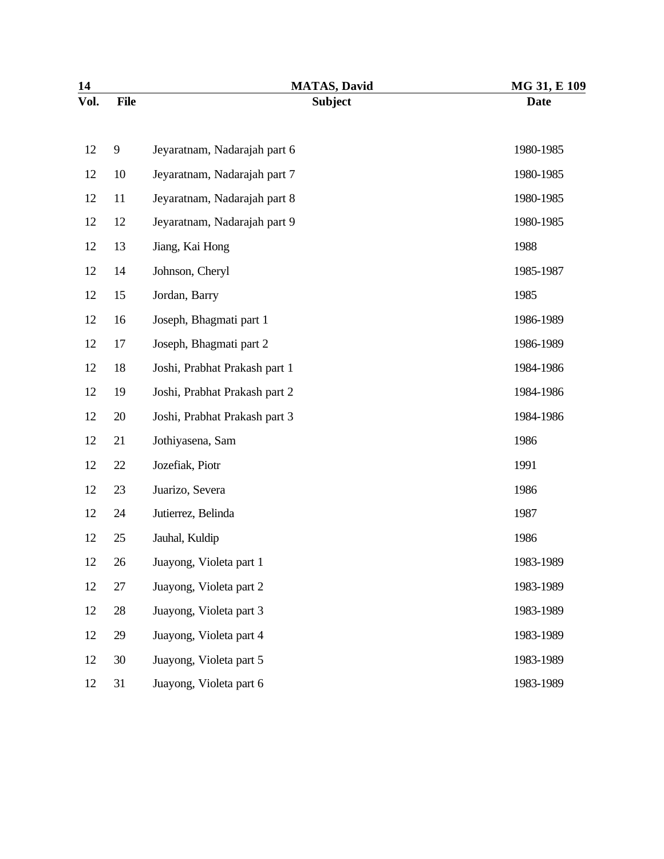| 14   |             | <b>MATAS, David</b>           | MG 31, E 109 |
|------|-------------|-------------------------------|--------------|
| Vol. | <b>File</b> | <b>Subject</b>                | <b>Date</b>  |
| 12   | 9           | Jeyaratnam, Nadarajah part 6  | 1980-1985    |
| 12   | 10          | Jeyaratnam, Nadarajah part 7  | 1980-1985    |
| 12   | 11          | Jeyaratnam, Nadarajah part 8  | 1980-1985    |
| 12   | 12          | Jeyaratnam, Nadarajah part 9  | 1980-1985    |
| 12   | 13          | Jiang, Kai Hong               | 1988         |
| 12   | 14          | Johnson, Cheryl               | 1985-1987    |
| 12   | 15          | Jordan, Barry                 | 1985         |
| 12   | 16          | Joseph, Bhagmati part 1       | 1986-1989    |
| 12   | 17          | Joseph, Bhagmati part 2       | 1986-1989    |
| 12   | 18          | Joshi, Prabhat Prakash part 1 | 1984-1986    |
| 12   | 19          | Joshi, Prabhat Prakash part 2 | 1984-1986    |
| 12   | 20          | Joshi, Prabhat Prakash part 3 | 1984-1986    |
| 12   | 21          | Jothiyasena, Sam              | 1986         |
| 12   | 22          | Jozefiak, Piotr               | 1991         |
| 12   | 23          | Juarizo, Severa               | 1986         |
| 12   | 24          | Jutierrez, Belinda            | 1987         |
| 12   | 25          | Jauhal, Kuldip                | 1986         |
| 12   | 26          | Juayong, Violeta part 1       | 1983-1989    |
| 12   | 27          | Juayong, Violeta part 2       | 1983-1989    |
| 12   | 28          | Juayong, Violeta part 3       | 1983-1989    |
| 12   | 29          | Juayong, Violeta part 4       | 1983-1989    |
| 12   | 30          | Juayong, Violeta part 5       | 1983-1989    |
| 12   | 31          | Juayong, Violeta part 6       | 1983-1989    |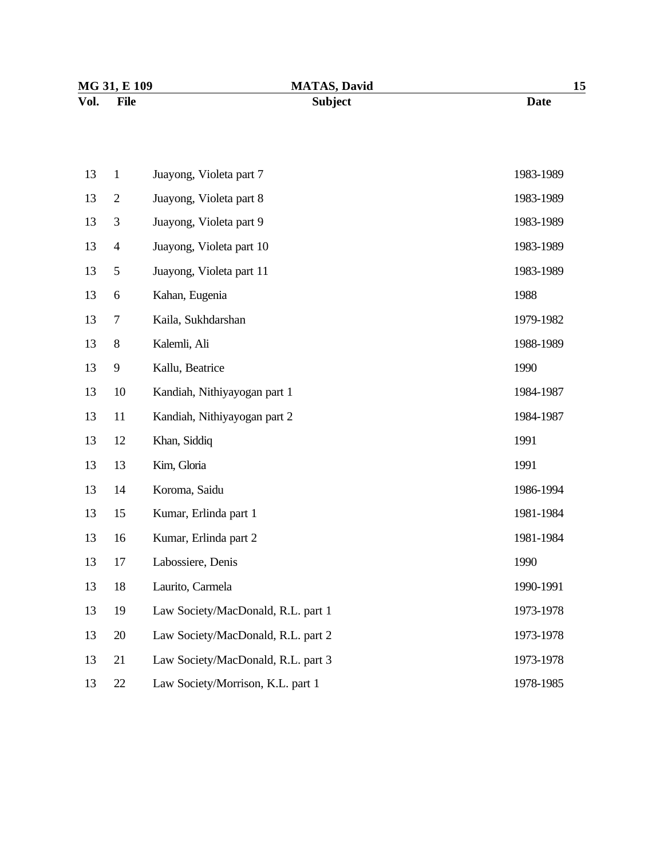| MG 31, E 109        | <b>MATAS, David</b> |      |
|---------------------|---------------------|------|
| Vol.<br><b>File</b> | <b>Subject</b>      | Date |

| 13 | $\mathbf{1}$   | Juayong, Violeta part 7            | 1983-1989 |
|----|----------------|------------------------------------|-----------|
| 13 | $\overline{2}$ | Juayong, Violeta part 8            | 1983-1989 |
| 13 | 3              | Juayong, Violeta part 9            | 1983-1989 |
| 13 | $\overline{4}$ | Juayong, Violeta part 10           | 1983-1989 |
| 13 | 5              | Juayong, Violeta part 11           | 1983-1989 |
| 13 | 6              | Kahan, Eugenia                     | 1988      |
| 13 | 7              | Kaila, Sukhdarshan                 | 1979-1982 |
| 13 | $8\,$          | Kalemli, Ali                       | 1988-1989 |
| 13 | 9              | Kallu, Beatrice                    | 1990      |
| 13 | 10             | Kandiah, Nithiyayogan part 1       | 1984-1987 |
| 13 | 11             | Kandiah, Nithiyayogan part 2       | 1984-1987 |
| 13 | 12             | Khan, Siddiq                       | 1991      |
| 13 | 13             | Kim, Gloria                        | 1991      |
| 13 | 14             | Koroma, Saidu                      | 1986-1994 |
| 13 | 15             | Kumar, Erlinda part 1              | 1981-1984 |
| 13 | 16             | Kumar, Erlinda part 2              | 1981-1984 |
| 13 | 17             | Labossiere, Denis                  | 1990      |
| 13 | 18             | Laurito, Carmela                   | 1990-1991 |
| 13 | 19             | Law Society/MacDonald, R.L. part 1 | 1973-1978 |
| 13 |                |                                    |           |
|    | 20             | Law Society/MacDonald, R.L. part 2 | 1973-1978 |
| 13 | 21             | Law Society/MacDonald, R.L. part 3 | 1973-1978 |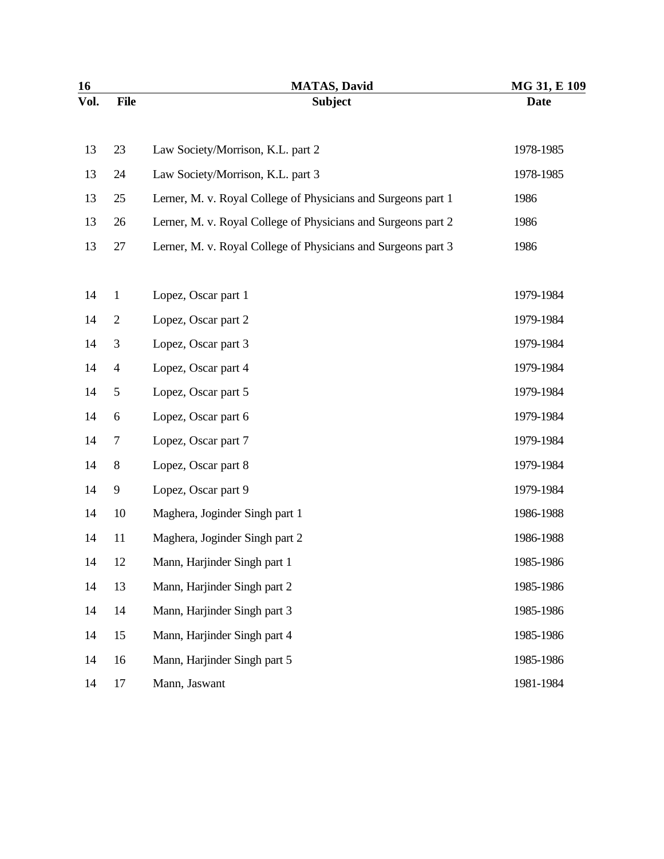| 16   |                | <b>MATAS, David</b>                                           | MG 31, E 109 |
|------|----------------|---------------------------------------------------------------|--------------|
| Vol. | <b>File</b>    | <b>Subject</b>                                                | <b>Date</b>  |
| 13   | 23             | Law Society/Morrison, K.L. part 2                             | 1978-1985    |
| 13   | 24             | Law Society/Morrison, K.L. part 3                             | 1978-1985    |
| 13   | 25             | Lerner, M. v. Royal College of Physicians and Surgeons part 1 | 1986         |
| 13   | 26             | Lerner, M. v. Royal College of Physicians and Surgeons part 2 | 1986         |
| 13   | 27             | Lerner, M. v. Royal College of Physicians and Surgeons part 3 | 1986         |
| 14   | $\mathbf{1}$   | Lopez, Oscar part 1                                           | 1979-1984    |
| 14   | $\overline{2}$ | Lopez, Oscar part 2                                           | 1979-1984    |
| 14   | 3              | Lopez, Oscar part 3                                           | 1979-1984    |
| 14   | $\overline{4}$ | Lopez, Oscar part 4                                           | 1979-1984    |
| 14   | 5              | Lopez, Oscar part 5                                           | 1979-1984    |
| 14   | 6              | Lopez, Oscar part 6                                           | 1979-1984    |
| 14   | 7              | Lopez, Oscar part 7                                           | 1979-1984    |
| 14   | $8\,$          | Lopez, Oscar part 8                                           | 1979-1984    |
| 14   | 9              | Lopez, Oscar part 9                                           | 1979-1984    |
| 14   | 10             | Maghera, Joginder Singh part 1                                | 1986-1988    |
| 14   | 11             | Maghera, Joginder Singh part 2                                | 1986-1988    |
| 14   | 12             | Mann, Harjinder Singh part 1                                  | 1985-1986    |
| 14   | 13             | Mann, Harjinder Singh part 2                                  | 1985-1986    |
| 14   | 14             | Mann, Harjinder Singh part 3                                  | 1985-1986    |
| 14   | 15             | Mann, Harjinder Singh part 4                                  | 1985-1986    |
| 14   | 16             | Mann, Harjinder Singh part 5                                  | 1985-1986    |
| 14   | 17             | Mann, Jaswant                                                 | 1981-1984    |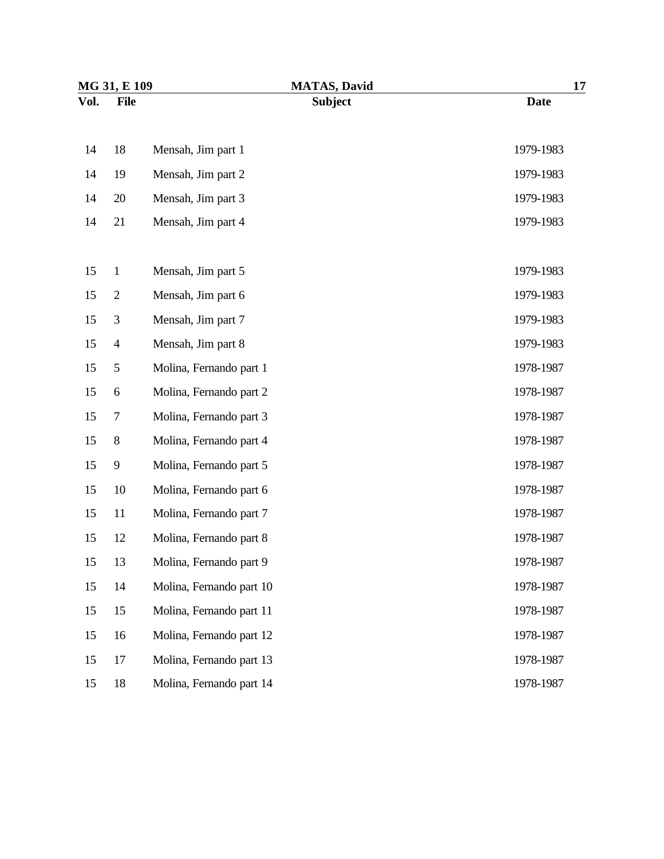| MG 31, E 109 |                  | <b>MATAS, David</b>      | 17          |  |
|--------------|------------------|--------------------------|-------------|--|
| Vol.         | <b>File</b>      | <b>Subject</b>           | <b>Date</b> |  |
| 14           | 18               | Mensah, Jim part 1       | 1979-1983   |  |
| 14           | 19               | Mensah, Jim part 2       | 1979-1983   |  |
| 14           | 20               | Mensah, Jim part 3       | 1979-1983   |  |
| 14           | 21               | Mensah, Jim part 4       | 1979-1983   |  |
| 15           | $\mathbf{1}$     | Mensah, Jim part 5       | 1979-1983   |  |
| 15           | $\mathbf{2}$     | Mensah, Jim part 6       | 1979-1983   |  |
| 15           | 3                | Mensah, Jim part 7       | 1979-1983   |  |
| 15           | $\overline{4}$   | Mensah, Jim part 8       | 1979-1983   |  |
| 15           | 5                | Molina, Fernando part 1  | 1978-1987   |  |
| 15           | $\boldsymbol{6}$ | Molina, Fernando part 2  | 1978-1987   |  |
| 15           | $\tau$           | Molina, Fernando part 3  | 1978-1987   |  |
| 15           | $8\,$            | Molina, Fernando part 4  | 1978-1987   |  |
| 15           | 9                | Molina, Fernando part 5  | 1978-1987   |  |
| 15           | 10               | Molina, Fernando part 6  | 1978-1987   |  |
| 15           | 11               | Molina, Fernando part 7  | 1978-1987   |  |
| 15           | 12               | Molina, Fernando part 8  | 1978-1987   |  |
| 15           | 13               | Molina, Fernando part 9  | 1978-1987   |  |
| 15           | 14               | Molina, Fernando part 10 | 1978-1987   |  |
| 15           | 15               | Molina, Fernando part 11 | 1978-1987   |  |
| 15           | 16               | Molina, Fernando part 12 | 1978-1987   |  |
| 15           | 17               | Molina, Fernando part 13 | 1978-1987   |  |
| 15           | 18               | Molina, Fernando part 14 | 1978-1987   |  |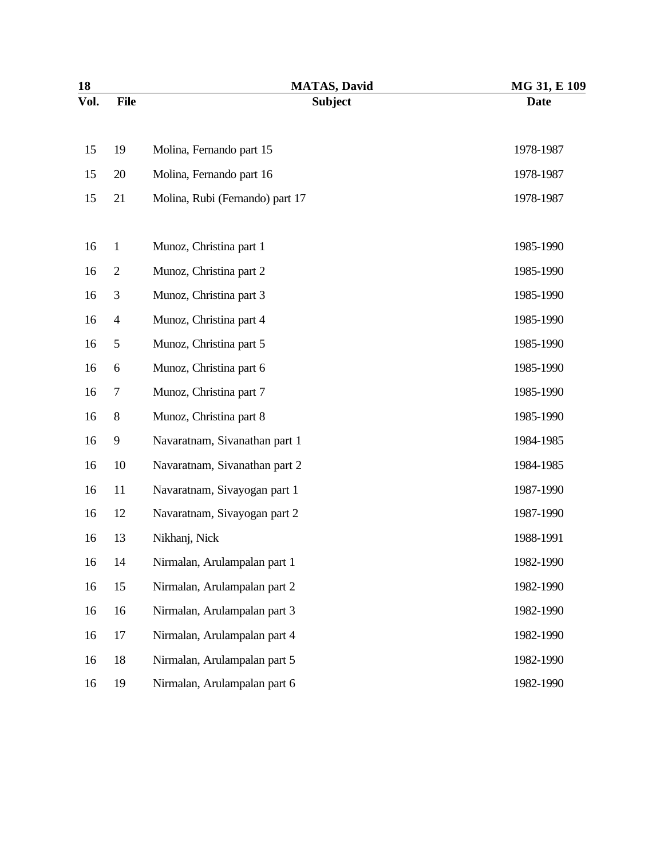| 18   |                | <b>MATAS, David</b>             | MG 31, E 109 |
|------|----------------|---------------------------------|--------------|
| Vol. | <b>File</b>    | <b>Subject</b>                  | <b>Date</b>  |
| 15   | 19             | Molina, Fernando part 15        | 1978-1987    |
| 15   | 20             | Molina, Fernando part 16        | 1978-1987    |
| 15   | 21             | Molina, Rubi (Fernando) part 17 | 1978-1987    |
| 16   | $\mathbf{1}$   | Munoz, Christina part 1         | 1985-1990    |
| 16   | $\mathbf{2}$   | Munoz, Christina part 2         | 1985-1990    |
| 16   | 3              | Munoz, Christina part 3         | 1985-1990    |
| 16   | $\overline{4}$ | Munoz, Christina part 4         | 1985-1990    |
| 16   | 5              | Munoz, Christina part 5         | 1985-1990    |
| 16   | 6              | Munoz, Christina part 6         | 1985-1990    |
| 16   | 7              | Munoz, Christina part 7         | 1985-1990    |
| 16   | $8\,$          | Munoz, Christina part 8         | 1985-1990    |
| 16   | 9              | Navaratnam, Sivanathan part 1   | 1984-1985    |
| 16   | 10             | Navaratnam, Sivanathan part 2   | 1984-1985    |
| 16   | 11             | Navaratnam, Sivayogan part 1    | 1987-1990    |
| 16   | 12             | Navaratnam, Sivayogan part 2    | 1987-1990    |
| 16   | 13             | Nikhanj, Nick                   | 1988-1991    |
| 16   | 14             | Nirmalan, Arulampalan part 1    | 1982-1990    |
| 16   | 15             | Nirmalan, Arulampalan part 2    | 1982-1990    |
| 16   | 16             | Nirmalan, Arulampalan part 3    | 1982-1990    |
| 16   | 17             | Nirmalan, Arulampalan part 4    | 1982-1990    |
| 16   | 18             | Nirmalan, Arulampalan part 5    | 1982-1990    |
| 16   | 19             | Nirmalan, Arulampalan part 6    | 1982-1990    |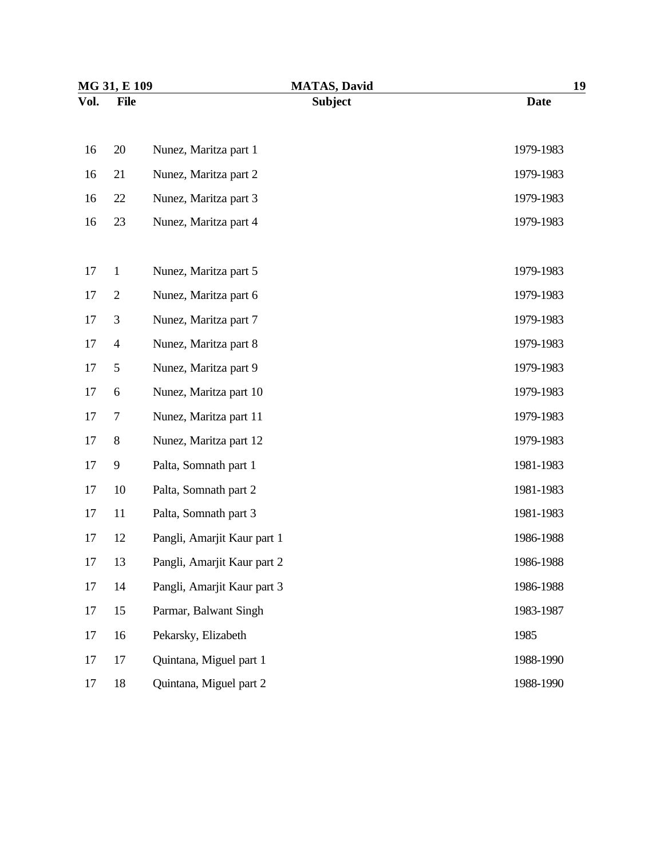| MG 31, E 109 |                | <b>MATAS, David</b>         | 19          |  |
|--------------|----------------|-----------------------------|-------------|--|
| Vol.         | <b>File</b>    | <b>Subject</b>              | <b>Date</b> |  |
| 16           | 20             | Nunez, Maritza part 1       | 1979-1983   |  |
| 16           | 21             | Nunez, Maritza part 2       | 1979-1983   |  |
| 16           | 22             | Nunez, Maritza part 3       | 1979-1983   |  |
| 16           | 23             | Nunez, Maritza part 4       | 1979-1983   |  |
| 17           | $\mathbf{1}$   | Nunez, Maritza part 5       | 1979-1983   |  |
| 17           | $\overline{2}$ | Nunez, Maritza part 6       | 1979-1983   |  |
| 17           | 3              | Nunez, Maritza part 7       | 1979-1983   |  |
| 17           | $\overline{4}$ | Nunez, Maritza part 8       | 1979-1983   |  |
| 17           | 5              | Nunez, Maritza part 9       | 1979-1983   |  |
| 17           | 6              | Nunez, Maritza part 10      | 1979-1983   |  |
| 17           | 7              | Nunez, Maritza part 11      | 1979-1983   |  |
| 17           | $8\,$          | Nunez, Maritza part 12      | 1979-1983   |  |
| 17           | 9              | Palta, Somnath part 1       | 1981-1983   |  |
| 17           | 10             | Palta, Somnath part 2       | 1981-1983   |  |
| 17           | 11             | Palta, Somnath part 3       | 1981-1983   |  |
| 17           | 12             | Pangli, Amarjit Kaur part 1 | 1986-1988   |  |
| 17           | 13             | Pangli, Amarjit Kaur part 2 | 1986-1988   |  |
| 17           | 14             | Pangli, Amarjit Kaur part 3 | 1986-1988   |  |
| 17           | 15             | Parmar, Balwant Singh       | 1983-1987   |  |
| 17           | 16             | Pekarsky, Elizabeth         | 1985        |  |
| 17           | 17             | Quintana, Miguel part 1     | 1988-1990   |  |
| 17           | 18             | Quintana, Miguel part 2     | 1988-1990   |  |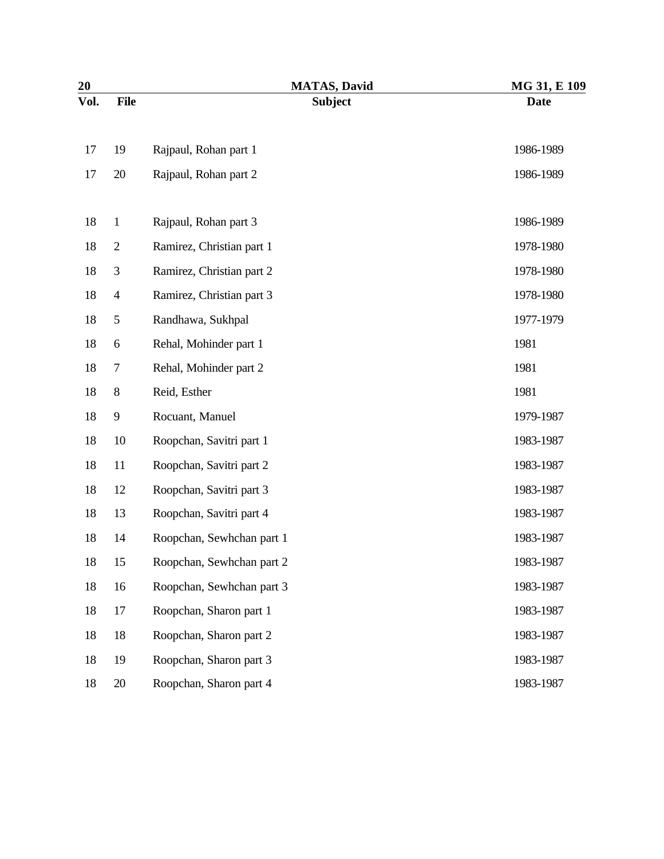| 20   |                | <b>MATAS, David</b>       | MG 31, E 109 |
|------|----------------|---------------------------|--------------|
| Vol. | <b>File</b>    | <b>Subject</b>            | <b>Date</b>  |
| 17   | 19             | Rajpaul, Rohan part 1     | 1986-1989    |
| 17   | 20             | Rajpaul, Rohan part 2     | 1986-1989    |
| 18   | $\mathbf{1}$   | Rajpaul, Rohan part 3     | 1986-1989    |
| 18   | $\mathbf{2}$   | Ramirez, Christian part 1 | 1978-1980    |
| 18   | $\mathfrak{Z}$ | Ramirez, Christian part 2 | 1978-1980    |
| 18   | 4              | Ramirez, Christian part 3 | 1978-1980    |
| 18   | 5              | Randhawa, Sukhpal         | 1977-1979    |
| 18   | 6              | Rehal, Mohinder part 1    | 1981         |
| 18   | 7              | Rehal, Mohinder part 2    | 1981         |
| 18   | $8\,$          | Reid, Esther              | 1981         |
| 18   | 9              | Rocuant, Manuel           | 1979-1987    |
| 18   | 10             | Roopchan, Savitri part 1  | 1983-1987    |
| 18   | 11             | Roopchan, Savitri part 2  | 1983-1987    |
| 18   | 12             | Roopchan, Savitri part 3  | 1983-1987    |
| 18   | 13             | Roopchan, Savitri part 4  | 1983-1987    |
| 18   | 14             | Roopchan, Sewhchan part 1 | 1983-1987    |
| 18   | 15             | Roopchan, Sewhchan part 2 | 1983-1987    |
| 18   | 16             | Roopchan, Sewhchan part 3 | 1983-1987    |
| 18   | 17             | Roopchan, Sharon part 1   | 1983-1987    |
| 18   | 18             | Roopchan, Sharon part 2   | 1983-1987    |
| 18   | 19             | Roopchan, Sharon part 3   | 1983-1987    |
| 18   | 20             | Roopchan, Sharon part 4   | 1983-1987    |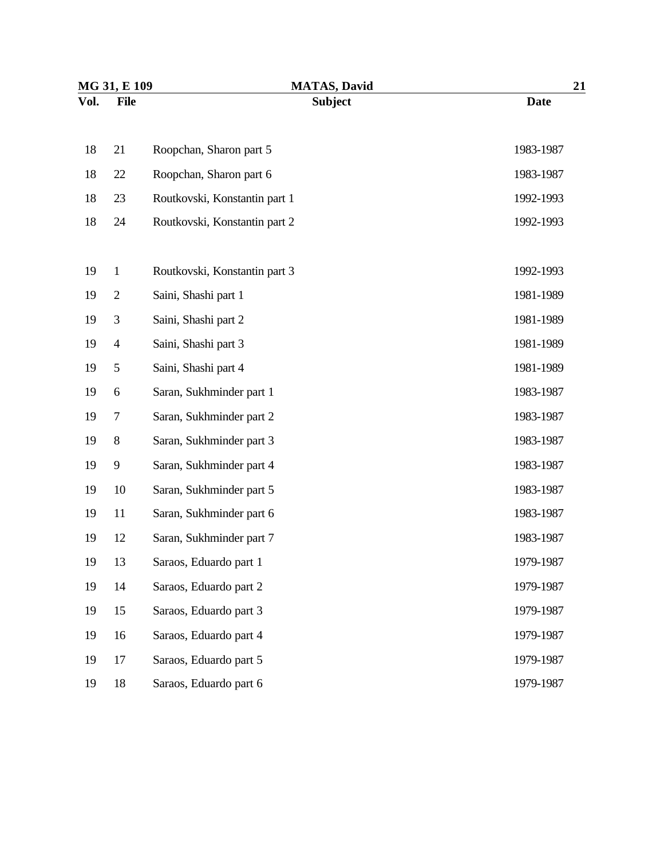| MG 31, E 109 |                | <b>MATAS, David</b>           | 21          |  |
|--------------|----------------|-------------------------------|-------------|--|
| Vol.         | <b>File</b>    | <b>Subject</b>                | <b>Date</b> |  |
| 18           | 21             | Roopchan, Sharon part 5       | 1983-1987   |  |
| 18           | 22             | Roopchan, Sharon part 6       | 1983-1987   |  |
| 18           | 23             | Routkovski, Konstantin part 1 | 1992-1993   |  |
| 18           | 24             | Routkovski, Konstantin part 2 | 1992-1993   |  |
| 19           | $\mathbf{1}$   | Routkovski, Konstantin part 3 | 1992-1993   |  |
| 19           | $\mathbf{2}$   | Saini, Shashi part 1          | 1981-1989   |  |
| 19           | 3              | Saini, Shashi part 2          | 1981-1989   |  |
| 19           | $\overline{4}$ | Saini, Shashi part 3          | 1981-1989   |  |
| 19           | 5              | Saini, Shashi part 4          | 1981-1989   |  |
| 19           | 6              | Saran, Sukhminder part 1      | 1983-1987   |  |
| 19           | 7              | Saran, Sukhminder part 2      | 1983-1987   |  |
| 19           | $8\,$          | Saran, Sukhminder part 3      | 1983-1987   |  |
| 19           | 9              | Saran, Sukhminder part 4      | 1983-1987   |  |
| 19           | 10             | Saran, Sukhminder part 5      | 1983-1987   |  |
| 19           | 11             | Saran, Sukhminder part 6      | 1983-1987   |  |
| 19           | 12             | Saran, Sukhminder part 7      | 1983-1987   |  |
| 19           | 13             | Saraos, Eduardo part 1        | 1979-1987   |  |
| 19           | 14             | Saraos, Eduardo part 2        | 1979-1987   |  |
| 19           | 15             | Saraos, Eduardo part 3        | 1979-1987   |  |
| 19           | 16             | Saraos, Eduardo part 4        | 1979-1987   |  |
| 19           | 17             | Saraos, Eduardo part 5        | 1979-1987   |  |
| 19           | 18             | Saraos, Eduardo part 6        | 1979-1987   |  |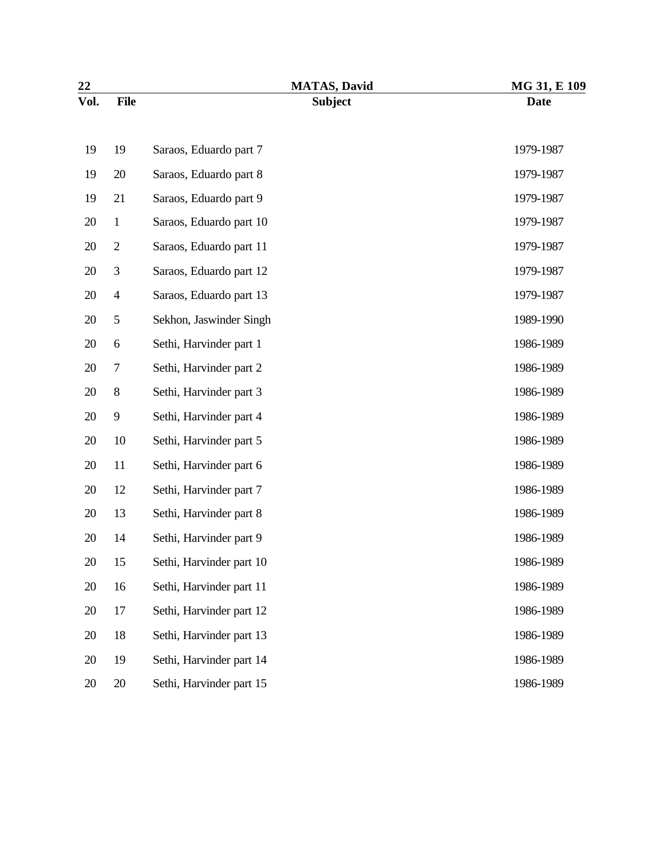| 22   |                  | <b>MATAS, David</b>      | MG 31, E 109 |
|------|------------------|--------------------------|--------------|
| Vol. | <b>File</b>      | <b>Subject</b>           | <b>Date</b>  |
| 19   | 19               | Saraos, Eduardo part 7   | 1979-1987    |
| 19   | 20               | Saraos, Eduardo part 8   | 1979-1987    |
| 19   | 21               | Saraos, Eduardo part 9   | 1979-1987    |
| 20   | $\mathbf{1}$     | Saraos, Eduardo part 10  | 1979-1987    |
| 20   | $\boldsymbol{2}$ | Saraos, Eduardo part 11  | 1979-1987    |
| 20   | 3                | Saraos, Eduardo part 12  | 1979-1987    |
| 20   | $\overline{4}$   | Saraos, Eduardo part 13  | 1979-1987    |
| 20   | 5                | Sekhon, Jaswinder Singh  | 1989-1990    |
| 20   | 6                | Sethi, Harvinder part 1  | 1986-1989    |
| 20   | 7                | Sethi, Harvinder part 2  | 1986-1989    |
| 20   | $\,$ 8 $\,$      | Sethi, Harvinder part 3  | 1986-1989    |
| 20   | 9                | Sethi, Harvinder part 4  | 1986-1989    |
| 20   | 10               | Sethi, Harvinder part 5  | 1986-1989    |
| 20   | 11               | Sethi, Harvinder part 6  | 1986-1989    |
| 20   | 12               | Sethi, Harvinder part 7  | 1986-1989    |
| 20   | 13               | Sethi, Harvinder part 8  | 1986-1989    |
| 20   | 14               | Sethi, Harvinder part 9  | 1986-1989    |
| 20   | 15               | Sethi, Harvinder part 10 | 1986-1989    |
| 20   | 16               | Sethi, Harvinder part 11 | 1986-1989    |
| 20   | 17               | Sethi, Harvinder part 12 | 1986-1989    |
| 20   | 18               | Sethi, Harvinder part 13 | 1986-1989    |
| 20   | 19               | Sethi, Harvinder part 14 | 1986-1989    |
| 20   | 20               | Sethi, Harvinder part 15 | 1986-1989    |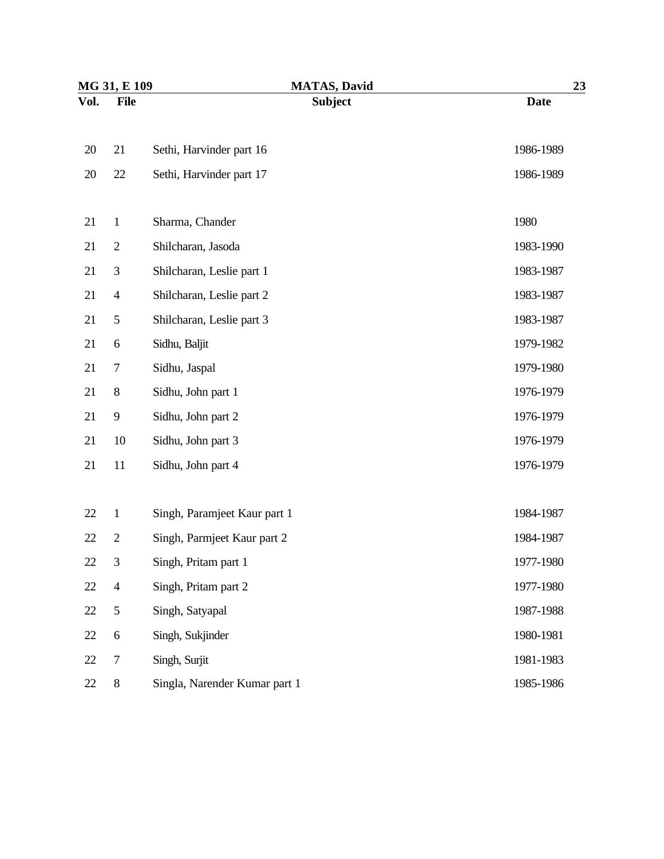| MG 31, E 109 |                          | <b>MATAS, David</b>           | 23          |
|--------------|--------------------------|-------------------------------|-------------|
| Vol.         | <b>File</b>              | <b>Subject</b>                | <b>Date</b> |
| 20           | 21                       | Sethi, Harvinder part 16      | 1986-1989   |
| 20           | 22                       | Sethi, Harvinder part 17      | 1986-1989   |
| 21           | $\mathbf{1}$             | Sharma, Chander               | 1980        |
| 21           | $\mathbf{2}$             | Shilcharan, Jasoda            | 1983-1990   |
| 21           | 3                        | Shilcharan, Leslie part 1     | 1983-1987   |
| 21           | $\overline{4}$           | Shilcharan, Leslie part 2     | 1983-1987   |
| 21           | 5                        | Shilcharan, Leslie part 3     | 1983-1987   |
| 21           | 6                        | Sidhu, Baljit                 | 1979-1982   |
| 21           | 7                        | Sidhu, Jaspal                 | 1979-1980   |
| 21           | $8\,$                    | Sidhu, John part 1            | 1976-1979   |
| 21           | 9                        | Sidhu, John part 2            | 1976-1979   |
| 21           | 10                       | Sidhu, John part 3            | 1976-1979   |
| 21           | 11                       | Sidhu, John part 4            | 1976-1979   |
| 22           | $\mathbf{1}$             | Singh, Paramjeet Kaur part 1  | 1984-1987   |
| 22           | $\mathbf{2}$             | Singh, Parmjeet Kaur part 2   | 1984-1987   |
| 22           | 3                        | Singh, Pritam part 1          | 1977-1980   |
| 22           | $\overline{\mathcal{A}}$ | Singh, Pritam part 2          | 1977-1980   |
| 22           | 5                        | Singh, Satyapal               | 1987-1988   |
| 22           | $\boldsymbol{6}$         | Singh, Sukjinder              | 1980-1981   |
| 22           | $\boldsymbol{7}$         | Singh, Surjit                 | 1981-1983   |
| 22           | $8\,$                    | Singla, Narender Kumar part 1 | 1985-1986   |
|              |                          |                               |             |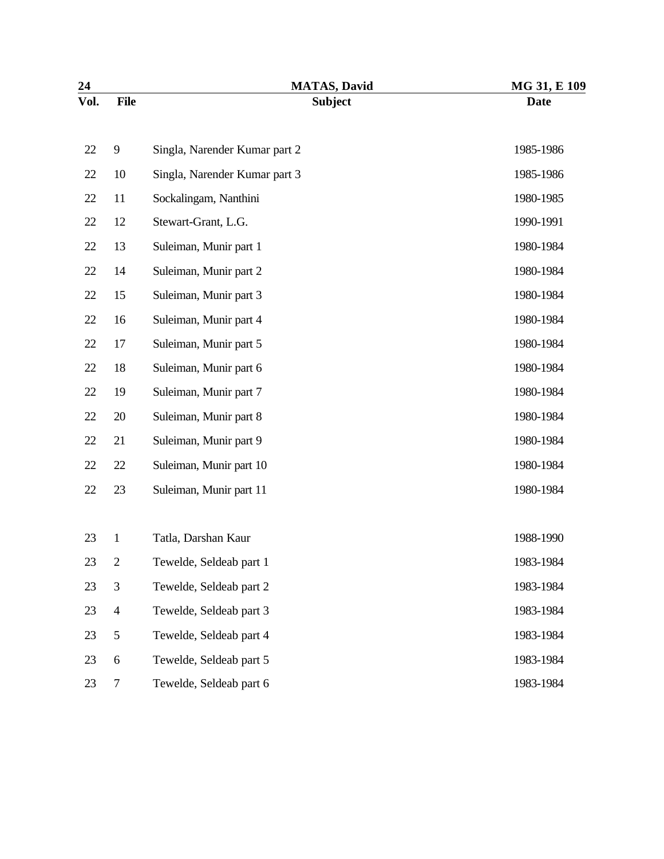| 24   |                  | <b>MATAS, David</b>           | MG 31, E 109 |
|------|------------------|-------------------------------|--------------|
| Vol. | <b>File</b>      | <b>Subject</b>                | <b>Date</b>  |
| 22   | $\overline{9}$   | Singla, Narender Kumar part 2 | 1985-1986    |
| 22   | 10               | Singla, Narender Kumar part 3 | 1985-1986    |
| 22   | 11               | Sockalingam, Nanthini         | 1980-1985    |
| 22   | 12               | Stewart-Grant, L.G.           | 1990-1991    |
| 22   | 13               | Suleiman, Munir part 1        | 1980-1984    |
| 22   | 14               | Suleiman, Munir part 2        | 1980-1984    |
| 22   | 15               | Suleiman, Munir part 3        | 1980-1984    |
| 22   | 16               | Suleiman, Munir part 4        | 1980-1984    |
| 22   | 17               | Suleiman, Munir part 5        | 1980-1984    |
| 22   | 18               | Suleiman, Munir part 6        | 1980-1984    |
| 22   | 19               | Suleiman, Munir part 7        | 1980-1984    |
| 22   | 20               | Suleiman, Munir part 8        | 1980-1984    |
| 22   | 21               | Suleiman, Munir part 9        | 1980-1984    |
| 22   | 22               | Suleiman, Munir part 10       | 1980-1984    |
| 22   | 23               | Suleiman, Munir part 11       | 1980-1984    |
| 23   | $\mathbf{1}$     | Tatla, Darshan Kaur           | 1988-1990    |
| 23   | 2                | Tewelde, Seldeab part 1       | 1983-1984    |
| 23   | 3                | Tewelde, Seldeab part 2       | 1983-1984    |
| 23   | $\overline{4}$   | Tewelde, Seldeab part 3       | 1983-1984    |
| 23   | $\mathfrak{S}$   | Tewelde, Seldeab part 4       | 1983-1984    |
| 23   | $\boldsymbol{6}$ | Tewelde, Seldeab part 5       | 1983-1984    |
| 23   | $\tau$           | Tewelde, Seldeab part 6       | 1983-1984    |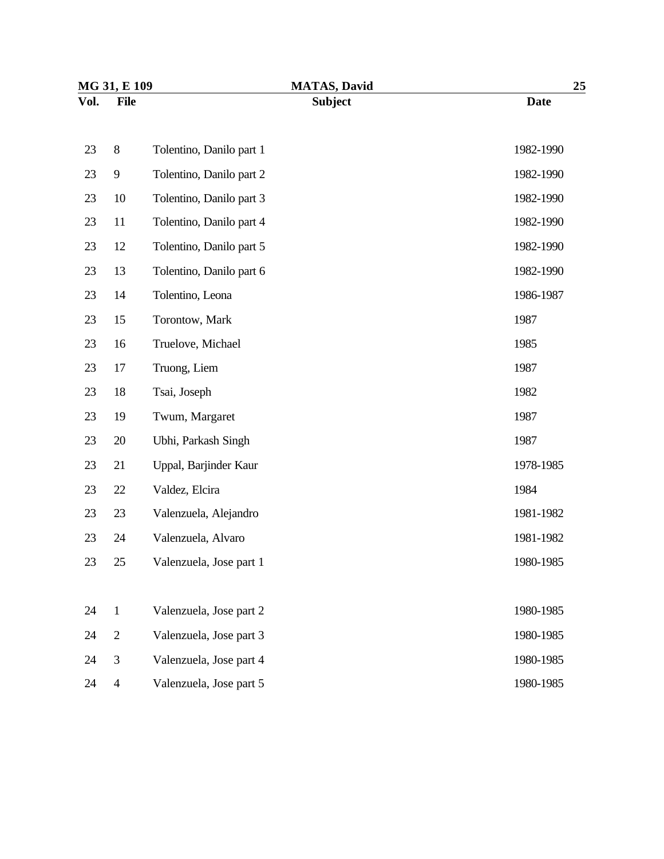| MG 31, E 109 |                |                          | <b>MATAS, David</b> | 25          |  |
|--------------|----------------|--------------------------|---------------------|-------------|--|
| Vol.         | <b>File</b>    |                          | <b>Subject</b>      | <b>Date</b> |  |
| 23           | $8\,$          | Tolentino, Danilo part 1 |                     | 1982-1990   |  |
| 23           | 9              | Tolentino, Danilo part 2 |                     | 1982-1990   |  |
| 23           | 10             | Tolentino, Danilo part 3 |                     | 1982-1990   |  |
| 23           | 11             | Tolentino, Danilo part 4 |                     | 1982-1990   |  |
| 23           | 12             | Tolentino, Danilo part 5 |                     | 1982-1990   |  |
| 23           | 13             | Tolentino, Danilo part 6 |                     | 1982-1990   |  |
| 23           | 14             | Tolentino, Leona         |                     | 1986-1987   |  |
| 23           | 15             | Torontow, Mark           |                     | 1987        |  |
| 23           | 16             | Truelove, Michael        |                     | 1985        |  |
| 23           | 17             | Truong, Liem             |                     | 1987        |  |
| 23           | 18             | Tsai, Joseph             |                     | 1982        |  |
| 23           | 19             | Twum, Margaret           |                     | 1987        |  |
| 23           | 20             | Ubhi, Parkash Singh      |                     | 1987        |  |
| 23           | 21             | Uppal, Barjinder Kaur    |                     | 1978-1985   |  |
| 23           | 22             | Valdez, Elcira           |                     | 1984        |  |
| 23           | 23             | Valenzuela, Alejandro    |                     | 1981-1982   |  |
| 23           | 24             | Valenzuela, Alvaro       |                     | 1981-1982   |  |
| 23           | 25             | Valenzuela, Jose part 1  |                     | 1980-1985   |  |
|              |                |                          |                     |             |  |
| 24           | $\mathbf{1}$   | Valenzuela, Jose part 2  |                     | 1980-1985   |  |
| 24           | $\sqrt{2}$     | Valenzuela, Jose part 3  |                     | 1980-1985   |  |
| 24           | $\mathfrak{Z}$ | Valenzuela, Jose part 4  |                     | 1980-1985   |  |
| 24           | $\overline{4}$ | Valenzuela, Jose part 5  |                     | 1980-1985   |  |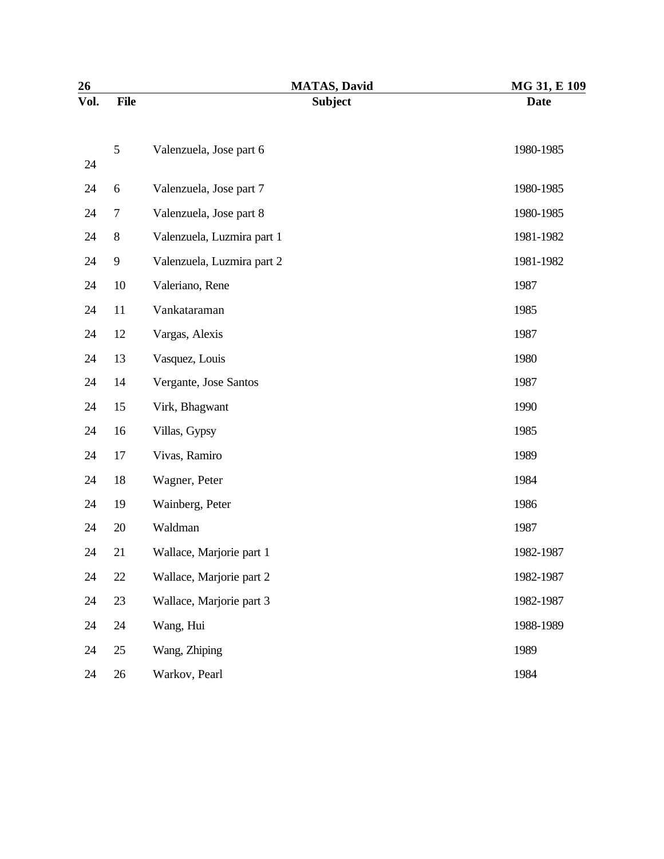| 26   |                | <b>MATAS, David</b>        | MG 31, E 109 |
|------|----------------|----------------------------|--------------|
| Vol. | <b>File</b>    | <b>Subject</b>             | <b>Date</b>  |
| 24   | 5              | Valenzuela, Jose part 6    | 1980-1985    |
| 24   | 6              | Valenzuela, Jose part 7    | 1980-1985    |
| 24   | $\overline{7}$ | Valenzuela, Jose part 8    | 1980-1985    |
| 24   | $8\,$          | Valenzuela, Luzmira part 1 | 1981-1982    |
| 24   | $\mathbf{9}$   | Valenzuela, Luzmira part 2 | 1981-1982    |
| 24   | 10             | Valeriano, Rene            | 1987         |
| 24   | 11             | Vankataraman               | 1985         |
| 24   | 12             | Vargas, Alexis             | 1987         |
| 24   | 13             | Vasquez, Louis             | 1980         |
| 24   | 14             | Vergante, Jose Santos      | 1987         |
| 24   | 15             | Virk, Bhagwant             | 1990         |
| 24   | 16             | Villas, Gypsy              | 1985         |
| 24   | 17             | Vivas, Ramiro              | 1989         |
| 24   | 18             | Wagner, Peter              | 1984         |
| 24   | 19             | Wainberg, Peter            | 1986         |
| 24   | 20             | Waldman                    | 1987         |
| 24   | 21             | Wallace, Marjorie part 1   | 1982-1987    |
| 24   | 22             | Wallace, Marjorie part 2   | 1982-1987    |
| 24   | 23             | Wallace, Marjorie part 3   | 1982-1987    |
| 24   | 24             | Wang, Hui                  | 1988-1989    |
| 24   | 25             | Wang, Zhiping              | 1989         |
| 24   | 26             | Warkov, Pearl              | 1984         |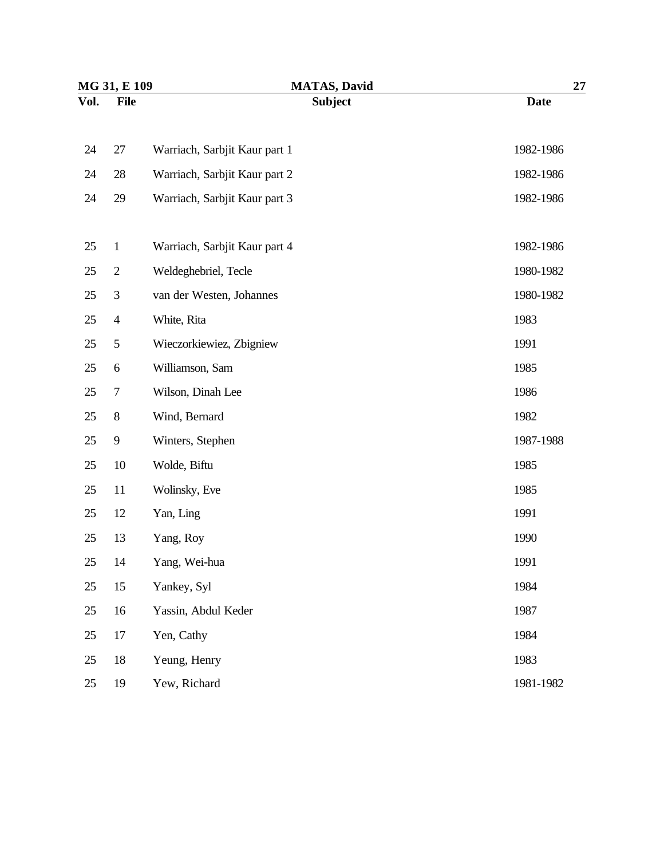| MG 31, E 109 |                | <b>MATAS, David</b>           | <b>27</b>   |  |
|--------------|----------------|-------------------------------|-------------|--|
| Vol.         | <b>File</b>    | <b>Subject</b>                | <b>Date</b> |  |
| 24           | 27             | Warriach, Sarbjit Kaur part 1 | 1982-1986   |  |
| 24           | 28             | Warriach, Sarbjit Kaur part 2 | 1982-1986   |  |
| 24           | 29             | Warriach, Sarbjit Kaur part 3 | 1982-1986   |  |
| 25           | $\mathbf{1}$   | Warriach, Sarbjit Kaur part 4 | 1982-1986   |  |
| 25           | $\overline{2}$ | Weldeghebriel, Tecle          | 1980-1982   |  |
| 25           | $\mathfrak{Z}$ | van der Westen, Johannes      | 1980-1982   |  |
| 25           | $\overline{4}$ | White, Rita                   | 1983        |  |
| 25           | 5              | Wieczorkiewiez, Zbigniew      | 1991        |  |
| 25           | 6              | Williamson, Sam               | 1985        |  |
| 25           | $\tau$         | Wilson, Dinah Lee             | 1986        |  |
| 25           | $8\,$          | Wind, Bernard                 | 1982        |  |
| 25           | 9              | Winters, Stephen              | 1987-1988   |  |
| 25           | 10             | Wolde, Biftu                  | 1985        |  |
| 25           | 11             | Wolinsky, Eve                 | 1985        |  |
| 25           | 12             | Yan, Ling                     | 1991        |  |
| 25           | 13             | Yang, Roy                     | 1990        |  |
| 25           | 14             | Yang, Wei-hua                 | 1991        |  |
| 25           | 15             | Yankey, Syl                   | 1984        |  |
| 25           | 16             | Yassin, Abdul Keder           | 1987        |  |
| 25           | 17             | Yen, Cathy                    | 1984        |  |
| 25           | 18             | Yeung, Henry                  | 1983        |  |
| 25           | 19             | Yew, Richard                  | 1981-1982   |  |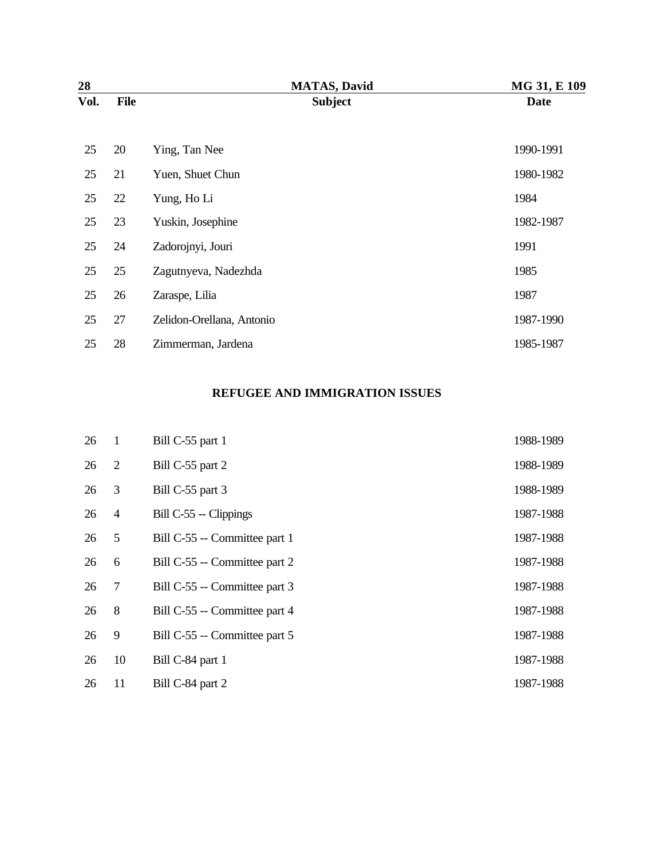| 28   |             | <b>MATAS, David</b>       | MG 31, E 109 |
|------|-------------|---------------------------|--------------|
| Vol. | <b>File</b> | <b>Subject</b>            | <b>Date</b>  |
|      |             |                           |              |
| 25   | 20          | Ying, Tan Nee             | 1990-1991    |
| 25   | 21          | Yuen, Shuet Chun          | 1980-1982    |
| 25   | 22          | Yung, Ho Li               | 1984         |
| 25   | 23          | Yuskin, Josephine         | 1982-1987    |
| 25   | 24          | Zadorojnyi, Jouri         | 1991         |
| 25   | 25          | Zagutnyeva, Nadezhda      | 1985         |
| 25   | 26          | Zaraspe, Lilia            | 1987         |
| 25   | 27          | Zelidon-Orellana, Antonio | 1987-1990    |
| 25   | 28          | Zimmerman, Jardena        | 1985-1987    |

#### **REFUGEE AND IMMIGRATION ISSUES**

| 26 | $\mathbf{1}$   | Bill C-55 part 1              | 1988-1989 |
|----|----------------|-------------------------------|-----------|
| 26 | 2              | Bill C-55 part 2              | 1988-1989 |
| 26 | 3              | Bill C-55 part 3              | 1988-1989 |
| 26 | $\overline{4}$ | Bill C-55 -- Clippings        | 1987-1988 |
| 26 | 5              | Bill C-55 -- Committee part 1 | 1987-1988 |
| 26 | 6              | Bill C-55 -- Committee part 2 | 1987-1988 |
| 26 | $\tau$         | Bill C-55 -- Committee part 3 | 1987-1988 |
| 26 | 8              | Bill C-55 -- Committee part 4 | 1987-1988 |
| 26 | 9              | Bill C-55 -- Committee part 5 | 1987-1988 |
| 26 | 10             | Bill C-84 part 1              | 1987-1988 |
| 26 | 11             | Bill C-84 part 2              | 1987-1988 |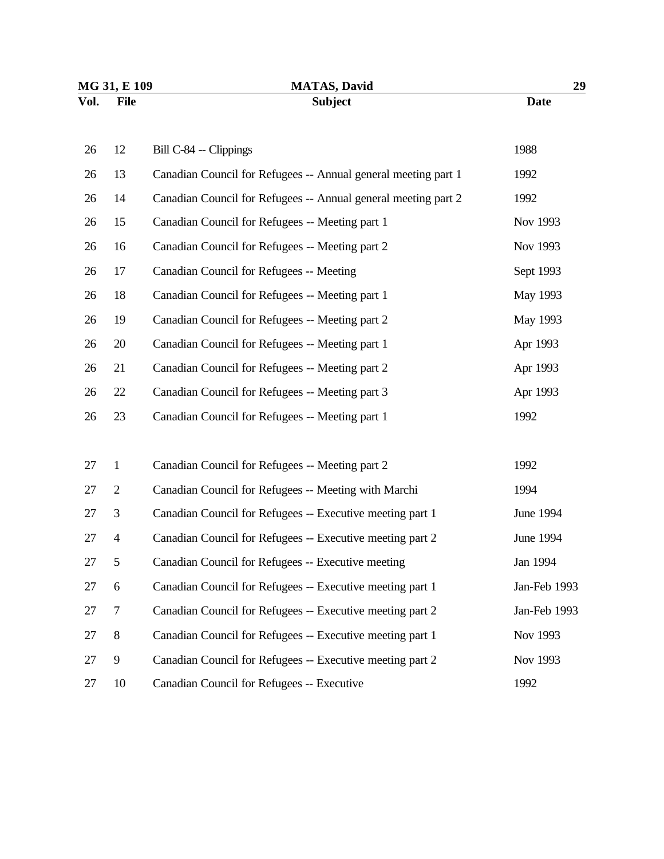| MG 31, E 109 |                | <b>MATAS, David</b>                                            | 29           |  |
|--------------|----------------|----------------------------------------------------------------|--------------|--|
| Vol.         | <b>File</b>    | <b>Subject</b>                                                 | <b>Date</b>  |  |
| 26           | 12             | Bill C-84 -- Clippings                                         | 1988         |  |
| 26           | 13             | Canadian Council for Refugees -- Annual general meeting part 1 | 1992         |  |
| 26           | 14             | Canadian Council for Refugees -- Annual general meeting part 2 | 1992         |  |
| 26           | 15             | Canadian Council for Refugees -- Meeting part 1                | Nov 1993     |  |
| 26           | 16             | Canadian Council for Refugees -- Meeting part 2                | Nov 1993     |  |
| 26           | 17             | Canadian Council for Refugees -- Meeting                       | Sept 1993    |  |
| 26           | 18             | Canadian Council for Refugees -- Meeting part 1                | May 1993     |  |
| 26           | 19             | Canadian Council for Refugees -- Meeting part 2                | May 1993     |  |
| 26           | 20             | Canadian Council for Refugees -- Meeting part 1                | Apr 1993     |  |
| 26           | 21             | Canadian Council for Refugees -- Meeting part 2                | Apr 1993     |  |
| 26           | 22             | Canadian Council for Refugees -- Meeting part 3                | Apr 1993     |  |
| 26           | 23             | Canadian Council for Refugees -- Meeting part 1                | 1992         |  |
|              |                |                                                                |              |  |
| 27           | $\mathbf{1}$   | Canadian Council for Refugees -- Meeting part 2                | 1992         |  |
| 27           | $\overline{2}$ | Canadian Council for Refugees -- Meeting with Marchi           | 1994         |  |
| 27           | 3              | Canadian Council for Refugees -- Executive meeting part 1      | June 1994    |  |
| 27           | $\overline{4}$ | Canadian Council for Refugees -- Executive meeting part 2      | June 1994    |  |
| 27           | 5              | Canadian Council for Refugees -- Executive meeting             | Jan 1994     |  |
| 27           | 6              | Canadian Council for Refugees -- Executive meeting part 1      | Jan-Feb 1993 |  |
| 27           | $\tau$         | Canadian Council for Refugees -- Executive meeting part 2      | Jan-Feb 1993 |  |
| 27           | $8\,$          | Canadian Council for Refugees -- Executive meeting part 1      | Nov 1993     |  |
| 27           | 9              | Canadian Council for Refugees -- Executive meeting part 2      | Nov 1993     |  |
| 27           | 10             | Canadian Council for Refugees -- Executive                     | 1992         |  |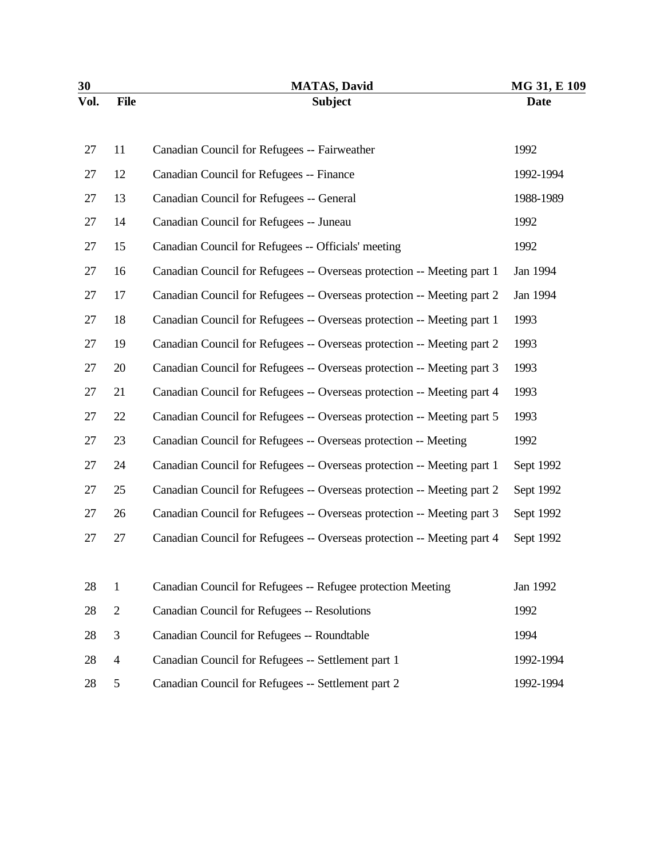| 30   |                | <b>MATAS, David</b>                                                    | MG 31, E 109 |
|------|----------------|------------------------------------------------------------------------|--------------|
| Vol. | <b>File</b>    | <b>Subject</b>                                                         | <b>Date</b>  |
| 27   | 11             | Canadian Council for Refugees -- Fairweather                           | 1992         |
| 27   | 12             | Canadian Council for Refugees -- Finance                               | 1992-1994    |
| 27   | 13             | Canadian Council for Refugees -- General                               | 1988-1989    |
| 27   | 14             | Canadian Council for Refugees -- Juneau                                | 1992         |
| 27   | 15             | Canadian Council for Refugees -- Officials' meeting                    | 1992         |
| 27   | 16             | Canadian Council for Refugees -- Overseas protection -- Meeting part 1 | Jan 1994     |
| 27   | 17             | Canadian Council for Refugees -- Overseas protection -- Meeting part 2 | Jan 1994     |
| 27   | 18             | Canadian Council for Refugees -- Overseas protection -- Meeting part 1 | 1993         |
| 27   | 19             | Canadian Council for Refugees -- Overseas protection -- Meeting part 2 | 1993         |
| 27   | 20             | Canadian Council for Refugees -- Overseas protection -- Meeting part 3 | 1993         |
| 27   | 21             | Canadian Council for Refugees -- Overseas protection -- Meeting part 4 | 1993         |
| 27   | 22             | Canadian Council for Refugees -- Overseas protection -- Meeting part 5 | 1993         |
| 27   | 23             | Canadian Council for Refugees -- Overseas protection -- Meeting        | 1992         |
| 27   | 24             | Canadian Council for Refugees -- Overseas protection -- Meeting part 1 | Sept 1992    |
| 27   | 25             | Canadian Council for Refugees -- Overseas protection -- Meeting part 2 | Sept 1992    |
| 27   | 26             | Canadian Council for Refugees -- Overseas protection -- Meeting part 3 | Sept 1992    |
| 27   | 27             | Canadian Council for Refugees -- Overseas protection -- Meeting part 4 | Sept 1992    |
|      |                |                                                                        |              |
| 28   | $\mathbf{1}$   | Canadian Council for Refugees -- Refugee protection Meeting            | Jan 1992     |
| 28   | $\mathbf{2}$   | Canadian Council for Refugees -- Resolutions                           | 1992         |
| 28   | 3              | Canadian Council for Refugees -- Roundtable                            | 1994         |
| 28   | $\overline{4}$ | Canadian Council for Refugees -- Settlement part 1                     | 1992-1994    |
| 28   | 5              | Canadian Council for Refugees -- Settlement part 2                     | 1992-1994    |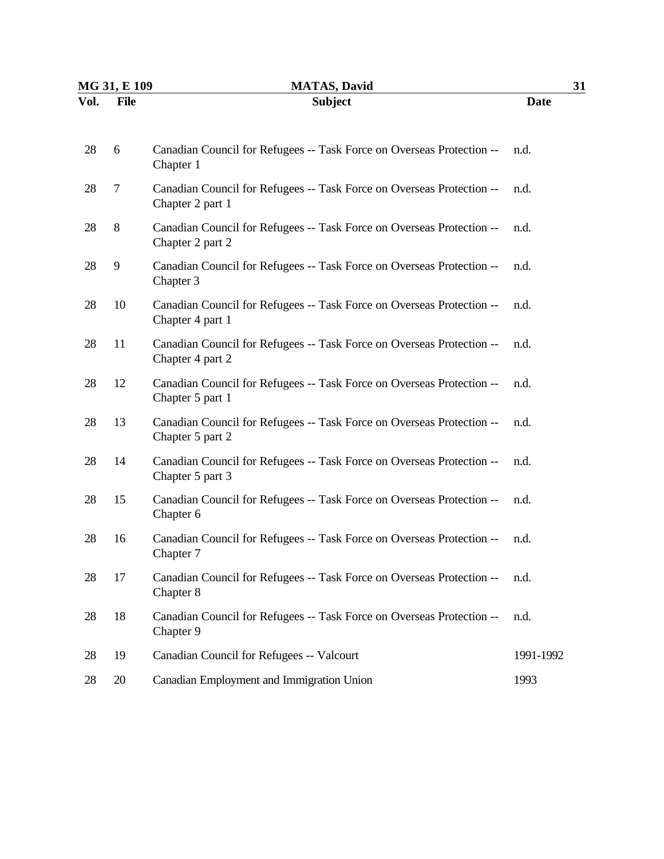| MG 31, E 109 |             | <b>MATAS, David</b>                                                                       | 31          |  |
|--------------|-------------|-------------------------------------------------------------------------------------------|-------------|--|
| Vol.         | <b>File</b> | <b>Subject</b>                                                                            | <b>Date</b> |  |
| 28           | 6           | Canadian Council for Refugees -- Task Force on Overseas Protection --<br>Chapter 1        | n.d.        |  |
| 28           | 7           | Canadian Council for Refugees -- Task Force on Overseas Protection --<br>Chapter 2 part 1 | n.d.        |  |
| 28           | 8           | Canadian Council for Refugees -- Task Force on Overseas Protection --<br>Chapter 2 part 2 | n.d.        |  |
| 28           | 9           | Canadian Council for Refugees -- Task Force on Overseas Protection --<br>Chapter 3        | n.d.        |  |
| 28           | 10          | Canadian Council for Refugees -- Task Force on Overseas Protection --<br>Chapter 4 part 1 | n.d.        |  |
| 28           | 11          | Canadian Council for Refugees -- Task Force on Overseas Protection --<br>Chapter 4 part 2 | n.d.        |  |
| 28           | 12          | Canadian Council for Refugees -- Task Force on Overseas Protection --<br>Chapter 5 part 1 | n.d.        |  |
| 28           | 13          | Canadian Council for Refugees -- Task Force on Overseas Protection --<br>Chapter 5 part 2 | n.d.        |  |
| 28           | 14          | Canadian Council for Refugees -- Task Force on Overseas Protection --<br>Chapter 5 part 3 | n.d.        |  |
| 28           | 15          | Canadian Council for Refugees -- Task Force on Overseas Protection --<br>Chapter 6        | n.d.        |  |
| 28           | 16          | Canadian Council for Refugees -- Task Force on Overseas Protection --<br>Chapter 7        | n.d.        |  |
| 28           | 17          | Canadian Council for Refugees -- Task Force on Overseas Protection --<br>Chapter 8        | n.d.        |  |
| 28           | 18          | Canadian Council for Refugees -- Task Force on Overseas Protection --<br>Chapter 9        | n.d.        |  |
| 28           | 19          | Canadian Council for Refugees -- Valcourt                                                 | 1991-1992   |  |
| 28           | 20          | Canadian Employment and Immigration Union                                                 | 1993        |  |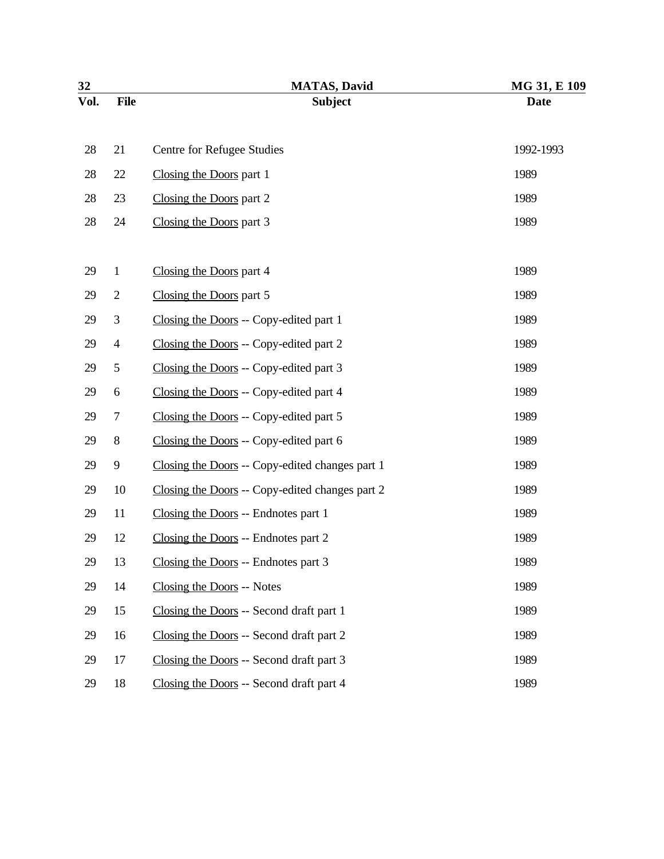| 32   |                  | <b>MATAS, David</b>                             | MG 31, E 109 |
|------|------------------|-------------------------------------------------|--------------|
| Vol. | <b>File</b>      | <b>Subject</b>                                  | <b>Date</b>  |
|      |                  |                                                 |              |
| 28   | 21               | Centre for Refugee Studies                      | 1992-1993    |
| 28   | 22               | Closing the Doors part 1                        | 1989         |
| 28   | 23               | Closing the Doors part 2                        | 1989         |
| 28   | 24               | Closing the Doors part 3                        | 1989         |
|      |                  |                                                 |              |
| 29   | $\mathbf{1}$     | Closing the Doors part 4                        | 1989         |
| 29   | $\overline{2}$   | Closing the Doors part 5                        | 1989         |
| 29   | 3                | Closing the Doors -- Copy-edited part 1         | 1989         |
| 29   | $\overline{4}$   | Closing the Doors -- Copy-edited part 2         | 1989         |
| 29   | 5                | Closing the Doors -- Copy-edited part 3         | 1989         |
| 29   | 6                | Closing the Doors -- Copy-edited part 4         | 1989         |
| 29   | $\tau$           | Closing the Doors -- Copy-edited part 5         | 1989         |
| 29   | 8                | Closing the Doors -- Copy-edited part 6         | 1989         |
| 29   | $\boldsymbol{9}$ | Closing the Doors -- Copy-edited changes part 1 | 1989         |
| 29   | 10               | Closing the Doors -- Copy-edited changes part 2 | 1989         |
| 29   | 11               | Closing the Doors -- Endnotes part 1            | 1989         |
| 29   | 12               | Closing the Doors -- Endnotes part 2            | 1989         |
| 29   | 13               | Closing the Doors -- Endnotes part 3            | 1989         |
| 29   | 14               | Closing the Doors -- Notes                      | 1989         |
| 29   | 15               | Closing the Doors -- Second draft part 1        | 1989         |
| 29   | 16               | Closing the Doors -- Second draft part 2        | 1989         |
| 29   | 17               | Closing the Doors -- Second draft part 3        | 1989         |
| 29   | 18               | Closing the Doors -- Second draft part 4        | 1989         |
|      |                  |                                                 |              |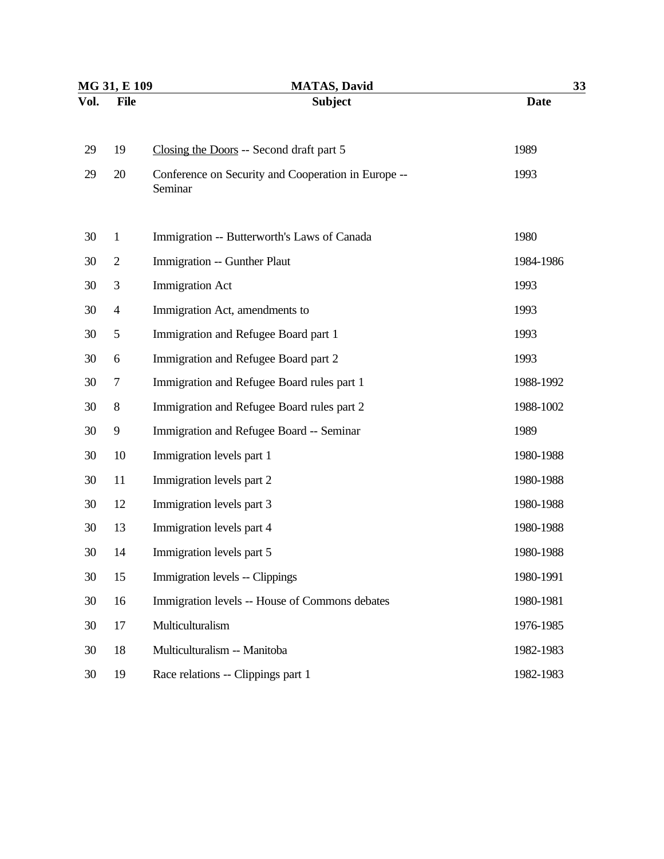| MG 31, E 109 |                | <b>MATAS, David</b>                                            | 33          |  |
|--------------|----------------|----------------------------------------------------------------|-------------|--|
| Vol.         | <b>File</b>    | <b>Subject</b>                                                 | <b>Date</b> |  |
| 29           | 19             | Closing the Doors -- Second draft part 5                       | 1989        |  |
| 29           | 20             | Conference on Security and Cooperation in Europe --<br>Seminar | 1993        |  |
| 30           | $\mathbf{1}$   | Immigration -- Butterworth's Laws of Canada                    | 1980        |  |
| 30           | $\mathbf{2}$   | Immigration -- Gunther Plaut                                   | 1984-1986   |  |
| 30           | 3              | <b>Immigration Act</b>                                         | 1993        |  |
| 30           | $\overline{4}$ | Immigration Act, amendments to                                 | 1993        |  |
| 30           | 5              | Immigration and Refugee Board part 1                           | 1993        |  |
| 30           | 6              | Immigration and Refugee Board part 2                           | 1993        |  |
| 30           | 7              | Immigration and Refugee Board rules part 1                     | 1988-1992   |  |
| 30           | $8\,$          | Immigration and Refugee Board rules part 2                     | 1988-1002   |  |
| 30           | 9              | Immigration and Refugee Board -- Seminar                       | 1989        |  |
| 30           | 10             | Immigration levels part 1                                      | 1980-1988   |  |
| 30           | 11             | Immigration levels part 2                                      | 1980-1988   |  |
| 30           | 12             | Immigration levels part 3                                      | 1980-1988   |  |
| 30           | 13             | Immigration levels part 4                                      | 1980-1988   |  |
| 30           | 14             | Immigration levels part 5                                      | 1980-1988   |  |
| 30           | 15             | Immigration levels -- Clippings                                | 1980-1991   |  |
| 30           | 16             | Immigration levels -- House of Commons debates                 | 1980-1981   |  |
| 30           | 17             | Multiculturalism                                               | 1976-1985   |  |
| 30           | 18             | Multiculturalism -- Manitoba                                   | 1982-1983   |  |
| 30           | 19             | Race relations -- Clippings part 1                             | 1982-1983   |  |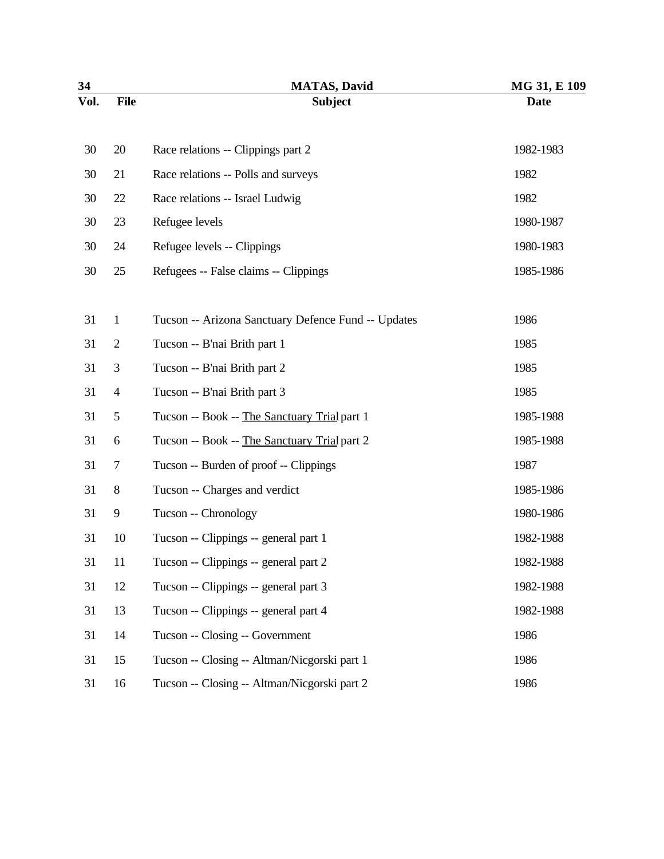| 34   |                | <b>MATAS, David</b>                                 | MG 31, E 109 |
|------|----------------|-----------------------------------------------------|--------------|
| Vol. | <b>File</b>    | <b>Subject</b>                                      | <b>Date</b>  |
| 30   | 20             | Race relations -- Clippings part 2                  | 1982-1983    |
| 30   | 21             | Race relations -- Polls and surveys                 | 1982         |
| 30   | 22             | Race relations -- Israel Ludwig                     | 1982         |
| 30   | 23             | Refugee levels                                      | 1980-1987    |
| 30   | 24             | Refugee levels -- Clippings                         | 1980-1983    |
| 30   | 25             | Refugees -- False claims -- Clippings               | 1985-1986    |
| 31   | $\mathbf{1}$   | Tucson -- Arizona Sanctuary Defence Fund -- Updates | 1986         |
| 31   | $\mathbf{2}$   | Tucson -- B'nai Brith part 1                        | 1985         |
| 31   | 3              | Tucson -- B'nai Brith part 2                        | 1985         |
| 31   | $\overline{4}$ | Tucson -- B'nai Brith part 3                        | 1985         |
| 31   | 5              | Tucson -- Book -- The Sanctuary Trial part 1        | 1985-1988    |
| 31   | 6              | Tucson -- Book -- The Sanctuary Trial part 2        | 1985-1988    |
| 31   | 7              | Tucson -- Burden of proof -- Clippings              | 1987         |
| 31   | $8\,$          | Tucson -- Charges and verdict                       | 1985-1986    |
| 31   | 9              | Tucson -- Chronology                                | 1980-1986    |
| 31   | 10             | Tucson -- Clippings -- general part 1               | 1982-1988    |
| 31   | 11             | Tucson -- Clippings -- general part 2               | 1982-1988    |
| 31   | 12             | Tucson -- Clippings -- general part 3               | 1982-1988    |
| 31   | 13             | Tucson -- Clippings -- general part 4               | 1982-1988    |
| 31   | 14             | Tucson -- Closing -- Government                     | 1986         |
| 31   | 15             | Tucson -- Closing -- Altman/Nicgorski part 1        | 1986         |
| 31   | 16             | Tucson -- Closing -- Altman/Nicgorski part 2        | 1986         |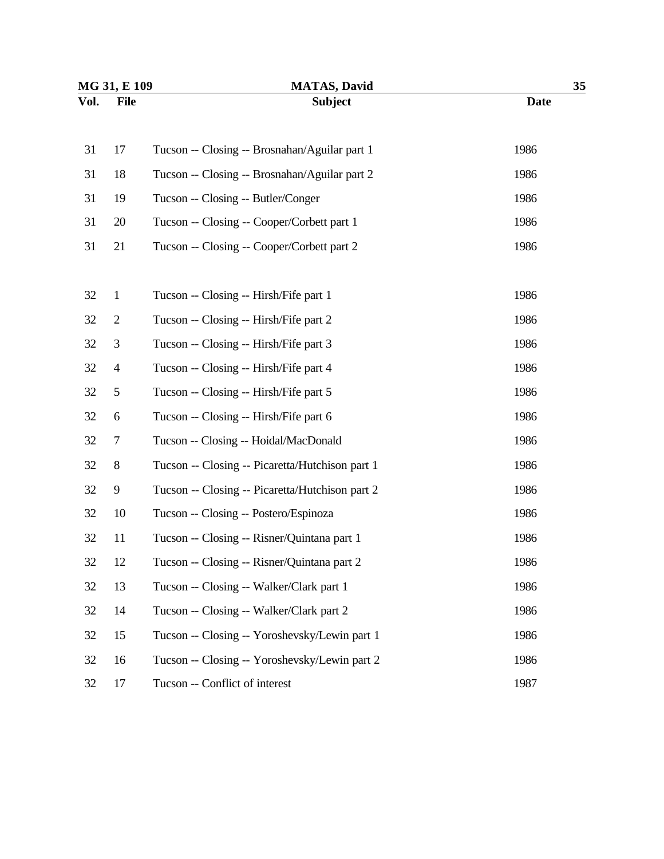| MG 31, E 109 |                | <b>MATAS, David</b>                             | 35          |  |
|--------------|----------------|-------------------------------------------------|-------------|--|
| Vol.         | <b>File</b>    | <b>Subject</b>                                  | <b>Date</b> |  |
|              |                |                                                 |             |  |
| 31           | 17             | Tucson -- Closing -- Brosnahan/Aguilar part 1   | 1986        |  |
| 31           | 18             | Tucson -- Closing -- Brosnahan/Aguilar part 2   | 1986        |  |
| 31           | 19             | Tucson -- Closing -- Butler/Conger              | 1986        |  |
| 31           | 20             | Tucson -- Closing -- Cooper/Corbett part 1      | 1986        |  |
| 31           | 21             | Tucson -- Closing -- Cooper/Corbett part 2      | 1986        |  |
|              |                |                                                 |             |  |
| 32           | $\mathbf{1}$   | Tucson -- Closing -- Hirsh/Fife part 1          | 1986        |  |
| 32           | $\mathbf{2}$   | Tucson -- Closing -- Hirsh/Fife part 2          | 1986        |  |
| 32           | 3              | Tucson -- Closing -- Hirsh/Fife part 3          | 1986        |  |
| 32           | $\overline{4}$ | Tucson -- Closing -- Hirsh/Fife part 4          | 1986        |  |
| 32           | $\sqrt{5}$     | Tucson -- Closing -- Hirsh/Fife part 5          | 1986        |  |
| 32           | 6              | Tucson -- Closing -- Hirsh/Fife part 6          | 1986        |  |
| 32           | 7              | Tucson -- Closing -- Hoidal/MacDonald           | 1986        |  |
| 32           | $\, 8$         | Tucson -- Closing -- Picaretta/Hutchison part 1 | 1986        |  |
| 32           | 9              | Tucson -- Closing -- Picaretta/Hutchison part 2 | 1986        |  |
| 32           | 10             | Tucson -- Closing -- Postero/Espinoza           | 1986        |  |
| 32           | 11             | Tucson -- Closing -- Risner/Quintana part 1     | 1986        |  |
| 32           | 12             | Tucson -- Closing -- Risner/Quintana part 2     | 1986        |  |
| 32           | 13             | Tucson -- Closing -- Walker/Clark part 1        | 1986        |  |
| 32           | 14             | Tucson -- Closing -- Walker/Clark part 2        | 1986        |  |
| 32           | 15             | Tucson -- Closing -- Yoroshevsky/Lewin part 1   | 1986        |  |
| 32           | 16             | Tucson -- Closing -- Yoroshevsky/Lewin part 2   | 1986        |  |
| 32           | 17             | Tucson -- Conflict of interest                  | 1987        |  |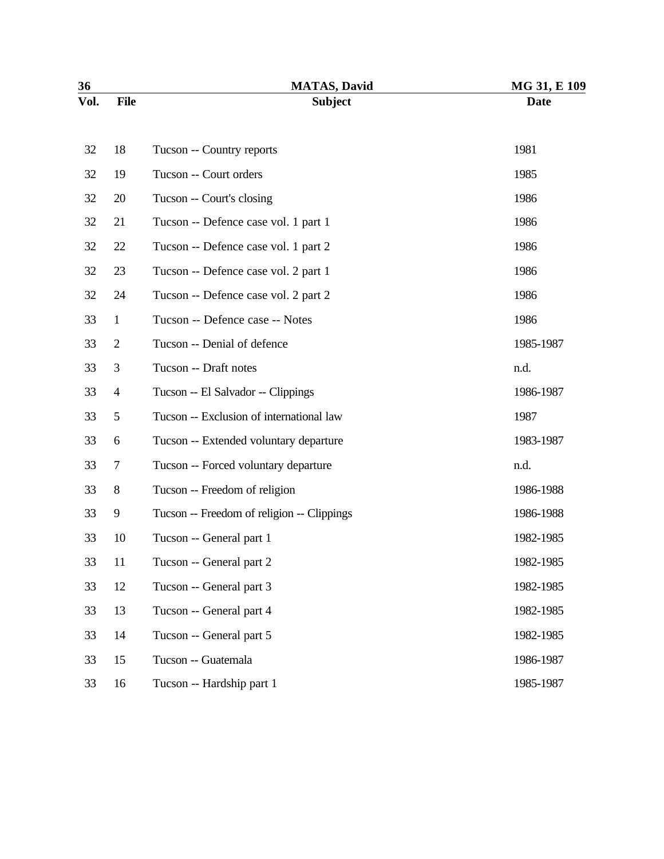| 36   |                | <b>MATAS, David</b>                        | MG 31, E 109 |
|------|----------------|--------------------------------------------|--------------|
| Vol. | <b>File</b>    | <b>Subject</b>                             | <b>Date</b>  |
| 32   | 18             | Tucson -- Country reports                  | 1981         |
| 32   | 19             | Tucson -- Court orders                     | 1985         |
| 32   | 20             | Tucson -- Court's closing                  | 1986         |
| 32   | 21             | Tucson -- Defence case vol. 1 part 1       | 1986         |
| 32   | 22             | Tucson -- Defence case vol. 1 part 2       | 1986         |
| 32   | 23             | Tucson -- Defence case vol. 2 part 1       | 1986         |
| 32   | 24             | Tucson -- Defence case vol. 2 part 2       | 1986         |
| 33   | $\mathbf 1$    | Tucson -- Defence case -- Notes            | 1986         |
| 33   | $\overline{2}$ | Tucson -- Denial of defence                | 1985-1987    |
| 33   | 3              | Tucson -- Draft notes                      | n.d.         |
| 33   | $\overline{4}$ | Tucson -- El Salvador -- Clippings         | 1986-1987    |
| 33   | 5              | Tucson -- Exclusion of international law   | 1987         |
| 33   | 6              | Tucson -- Extended voluntary departure     | 1983-1987    |
| 33   | $\tau$         | Tucson -- Forced voluntary departure       | n.d.         |
| 33   | 8              | Tucson -- Freedom of religion              | 1986-1988    |
| 33   | 9              | Tucson -- Freedom of religion -- Clippings | 1986-1988    |
| 33   | 10             | Tucson -- General part 1                   | 1982-1985    |
| 33   | 11             | Tucson -- General part 2                   | 1982-1985    |
| 33   | 12             | Tucson -- General part 3                   | 1982-1985    |
| 33   | 13             | Tucson -- General part 4                   | 1982-1985    |
| 33   | 14             | Tucson -- General part 5                   | 1982-1985    |
| 33   | 15             | Tucson -- Guatemala                        | 1986-1987    |
| 33   | 16             | Tucson -- Hardship part 1                  | 1985-1987    |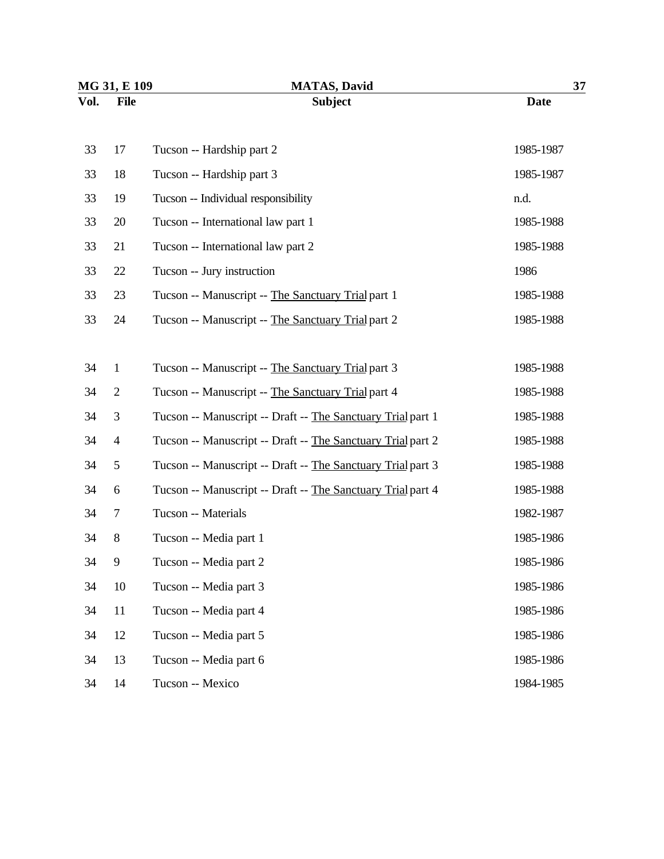| MG 31, E 109 |                | <b>MATAS, David</b>                                         | 37          |  |
|--------------|----------------|-------------------------------------------------------------|-------------|--|
| Vol.         | <b>File</b>    | <b>Subject</b>                                              | <b>Date</b> |  |
| 33           | 17             | Tucson -- Hardship part 2                                   | 1985-1987   |  |
| 33           | 18             | Tucson -- Hardship part 3                                   | 1985-1987   |  |
| 33           | 19             | Tucson -- Individual responsibility                         | n.d.        |  |
| 33           | 20             | Tucson -- International law part 1                          | 1985-1988   |  |
| 33           | 21             | Tucson -- International law part 2                          | 1985-1988   |  |
| 33           | 22             | Tucson -- Jury instruction                                  | 1986        |  |
| 33           | 23             | Tucson -- Manuscript -- The Sanctuary Trial part 1          | 1985-1988   |  |
| 33           | 24             | Tucson -- Manuscript -- The Sanctuary Trial part 2          | 1985-1988   |  |
|              |                |                                                             |             |  |
| 34           | $\mathbf{1}$   | Tucson -- Manuscript -- The Sanctuary Trial part 3          | 1985-1988   |  |
| 34           | $\mathbf{2}$   | Tucson -- Manuscript -- The Sanctuary Trial part 4          | 1985-1988   |  |
| 34           | 3              | Tucson -- Manuscript -- Draft -- The Sanctuary Trial part 1 | 1985-1988   |  |
| 34           | $\overline{4}$ | Tucson -- Manuscript -- Draft -- The Sanctuary Trial part 2 | 1985-1988   |  |
| 34           | 5              | Tucson -- Manuscript -- Draft -- The Sanctuary Trial part 3 | 1985-1988   |  |
| 34           | 6              | Tucson -- Manuscript -- Draft -- The Sanctuary Trial part 4 | 1985-1988   |  |
| 34           | 7              | Tucson -- Materials                                         | 1982-1987   |  |
| 34           | $8\,$          | Tucson -- Media part 1                                      | 1985-1986   |  |
| 34           | 9              | Tucson -- Media part 2                                      | 1985-1986   |  |
| 34           | 10             | Tucson -- Media part 3                                      | 1985-1986   |  |
| 34           | 11             | Tucson -- Media part 4                                      | 1985-1986   |  |
| 34           | 12             | Tucson -- Media part 5                                      | 1985-1986   |  |
| 34           | 13             | Tucson -- Media part 6                                      | 1985-1986   |  |
| 34           | 14             | Tucson -- Mexico                                            | 1984-1985   |  |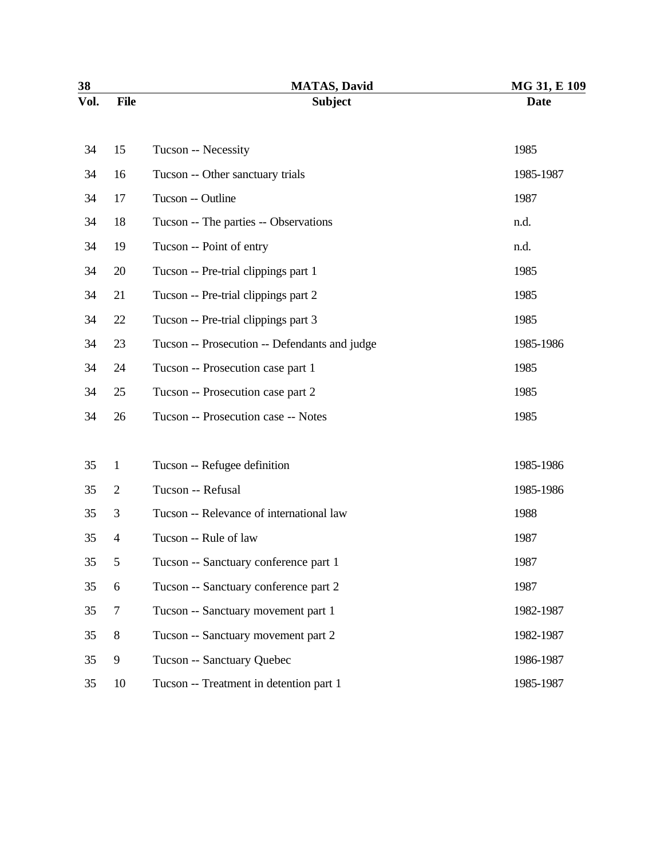| 38   |                | <b>MATAS, David</b>                           | MG 31, E 109 |
|------|----------------|-----------------------------------------------|--------------|
| Vol. | <b>File</b>    | <b>Subject</b>                                | <b>Date</b>  |
| 34   | 15             | Tucson -- Necessity                           | 1985         |
| 34   | 16             | Tucson -- Other sanctuary trials              | 1985-1987    |
| 34   | 17             | Tucson -- Outline                             | 1987         |
| 34   | 18             | Tucson -- The parties -- Observations         | n.d.         |
| 34   | 19             | Tucson -- Point of entry                      | n.d.         |
| 34   | 20             | Tucson -- Pre-trial clippings part 1          | 1985         |
| 34   | 21             | Tucson -- Pre-trial clippings part 2          | 1985         |
| 34   | 22             | Tucson -- Pre-trial clippings part 3          | 1985         |
| 34   | 23             | Tucson -- Prosecution -- Defendants and judge | 1985-1986    |
| 34   | 24             | Tucson -- Prosecution case part 1             | 1985         |
| 34   | 25             | Tucson -- Prosecution case part 2             | 1985         |
| 34   | 26             | Tucson -- Prosecution case -- Notes           | 1985         |
| 35   | $\mathbf{1}$   | Tucson -- Refugee definition                  | 1985-1986    |
| 35   | $\overline{2}$ | Tucson -- Refusal                             | 1985-1986    |
| 35   | 3              | Tucson -- Relevance of international law      | 1988         |
| 35   | $\overline{4}$ | Tucson -- Rule of law                         | 1987         |
| 35   | 5              | Tucson -- Sanctuary conference part 1         | 1987         |
| 35   | 6              | Tucson -- Sanctuary conference part 2         | 1987         |
| 35   | $\tau$         | Tucson -- Sanctuary movement part 1           | 1982-1987    |
| 35   | $8\,$          | Tucson -- Sanctuary movement part 2           | 1982-1987    |
| 35   | 9              | Tucson -- Sanctuary Quebec                    | 1986-1987    |
| 35   | 10             | Tucson -- Treatment in detention part 1       | 1985-1987    |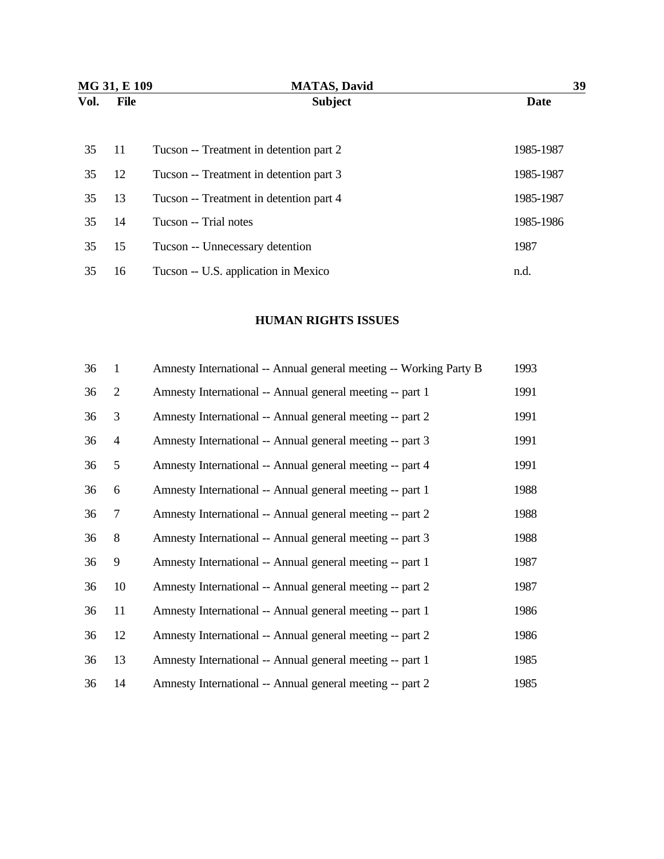| MG 31, E 109 |      | <b>MATAS, David</b>                     | 39        |  |
|--------------|------|-----------------------------------------|-----------|--|
| Vol.         | File | <b>Subject</b>                          | Date      |  |
| 35           | 11   | Tucson -- Treatment in detention part 2 | 1985-1987 |  |
| 35           | 12   | Tucson -- Treatment in detention part 3 | 1985-1987 |  |
| 35           | 13   | Tucson -- Treatment in detention part 4 | 1985-1987 |  |
| 35           | 14   | Tucson -- Trial notes                   | 1985-1986 |  |
| 35           | 15   | Tucson -- Unnecessary detention         | 1987      |  |
| 35           | 16   | Tucson -- U.S. application in Mexico    | n.d.      |  |

## **HUMAN RIGHTS ISSUES**

| 36 | $\mathbf{1}$   | Amnesty International -- Annual general meeting -- Working Party B | 1993 |
|----|----------------|--------------------------------------------------------------------|------|
| 36 | $\overline{2}$ | Amnesty International -- Annual general meeting -- part 1          | 1991 |
| 36 | $\mathfrak{Z}$ | Amnesty International -- Annual general meeting -- part 2          | 1991 |
| 36 | $\overline{4}$ | Amnesty International -- Annual general meeting -- part 3          | 1991 |
| 36 | $\mathfrak{S}$ | Amnesty International -- Annual general meeting -- part 4          | 1991 |
| 36 | 6              | Amnesty International -- Annual general meeting -- part 1          | 1988 |
| 36 | $\overline{7}$ | Amnesty International -- Annual general meeting -- part 2          | 1988 |
| 36 | $\, 8$         | Amnesty International -- Annual general meeting -- part 3          | 1988 |
| 36 | $\overline{9}$ | Amnesty International -- Annual general meeting -- part 1          | 1987 |
| 36 | 10             | Amnesty International -- Annual general meeting -- part 2          | 1987 |
| 36 | 11             | Amnesty International -- Annual general meeting -- part 1          | 1986 |
| 36 | 12             | Amnesty International -- Annual general meeting -- part 2          | 1986 |
| 36 | 13             | Amnesty International -- Annual general meeting -- part 1          | 1985 |
| 36 | 14             | Amnesty International -- Annual general meeting -- part 2          | 1985 |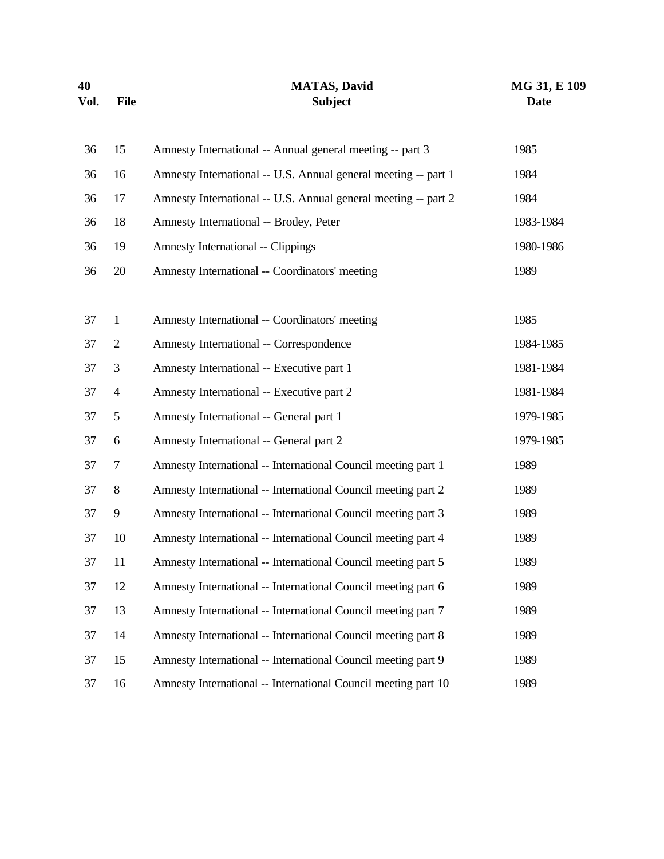| 40   |                | <b>MATAS, David</b>                                            | MG 31, E 109 |
|------|----------------|----------------------------------------------------------------|--------------|
| Vol. | <b>File</b>    | <b>Subject</b>                                                 | <b>Date</b>  |
| 36   | 15             | Amnesty International -- Annual general meeting -- part 3      | 1985         |
| 36   | 16             | Amnesty International -- U.S. Annual general meeting -- part 1 | 1984         |
| 36   | 17             | Amnesty International -- U.S. Annual general meeting -- part 2 | 1984         |
| 36   | 18             | Amnesty International -- Brodey, Peter                         | 1983-1984    |
| 36   | 19             | <b>Amnesty International -- Clippings</b>                      | 1980-1986    |
| 36   | 20             | Amnesty International -- Coordinators' meeting                 | 1989         |
| 37   | $\mathbf{1}$   | Amnesty International -- Coordinators' meeting                 | 1985         |
| 37   | $\overline{c}$ | Amnesty International -- Correspondence                        | 1984-1985    |
| 37   | 3              | Amnesty International -- Executive part 1                      | 1981-1984    |
| 37   | $\overline{4}$ | Amnesty International -- Executive part 2                      | 1981-1984    |
| 37   | 5              | Amnesty International -- General part 1                        | 1979-1985    |
| 37   | 6              | Amnesty International -- General part 2                        | 1979-1985    |
| 37   | 7              | Amnesty International -- International Council meeting part 1  | 1989         |
| 37   | 8              | Amnesty International -- International Council meeting part 2  | 1989         |
| 37   | 9              | Amnesty International -- International Council meeting part 3  | 1989         |
| 37   | 10             | Amnesty International -- International Council meeting part 4  | 1989         |
| 37   | 11             | Amnesty International -- International Council meeting part 5  | 1989         |
| 37   | 12             | Amnesty International -- International Council meeting part 6  | 1989         |
| 37   | 13             | Amnesty International -- International Council meeting part 7  | 1989         |
| 37   | 14             | Amnesty International -- International Council meeting part 8  | 1989         |
| 37   | 15             | Amnesty International -- International Council meeting part 9  | 1989         |
| 37   | 16             | Amnesty International -- International Council meeting part 10 | 1989         |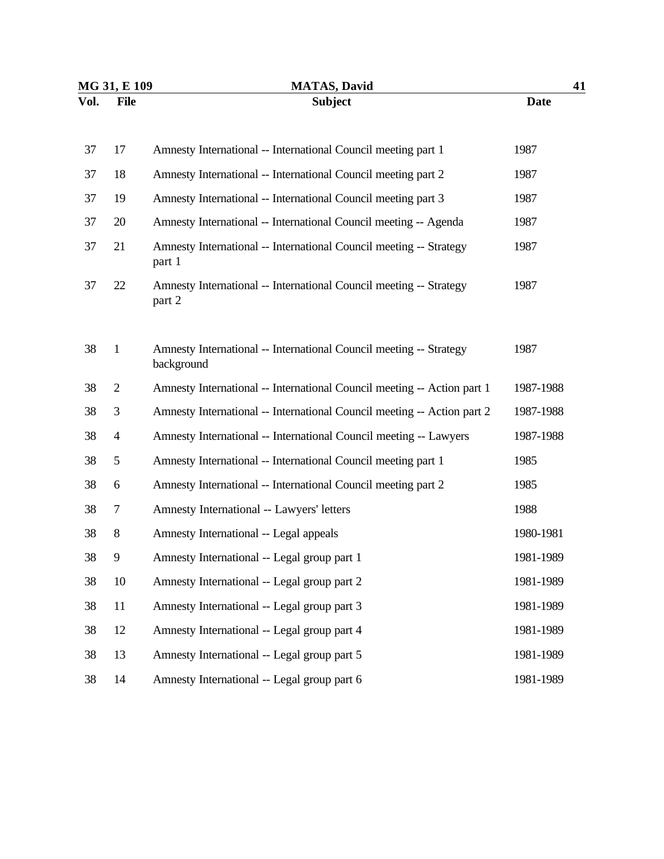| MG 31, E 109 |              | <b>MATAS, David</b>                                                              | 41          |
|--------------|--------------|----------------------------------------------------------------------------------|-------------|
| Vol.         | <b>File</b>  | <b>Subject</b>                                                                   | <b>Date</b> |
|              |              |                                                                                  |             |
| 37           | 17           | Amnesty International -- International Council meeting part 1                    | 1987        |
| 37           | 18           | Amnesty International -- International Council meeting part 2                    | 1987        |
| 37           | 19           | Amnesty International -- International Council meeting part 3                    | 1987        |
| 37           | 20           | Amnesty International -- International Council meeting -- Agenda                 | 1987        |
| 37           | 21           | Amnesty International -- International Council meeting -- Strategy<br>part 1     | 1987        |
| 37           | 22           | Amnesty International -- International Council meeting -- Strategy<br>part 2     | 1987        |
| 38           | $\mathbf{1}$ | Amnesty International -- International Council meeting -- Strategy<br>background | 1987        |
| 38           | $\mathbf{2}$ | Amnesty International -- International Council meeting -- Action part 1          | 1987-1988   |
| 38           | 3            | Amnesty International -- International Council meeting -- Action part 2          | 1987-1988   |
| 38           | 4            | Amnesty International -- International Council meeting -- Lawyers                | 1987-1988   |
| 38           | 5            | Amnesty International -- International Council meeting part 1                    | 1985        |
| 38           | 6            | Amnesty International -- International Council meeting part 2                    | 1985        |
| 38           | 7            | Amnesty International -- Lawyers' letters                                        | 1988        |
| 38           | $8\,$        | Amnesty International -- Legal appeals                                           | 1980-1981   |
| 38           | 9            | Amnesty International -- Legal group part 1                                      | 1981-1989   |
| 38           | 10           | Amnesty International -- Legal group part 2                                      | 1981-1989   |
| 38           | 11           | Amnesty International -- Legal group part 3                                      | 1981-1989   |
| 38           | 12           | Amnesty International -- Legal group part 4                                      | 1981-1989   |
| 38           | 13           | Amnesty International -- Legal group part 5                                      | 1981-1989   |
| 38           | 14           | Amnesty International -- Legal group part 6                                      | 1981-1989   |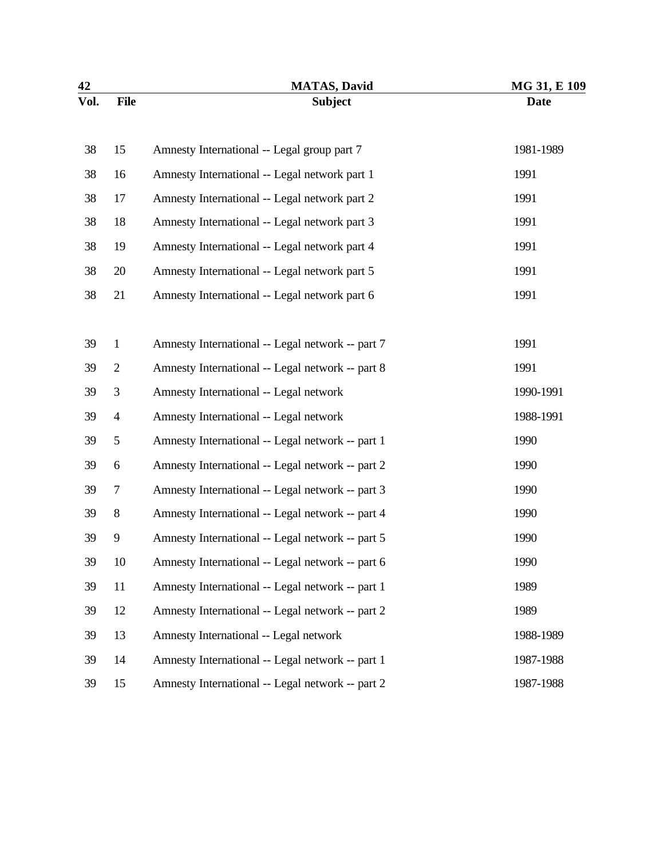| 42   |                | <b>MATAS, David</b>                              | MG 31, E 109 |
|------|----------------|--------------------------------------------------|--------------|
| Vol. | <b>File</b>    | <b>Subject</b>                                   | <b>Date</b>  |
| 38   | 15             | Amnesty International -- Legal group part 7      | 1981-1989    |
| 38   | 16             | Amnesty International -- Legal network part 1    | 1991         |
| 38   | 17             | Amnesty International -- Legal network part 2    | 1991         |
| 38   | 18             | Amnesty International -- Legal network part 3    | 1991         |
| 38   | 19             | Amnesty International -- Legal network part 4    | 1991         |
| 38   | 20             | Amnesty International -- Legal network part 5    | 1991         |
| 38   | 21             | Amnesty International -- Legal network part 6    | 1991         |
| 39   | $\,1$          | Amnesty International -- Legal network -- part 7 | 1991         |
| 39   | $\overline{c}$ | Amnesty International -- Legal network -- part 8 | 1991         |
| 39   | $\mathfrak{Z}$ | Amnesty International -- Legal network           | 1990-1991    |
| 39   | $\overline{4}$ | Amnesty International -- Legal network           | 1988-1991    |
| 39   | 5              | Amnesty International -- Legal network -- part 1 | 1990         |
| 39   | 6              | Amnesty International -- Legal network -- part 2 | 1990         |
| 39   | 7              | Amnesty International -- Legal network -- part 3 | 1990         |
| 39   | $8\,$          | Amnesty International -- Legal network -- part 4 | 1990         |
| 39   | 9              | Amnesty International -- Legal network -- part 5 | 1990         |
| 39   | 10             | Amnesty International -- Legal network -- part 6 | 1990         |
| 39   | 11             | Amnesty International -- Legal network -- part 1 | 1989         |
| 39   | 12             | Amnesty International -- Legal network -- part 2 | 1989         |
| 39   | 13             | Amnesty International -- Legal network           | 1988-1989    |
| 39   | 14             | Amnesty International -- Legal network -- part 1 | 1987-1988    |
| 39   | 15             | Amnesty International -- Legal network -- part 2 | 1987-1988    |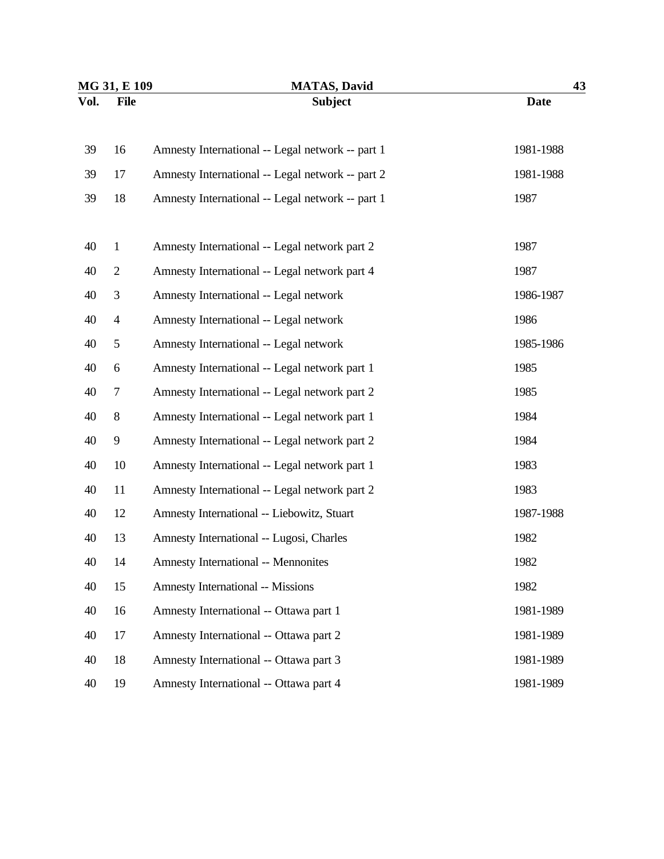| MG 31, E 109 |                | <b>MATAS</b> , David                             | 43          |  |
|--------------|----------------|--------------------------------------------------|-------------|--|
| Vol.         | <b>File</b>    | <b>Subject</b>                                   | <b>Date</b> |  |
| 39           | 16             | Amnesty International -- Legal network -- part 1 | 1981-1988   |  |
| 39           | 17             | Amnesty International -- Legal network -- part 2 | 1981-1988   |  |
| 39           | 18             | Amnesty International -- Legal network -- part 1 | 1987        |  |
| 40           | $\mathbf{1}$   | Amnesty International -- Legal network part 2    | 1987        |  |
| 40           | $\overline{2}$ | Amnesty International -- Legal network part 4    | 1987        |  |
| 40           | 3              | Amnesty International -- Legal network           | 1986-1987   |  |
| 40           | $\overline{4}$ | Amnesty International -- Legal network           | 1986        |  |
| 40           | 5              | Amnesty International -- Legal network           | 1985-1986   |  |
| 40           | 6              | Amnesty International -- Legal network part 1    | 1985        |  |
| 40           | 7              | Amnesty International -- Legal network part 2    | 1985        |  |
| 40           | 8              | Amnesty International -- Legal network part 1    | 1984        |  |
| 40           | 9              | Amnesty International -- Legal network part 2    | 1984        |  |
| 40           | 10             | Amnesty International -- Legal network part 1    | 1983        |  |
| 40           | 11             | Amnesty International -- Legal network part 2    | 1983        |  |
| 40           | 12             | Amnesty International -- Liebowitz, Stuart       | 1987-1988   |  |
| 40           | 13             | Amnesty International -- Lugosi, Charles         | 1982        |  |
| 40           | 14             | <b>Amnesty International -- Mennonites</b>       | 1982        |  |
| 40           | 15             | <b>Amnesty International -- Missions</b>         | 1982        |  |
| 40           | 16             | Amnesty International -- Ottawa part 1           | 1981-1989   |  |
| 40           | 17             | Amnesty International -- Ottawa part 2           | 1981-1989   |  |
| 40           | 18             | Amnesty International -- Ottawa part 3           | 1981-1989   |  |
| 40           | 19             | Amnesty International -- Ottawa part 4           | 1981-1989   |  |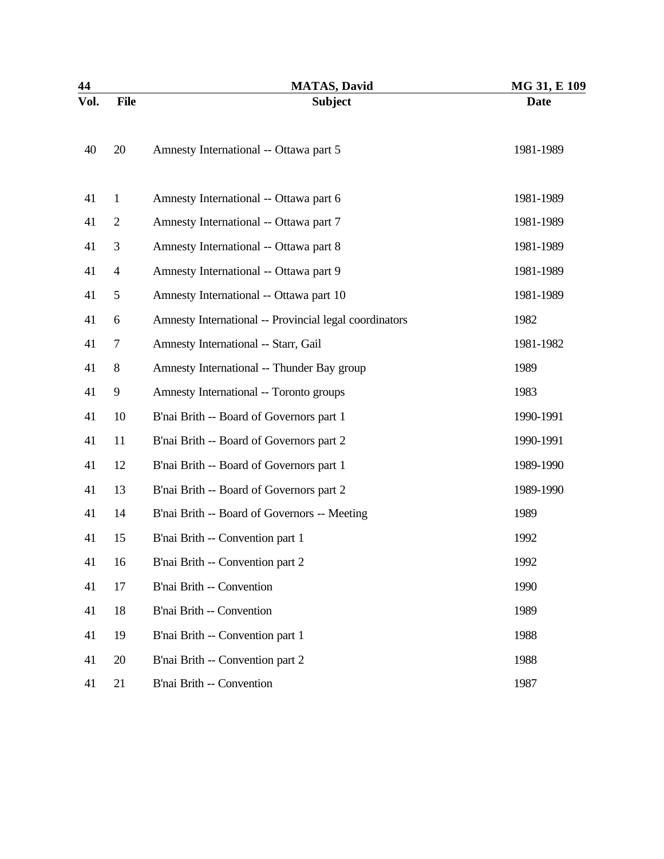| 44   |                | <b>MATAS, David</b>                                    | MG 31, E 109 |
|------|----------------|--------------------------------------------------------|--------------|
| Vol. | <b>File</b>    | <b>Subject</b>                                         | <b>Date</b>  |
| 40   | 20             | Amnesty International -- Ottawa part 5                 | 1981-1989    |
| 41   | $\mathbf{1}$   | Amnesty International -- Ottawa part 6                 | 1981-1989    |
| 41   | $\overline{2}$ | Amnesty International -- Ottawa part 7                 | 1981-1989    |
| 41   | 3              | Amnesty International -- Ottawa part 8                 | 1981-1989    |
| 41   | $\overline{4}$ | Amnesty International -- Ottawa part 9                 | 1981-1989    |
| 41   | 5              | Amnesty International -- Ottawa part 10                | 1981-1989    |
| 41   | 6              | Amnesty International -- Provincial legal coordinators | 1982         |
| 41   | 7              | Amnesty International -- Starr, Gail                   | 1981-1982    |
| 41   | $8\,$          | Amnesty International -- Thunder Bay group             | 1989         |
| 41   | 9              | Amnesty International -- Toronto groups                | 1983         |
| 41   | 10             | B'nai Brith -- Board of Governors part 1               | 1990-1991    |
| 41   | 11             | B'nai Brith -- Board of Governors part 2               | 1990-1991    |
| 41   | 12             | B'nai Brith -- Board of Governors part 1               | 1989-1990    |
| 41   | 13             | B'nai Brith -- Board of Governors part 2               | 1989-1990    |
| 41   | 14             | B'nai Brith -- Board of Governors -- Meeting           | 1989         |
| 41   | 15             | B'nai Brith -- Convention part 1                       | 1992         |
| 41   | 16             | B'nai Brith -- Convention part 2                       | 1992         |
| 41   | 17             | B'nai Brith -- Convention                              | 1990         |
| 41   | 18             | B'nai Brith -- Convention                              | 1989         |
| 41   | 19             | B'nai Brith -- Convention part 1                       | 1988         |
| 41   | 20             | B'nai Brith -- Convention part 2                       | 1988         |
| 41   | 21             | B'nai Brith -- Convention                              | 1987         |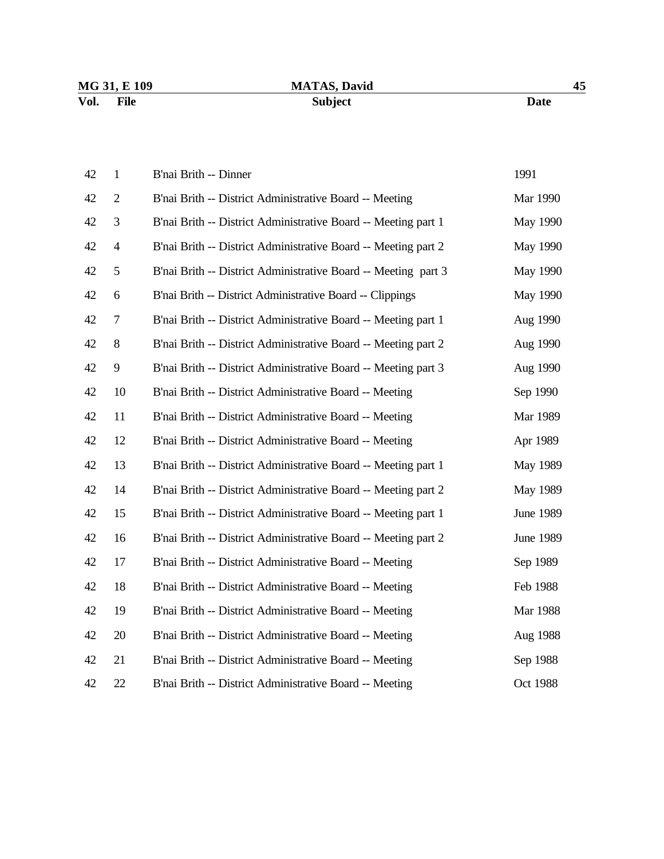# **MATAS, David** 45 **Vol. File Subject Date**

| 42 | $\mathbf{1}$   | B'nai Brith -- Dinner                                          | 1991             |
|----|----------------|----------------------------------------------------------------|------------------|
| 42 | $\overline{2}$ | B'nai Brith -- District Administrative Board -- Meeting        | Mar 1990         |
| 42 | 3              | B'nai Brith -- District Administrative Board -- Meeting part 1 | May 1990         |
| 42 | $\overline{4}$ | B'nai Brith -- District Administrative Board -- Meeting part 2 | May 1990         |
| 42 | 5              | B'nai Brith -- District Administrative Board -- Meeting part 3 | May 1990         |
| 42 | 6              | B'nai Brith -- District Administrative Board -- Clippings      | May 1990         |
| 42 | 7              | B'nai Brith -- District Administrative Board -- Meeting part 1 | Aug 1990         |
| 42 | 8              | B'nai Brith -- District Administrative Board -- Meeting part 2 | Aug 1990         |
| 42 | 9              | B'nai Brith -- District Administrative Board -- Meeting part 3 | Aug 1990         |
| 42 | 10             | B'nai Brith -- District Administrative Board -- Meeting        | Sep 1990         |
| 42 | 11             | B'nai Brith -- District Administrative Board -- Meeting        | Mar 1989         |
| 42 | 12             | B'nai Brith -- District Administrative Board -- Meeting        | Apr 1989         |
| 42 | 13             | B'nai Brith -- District Administrative Board -- Meeting part 1 | May 1989         |
| 42 | 14             | B'nai Brith -- District Administrative Board -- Meeting part 2 | May 1989         |
| 42 | 15             | B'nai Brith -- District Administrative Board -- Meeting part 1 | June 1989        |
| 42 | 16             | B'nai Brith -- District Administrative Board -- Meeting part 2 | <b>June 1989</b> |
| 42 | 17             | B'nai Brith -- District Administrative Board -- Meeting        | Sep 1989         |
| 42 | 18             | B'nai Brith -- District Administrative Board -- Meeting        | Feb 1988         |
| 42 | 19             | B'nai Brith -- District Administrative Board -- Meeting        | Mar 1988         |
| 42 | 20             | B'nai Brith -- District Administrative Board -- Meeting        | Aug 1988         |
| 42 | 21             | B'nai Brith -- District Administrative Board -- Meeting        | Sep 1988         |
| 42 | 22             | B'nai Brith -- District Administrative Board -- Meeting        | Oct 1988         |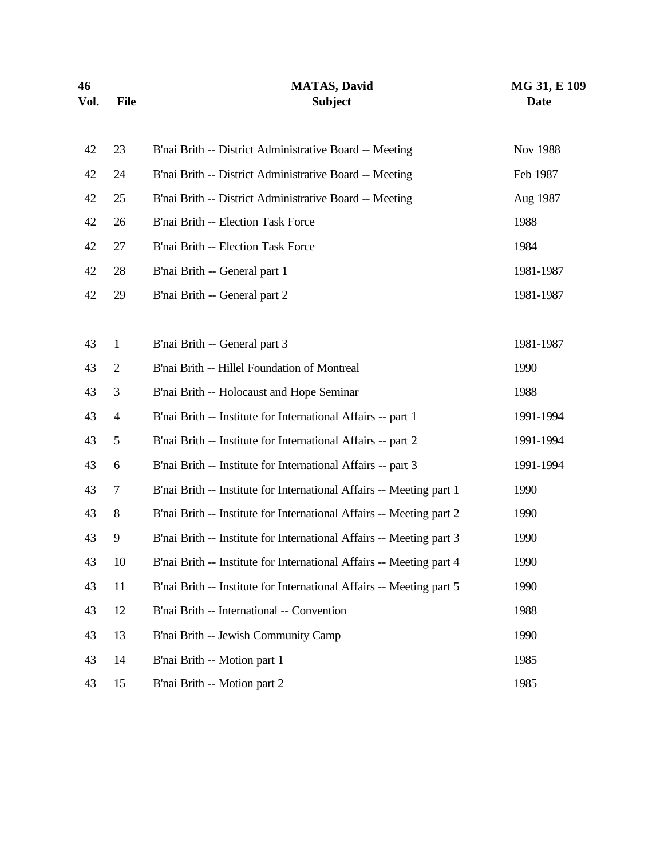| 46   |                | <b>MATAS, David</b>                                                  | MG 31, E 109 |
|------|----------------|----------------------------------------------------------------------|--------------|
| Vol. | <b>File</b>    | <b>Subject</b>                                                       | <b>Date</b>  |
| 42   | 23             | B'nai Brith -- District Administrative Board -- Meeting              | Nov 1988     |
| 42   | 24             | B'nai Brith -- District Administrative Board -- Meeting              | Feb 1987     |
| 42   | 25             | B'nai Brith -- District Administrative Board -- Meeting              | Aug 1987     |
| 42   | 26             | B'nai Brith -- Election Task Force                                   | 1988         |
| 42   | 27             | B'nai Brith -- Election Task Force                                   | 1984         |
| 42   | 28             | B'nai Brith -- General part 1                                        | 1981-1987    |
| 42   | 29             | B'nai Brith -- General part 2                                        | 1981-1987    |
| 43   | $\mathbf{1}$   | B'nai Brith -- General part 3                                        | 1981-1987    |
| 43   | $\overline{2}$ | B'nai Brith -- Hillel Foundation of Montreal                         | 1990         |
| 43   | 3              | B'nai Brith -- Holocaust and Hope Seminar                            | 1988         |
| 43   | $\overline{4}$ | B'nai Brith -- Institute for International Affairs -- part 1         | 1991-1994    |
| 43   | 5              | B'nai Brith -- Institute for International Affairs -- part 2         | 1991-1994    |
| 43   | 6              | B'nai Brith -- Institute for International Affairs -- part 3         | 1991-1994    |
| 43   | 7              | B'nai Brith -- Institute for International Affairs -- Meeting part 1 | 1990         |
| 43   | 8              | B'nai Brith -- Institute for International Affairs -- Meeting part 2 | 1990         |
| 43   | 9              | B'nai Brith -- Institute for International Affairs -- Meeting part 3 | 1990         |
| 43   | 10             | B'nai Brith -- Institute for International Affairs -- Meeting part 4 | 1990         |
| 43   | 11             | B'nai Brith -- Institute for International Affairs -- Meeting part 5 | 1990         |
| 43   | 12             | B'nai Brith -- International -- Convention                           | 1988         |
| 43   | 13             | B'nai Brith -- Jewish Community Camp                                 | 1990         |
| 43   | 14             | B'nai Brith -- Motion part 1                                         | 1985         |
| 43   | 15             | B'nai Brith -- Motion part 2                                         | 1985         |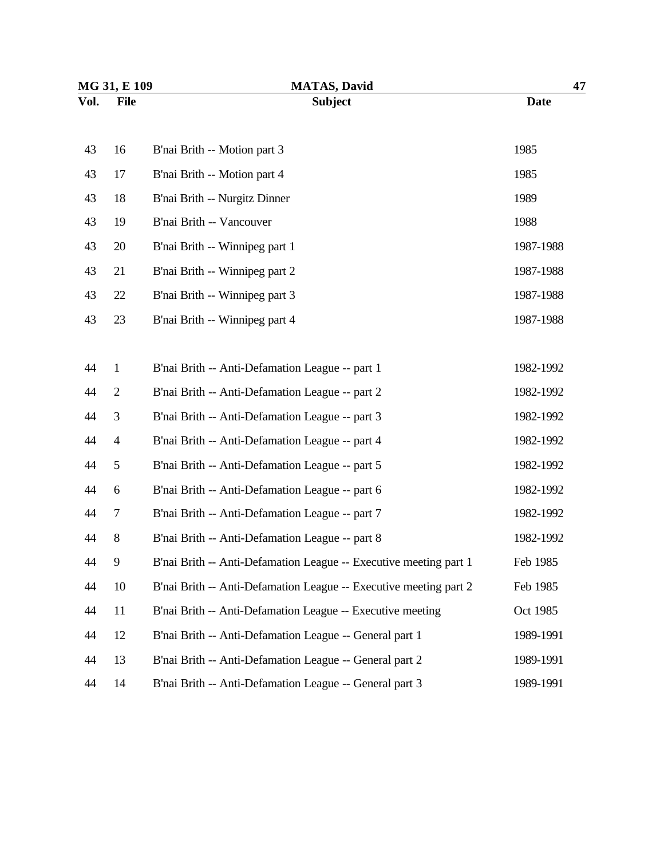| MG 31, E 109 |                | <b>MATAS, David</b>                                               | 47          |  |
|--------------|----------------|-------------------------------------------------------------------|-------------|--|
| Vol.         | <b>File</b>    | <b>Subject</b>                                                    | <b>Date</b> |  |
| 43           | 16             | B'nai Brith -- Motion part 3                                      | 1985        |  |
| 43           | 17             | B'nai Brith -- Motion part 4                                      | 1985        |  |
| 43           | 18             | B'nai Brith -- Nurgitz Dinner                                     | 1989        |  |
| 43           | 19             | B'nai Brith -- Vancouver                                          | 1988        |  |
| 43           | 20             | B'nai Brith -- Winnipeg part 1                                    | 1987-1988   |  |
| 43           | 21             | B'nai Brith -- Winnipeg part 2                                    | 1987-1988   |  |
| 43           | 22             | B'nai Brith -- Winnipeg part 3                                    | 1987-1988   |  |
| 43           | 23             | B'nai Brith -- Winnipeg part 4                                    | 1987-1988   |  |
|              |                |                                                                   |             |  |
| 44           | $\mathbf{1}$   | B'nai Brith -- Anti-Defamation League -- part 1                   | 1982-1992   |  |
| 44           | $\overline{2}$ | B'nai Brith -- Anti-Defamation League -- part 2                   | 1982-1992   |  |
| 44           | 3              | B'nai Brith -- Anti-Defamation League -- part 3                   | 1982-1992   |  |
| 44           | $\overline{4}$ | B'nai Brith -- Anti-Defamation League -- part 4                   | 1982-1992   |  |
| 44           | 5              | B'nai Brith -- Anti-Defamation League -- part 5                   | 1982-1992   |  |
| 44           | 6              | B'nai Brith -- Anti-Defamation League -- part 6                   | 1982-1992   |  |
| 44           | 7              | B'nai Brith -- Anti-Defamation League -- part 7                   | 1982-1992   |  |
| 44           | 8              | B'nai Brith -- Anti-Defamation League -- part 8                   | 1982-1992   |  |
| 44           | 9              | B'nai Brith -- Anti-Defamation League -- Executive meeting part 1 | Feb 1985    |  |
| 44           | 10             | B'nai Brith -- Anti-Defamation League -- Executive meeting part 2 | Feb 1985    |  |
| 44           | 11             | B'nai Brith -- Anti-Defamation League -- Executive meeting        | Oct 1985    |  |
| 44           | 12             | B'nai Brith -- Anti-Defamation League -- General part 1           | 1989-1991   |  |
| 44           | 13             | B'nai Brith -- Anti-Defamation League -- General part 2           | 1989-1991   |  |
| 44           | 14             | B'nai Brith -- Anti-Defamation League -- General part 3           | 1989-1991   |  |
|              |                |                                                                   |             |  |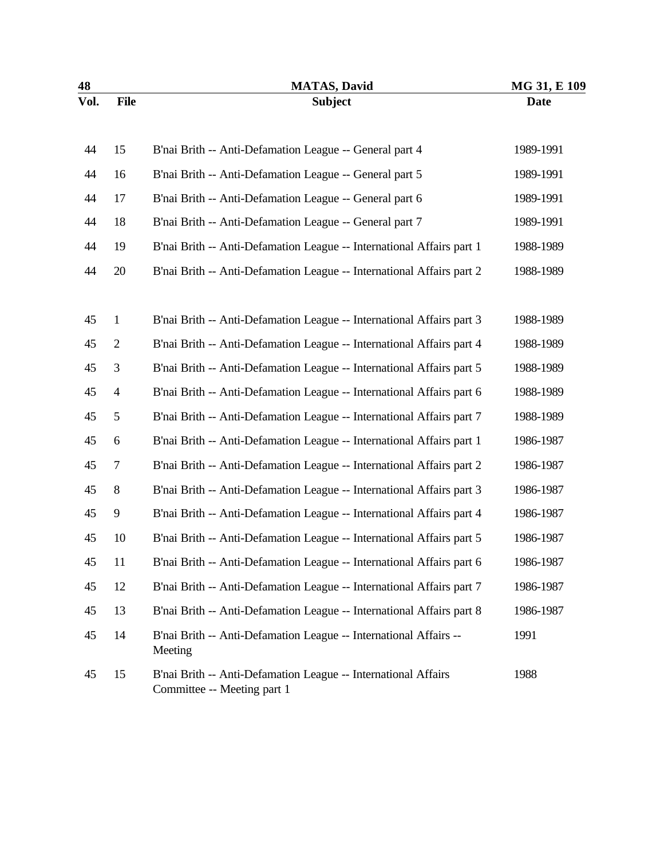| 48   |                | <b>MATAS, David</b>                                                                           | MG 31, E 109 |
|------|----------------|-----------------------------------------------------------------------------------------------|--------------|
| Vol. | <b>File</b>    | <b>Subject</b>                                                                                | <b>Date</b>  |
| 44   | 15             | B'nai Brith -- Anti-Defamation League -- General part 4                                       | 1989-1991    |
| 44   | 16             | B'nai Brith -- Anti-Defamation League -- General part 5                                       | 1989-1991    |
| 44   | 17             | B'nai Brith -- Anti-Defamation League -- General part 6                                       | 1989-1991    |
| 44   | 18             | B'nai Brith -- Anti-Defamation League -- General part 7                                       | 1989-1991    |
| 44   | 19             | B'nai Brith -- Anti-Defamation League -- International Affairs part 1                         | 1988-1989    |
| 44   | 20             | B'nai Brith -- Anti-Defamation League -- International Affairs part 2                         | 1988-1989    |
|      |                |                                                                                               |              |
| 45   | $\mathbf{1}$   | B'nai Brith -- Anti-Defamation League -- International Affairs part 3                         | 1988-1989    |
| 45   | $\overline{2}$ | B'nai Brith -- Anti-Defamation League -- International Affairs part 4                         | 1988-1989    |
| 45   | 3              | B'nai Brith -- Anti-Defamation League -- International Affairs part 5                         | 1988-1989    |
| 45   | $\overline{4}$ | B'nai Brith -- Anti-Defamation League -- International Affairs part 6                         | 1988-1989    |
| 45   | 5              | B'nai Brith -- Anti-Defamation League -- International Affairs part 7                         | 1988-1989    |
| 45   | 6              | B'nai Brith -- Anti-Defamation League -- International Affairs part 1                         | 1986-1987    |
| 45   | 7              | B'nai Brith -- Anti-Defamation League -- International Affairs part 2                         | 1986-1987    |
| 45   | 8              | B'nai Brith -- Anti-Defamation League -- International Affairs part 3                         | 1986-1987    |
| 45   | 9              | B'nai Brith -- Anti-Defamation League -- International Affairs part 4                         | 1986-1987    |
| 45   | 10             | B'nai Brith -- Anti-Defamation League -- International Affairs part 5                         | 1986-1987    |
| 45   | 11             | B'nai Brith -- Anti-Defamation League -- International Affairs part 6                         | 1986-1987    |
| 45   | 12             | B'nai Brith -- Anti-Defamation League -- International Affairs part 7                         | 1986-1987    |
| 45   | 13             | B'nai Brith -- Anti-Defamation League -- International Affairs part 8                         | 1986-1987    |
| 45   | 14             | B'nai Brith -- Anti-Defamation League -- International Affairs --<br>Meeting                  | 1991         |
| 45   | 15             | B'nai Brith -- Anti-Defamation League -- International Affairs<br>Committee -- Meeting part 1 | 1988         |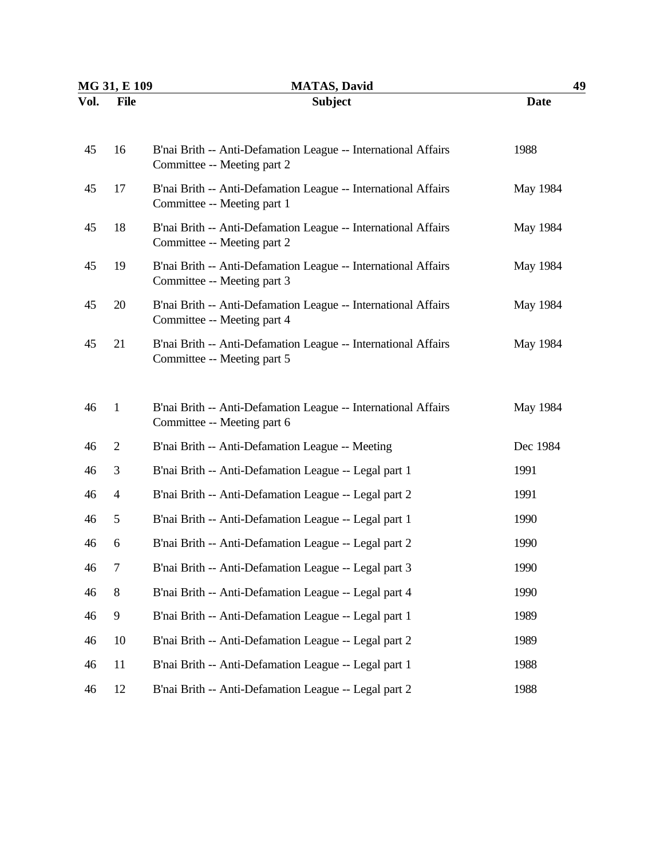| MG 31, E 109 |                  | <b>MATAS, David</b>                                                                           | 49          |  |
|--------------|------------------|-----------------------------------------------------------------------------------------------|-------------|--|
| Vol.         | <b>File</b>      | <b>Subject</b>                                                                                | <b>Date</b> |  |
| 45           | 16               | B'nai Brith -- Anti-Defamation League -- International Affairs<br>Committee -- Meeting part 2 | 1988        |  |
| 45           | 17               | B'nai Brith -- Anti-Defamation League -- International Affairs<br>Committee -- Meeting part 1 | May 1984    |  |
| 45           | 18               | B'nai Brith -- Anti-Defamation League -- International Affairs<br>Committee -- Meeting part 2 | May 1984    |  |
| 45           | 19               | B'nai Brith -- Anti-Defamation League -- International Affairs<br>Committee -- Meeting part 3 | May 1984    |  |
| 45           | 20               | B'nai Brith -- Anti-Defamation League -- International Affairs<br>Committee -- Meeting part 4 | May 1984    |  |
| 45           | 21               | B'nai Brith -- Anti-Defamation League -- International Affairs<br>Committee -- Meeting part 5 | May 1984    |  |
| 46           | $\mathbf{1}$     | B'nai Brith -- Anti-Defamation League -- International Affairs<br>Committee -- Meeting part 6 | May 1984    |  |
| 46           | $\overline{2}$   | B'nai Brith -- Anti-Defamation League -- Meeting                                              | Dec 1984    |  |
| 46           | 3                | B'nai Brith -- Anti-Defamation League -- Legal part 1                                         | 1991        |  |
| 46           | $\overline{4}$   | B'nai Brith -- Anti-Defamation League -- Legal part 2                                         | 1991        |  |
| 46           | 5                | B'nai Brith -- Anti-Defamation League -- Legal part 1                                         | 1990        |  |
| 46           | 6                | B'nai Brith -- Anti-Defamation League -- Legal part 2                                         | 1990        |  |
| 46           | $\boldsymbol{7}$ | B'nai Brith -- Anti-Defamation League -- Legal part 3                                         | 1990        |  |
| 46           | $8\,$            | B'nai Brith -- Anti-Defamation League -- Legal part 4                                         | 1990        |  |
| 46           | $\overline{9}$   | B'nai Brith -- Anti-Defamation League -- Legal part 1                                         | 1989        |  |
| 46           | 10               | B'nai Brith -- Anti-Defamation League -- Legal part 2                                         | 1989        |  |
| 46           | 11               | B'nai Brith -- Anti-Defamation League -- Legal part 1                                         | 1988        |  |
| 46           | 12               | B'nai Brith -- Anti-Defamation League -- Legal part 2                                         | 1988        |  |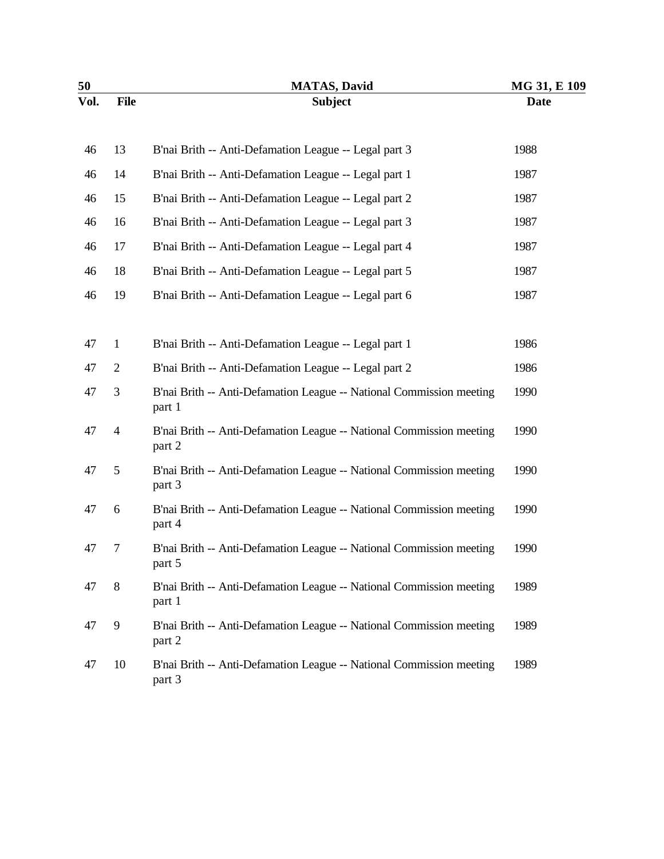| 50   |                | <b>MATAS, David</b>                                                            | MG 31, E 109 |
|------|----------------|--------------------------------------------------------------------------------|--------------|
| Vol. | <b>File</b>    | <b>Subject</b>                                                                 | <b>Date</b>  |
| 46   | 13             | B'nai Brith -- Anti-Defamation League -- Legal part 3                          | 1988         |
| 46   | 14             | B'nai Brith -- Anti-Defamation League -- Legal part 1                          | 1987         |
| 46   | 15             | B'nai Brith -- Anti-Defamation League -- Legal part 2                          | 1987         |
| 46   | 16             | B'nai Brith -- Anti-Defamation League -- Legal part 3                          | 1987         |
| 46   | 17             | B'nai Brith -- Anti-Defamation League -- Legal part 4                          | 1987         |
| 46   | 18             | B'nai Brith -- Anti-Defamation League -- Legal part 5                          | 1987         |
| 46   | 19             | B'nai Brith -- Anti-Defamation League -- Legal part 6                          | 1987         |
|      |                |                                                                                |              |
| 47   | $\mathbf{1}$   | B'nai Brith -- Anti-Defamation League -- Legal part 1                          | 1986         |
| 47   | $\overline{2}$ | B'nai Brith -- Anti-Defamation League -- Legal part 2                          | 1986         |
| 47   | 3              | B'nai Brith -- Anti-Defamation League -- National Commission meeting<br>part 1 | 1990         |
| 47   | $\overline{4}$ | B'nai Brith -- Anti-Defamation League -- National Commission meeting<br>part 2 | 1990         |
| 47   | 5              | B'nai Brith -- Anti-Defamation League -- National Commission meeting<br>part 3 | 1990         |
| 47   | 6              | B'nai Brith -- Anti-Defamation League -- National Commission meeting<br>part 4 | 1990         |
| 47   | 7              | B'nai Brith -- Anti-Defamation League -- National Commission meeting<br>part 5 | 1990         |
| 47   | 8              | B'nai Brith -- Anti-Defamation League -- National Commission meeting<br>part 1 | 1989         |
| 47   | 9              | B'nai Brith -- Anti-Defamation League -- National Commission meeting<br>part 2 | 1989         |
| 47   | 10             | B'nai Brith -- Anti-Defamation League -- National Commission meeting<br>part 3 | 1989         |
|      |                |                                                                                |              |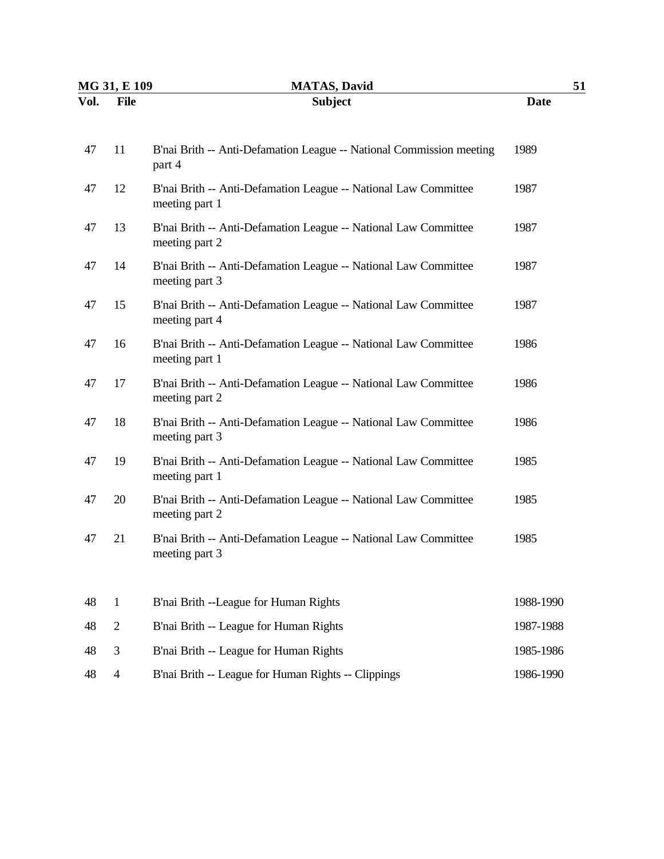| MG 31, E 109 |                | <b>MATAS, David</b>                                                               |             | 51 |
|--------------|----------------|-----------------------------------------------------------------------------------|-------------|----|
| Vol.         | <b>File</b>    | <b>Subject</b>                                                                    | <b>Date</b> |    |
| 47           | 11             | B'nai Brith -- Anti-Defamation League -- National Commission meeting<br>part 4    | 1989        |    |
| 47           | 12             | B'nai Brith -- Anti-Defamation League -- National Law Committee<br>meeting part 1 | 1987        |    |
| 47           | 13             | B'nai Brith -- Anti-Defamation League -- National Law Committee<br>meeting part 2 | 1987        |    |
| 47           | 14             | B'nai Brith -- Anti-Defamation League -- National Law Committee<br>meeting part 3 | 1987        |    |
| 47           | 15             | B'nai Brith -- Anti-Defamation League -- National Law Committee<br>meeting part 4 | 1987        |    |
| 47           | 16             | B'nai Brith -- Anti-Defamation League -- National Law Committee<br>meeting part 1 | 1986        |    |
| 47           | 17             | B'nai Brith -- Anti-Defamation League -- National Law Committee<br>meeting part 2 | 1986        |    |
| 47           | 18             | B'nai Brith -- Anti-Defamation League -- National Law Committee<br>meeting part 3 | 1986        |    |
| 47           | 19             | B'nai Brith -- Anti-Defamation League -- National Law Committee<br>meeting part 1 | 1985        |    |
| 47           | 20             | B'nai Brith -- Anti-Defamation League -- National Law Committee<br>meeting part 2 | 1985        |    |
| 47           | 21             | B'nai Brith -- Anti-Defamation League -- National Law Committee<br>meeting part 3 | 1985        |    |
| 48           | $\mathbf{1}$   | B'nai Brith --League for Human Rights                                             | 1988-1990   |    |
| 48           | $\mathbf{2}$   | B'nai Brith -- League for Human Rights                                            | 1987-1988   |    |
| 48           | 3              | B'nai Brith -- League for Human Rights                                            | 1985-1986   |    |
| 48           | $\overline{4}$ | B'nai Brith -- League for Human Rights -- Clippings                               | 1986-1990   |    |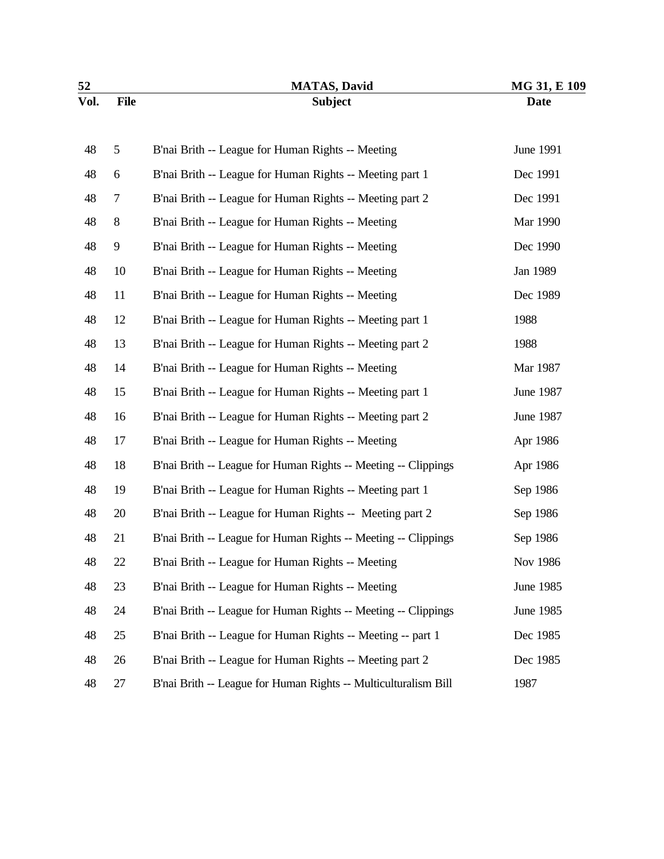|             | <b>MATAS, David</b>                                             | MG 31, E 109 |  |
|-------------|-----------------------------------------------------------------|--------------|--|
| <b>File</b> | <b>Subject</b>                                                  | <b>Date</b>  |  |
| 5           | B'nai Brith -- League for Human Rights -- Meeting               | June 1991    |  |
| 6           | B'nai Brith -- League for Human Rights -- Meeting part 1        | Dec 1991     |  |
| $\tau$      | B'nai Brith -- League for Human Rights -- Meeting part 2        | Dec 1991     |  |
| 8           | B'nai Brith -- League for Human Rights -- Meeting               | Mar 1990     |  |
| 9           | B'nai Brith -- League for Human Rights -- Meeting               | Dec 1990     |  |
| 10          | B'nai Brith -- League for Human Rights -- Meeting               | Jan 1989     |  |
| 11          | B'nai Brith -- League for Human Rights -- Meeting               | Dec 1989     |  |
| 12          | B'nai Brith -- League for Human Rights -- Meeting part 1        | 1988         |  |
| 13          | B'nai Brith -- League for Human Rights -- Meeting part 2        | 1988         |  |
| 14          | B'nai Brith -- League for Human Rights -- Meeting               | Mar 1987     |  |
| 15          | B'nai Brith -- League for Human Rights -- Meeting part 1        | June 1987    |  |
| 16          | B'nai Brith -- League for Human Rights -- Meeting part 2        | June 1987    |  |
| 17          | B'nai Brith -- League for Human Rights -- Meeting               | Apr 1986     |  |
| 18          | B'nai Brith -- League for Human Rights -- Meeting -- Clippings  | Apr 1986     |  |
| 19          | B'nai Brith -- League for Human Rights -- Meeting part 1        | Sep 1986     |  |
| 20          | B'nai Brith -- League for Human Rights -- Meeting part 2        | Sep 1986     |  |
| 21          | B'nai Brith -- League for Human Rights -- Meeting -- Clippings  | Sep 1986     |  |
| 22          | B'nai Brith -- League for Human Rights -- Meeting               | Nov 1986     |  |
| 23          | B'nai Brith -- League for Human Rights -- Meeting               | June 1985    |  |
| 24          | B'nai Brith -- League for Human Rights -- Meeting -- Clippings  | June 1985    |  |
| 25          | B'nai Brith -- League for Human Rights -- Meeting -- part 1     | Dec 1985     |  |
| 26          | B'nai Brith -- League for Human Rights -- Meeting part 2        | Dec 1985     |  |
| 27          | B'nai Brith -- League for Human Rights -- Multiculturalism Bill | 1987         |  |
|             |                                                                 |              |  |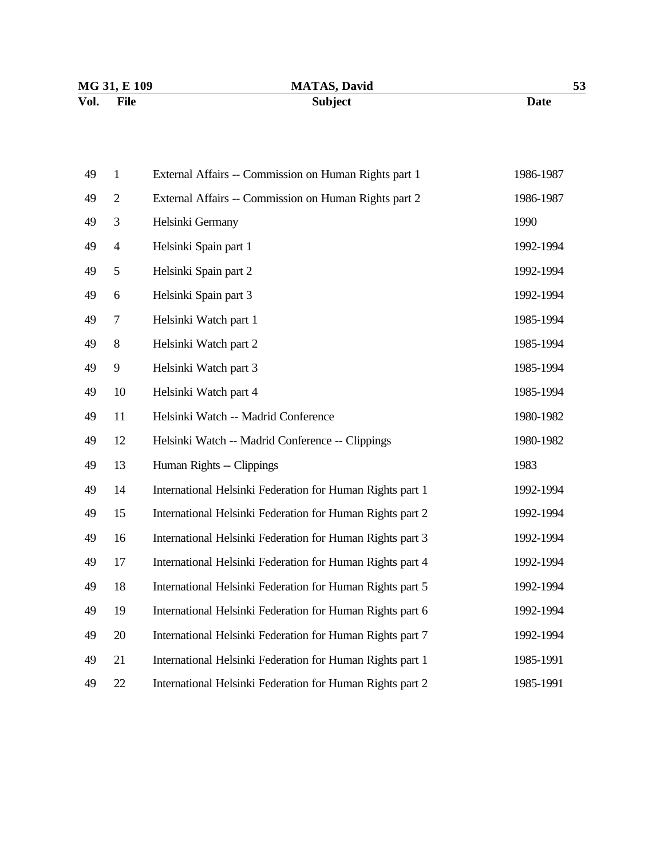| MG 31, E 109 | <b>MATAS, David</b> | 53   |
|--------------|---------------------|------|
| Vol.<br>File | <b>Subject</b>      | Date |

| 49 | $\mathbf{1}$   | External Affairs -- Commission on Human Rights part 1     | 1986-1987 |
|----|----------------|-----------------------------------------------------------|-----------|
| 49 | $\overline{2}$ | External Affairs -- Commission on Human Rights part 2     | 1986-1987 |
| 49 | 3              | Helsinki Germany                                          | 1990      |
| 49 | $\overline{4}$ | Helsinki Spain part 1                                     | 1992-1994 |
| 49 | 5              | Helsinki Spain part 2                                     | 1992-1994 |
| 49 | 6              | Helsinki Spain part 3                                     | 1992-1994 |
| 49 | 7              | Helsinki Watch part 1                                     | 1985-1994 |
| 49 | $8\,$          | Helsinki Watch part 2                                     | 1985-1994 |
| 49 | 9              | Helsinki Watch part 3                                     | 1985-1994 |
| 49 | 10             | Helsinki Watch part 4                                     | 1985-1994 |
| 49 | 11             | Helsinki Watch -- Madrid Conference                       | 1980-1982 |
| 49 | 12             | Helsinki Watch -- Madrid Conference -- Clippings          | 1980-1982 |
| 49 | 13             | Human Rights -- Clippings                                 | 1983      |
| 49 | 14             | International Helsinki Federation for Human Rights part 1 | 1992-1994 |
| 49 | 15             | International Helsinki Federation for Human Rights part 2 | 1992-1994 |
| 49 | 16             | International Helsinki Federation for Human Rights part 3 | 1992-1994 |
| 49 | 17             | International Helsinki Federation for Human Rights part 4 | 1992-1994 |
| 49 | 18             | International Helsinki Federation for Human Rights part 5 | 1992-1994 |
| 49 | 19             | International Helsinki Federation for Human Rights part 6 | 1992-1994 |
| 49 | 20             | International Helsinki Federation for Human Rights part 7 | 1992-1994 |
| 49 | 21             | International Helsinki Federation for Human Rights part 1 | 1985-1991 |
| 49 | 22             | International Helsinki Federation for Human Rights part 2 | 1985-1991 |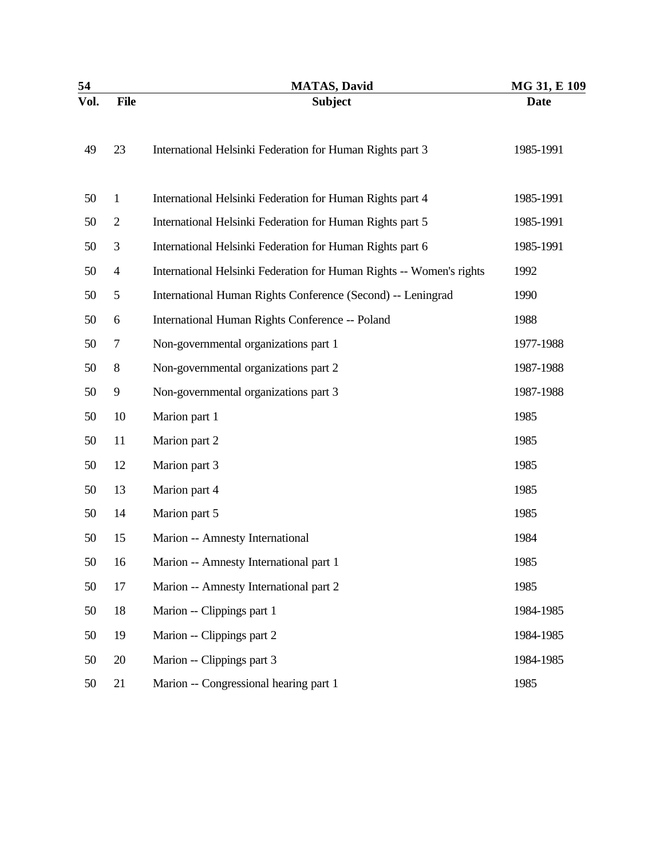| 54   |                | <b>MATAS, David</b>                                                  | MG 31, E 109 |  |
|------|----------------|----------------------------------------------------------------------|--------------|--|
| Vol. | <b>File</b>    | <b>Subject</b>                                                       | <b>Date</b>  |  |
| 49   | 23             | International Helsinki Federation for Human Rights part 3            | 1985-1991    |  |
| 50   | $\mathbf{1}$   | International Helsinki Federation for Human Rights part 4            | 1985-1991    |  |
| 50   | $\mathbf{2}$   | International Helsinki Federation for Human Rights part 5            | 1985-1991    |  |
| 50   | 3              | International Helsinki Federation for Human Rights part 6            | 1985-1991    |  |
| 50   | $\overline{4}$ | International Helsinki Federation for Human Rights -- Women's rights | 1992         |  |
| 50   | 5              | International Human Rights Conference (Second) -- Leningrad          | 1990         |  |
| 50   | 6              | International Human Rights Conference -- Poland                      | 1988         |  |
| 50   | 7              | Non-governmental organizations part 1                                | 1977-1988    |  |
| 50   | 8              | Non-governmental organizations part 2                                | 1987-1988    |  |
| 50   | 9              | Non-governmental organizations part 3                                | 1987-1988    |  |
| 50   | 10             | Marion part 1                                                        | 1985         |  |
| 50   | 11             | Marion part 2                                                        | 1985         |  |
| 50   | 12             | Marion part 3                                                        | 1985         |  |
| 50   | 13             | Marion part 4                                                        | 1985         |  |
| 50   | 14             | Marion part 5                                                        | 1985         |  |
| 50   | 15             | Marion -- Amnesty International                                      | 1984         |  |
| 50   | 16             | Marion -- Amnesty International part 1                               | 1985         |  |
| 50   | 17             | Marion -- Amnesty International part 2                               | 1985         |  |
| 50   | 18             | Marion -- Clippings part 1                                           | 1984-1985    |  |
| 50   | 19             | Marion -- Clippings part 2                                           | 1984-1985    |  |
| 50   | 20             | Marion -- Clippings part 3                                           | 1984-1985    |  |
| 50   | 21             | Marion -- Congressional hearing part 1                               | 1985         |  |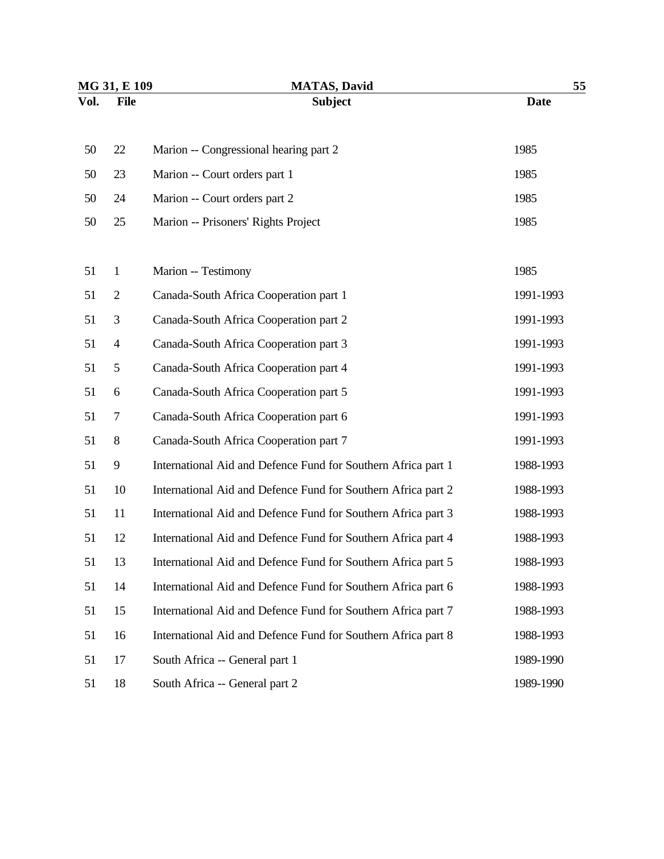| MG 31, E 109 |                | <b>MATAS, David</b>                                           | 55          |  |
|--------------|----------------|---------------------------------------------------------------|-------------|--|
| Vol.         | <b>File</b>    | <b>Subject</b>                                                | <b>Date</b> |  |
| 50           | 22             | Marion -- Congressional hearing part 2                        | 1985        |  |
| 50           | 23             | Marion -- Court orders part 1                                 | 1985        |  |
| 50           | 24             | Marion -- Court orders part 2                                 | 1985        |  |
| 50           | 25             | Marion -- Prisoners' Rights Project                           | 1985        |  |
| 51           | $\mathbf{1}$   | Marion -- Testimony                                           | 1985        |  |
| 51           | $\mathbf{2}$   | Canada-South Africa Cooperation part 1                        | 1991-1993   |  |
| 51           | 3              | Canada-South Africa Cooperation part 2                        | 1991-1993   |  |
| 51           | $\overline{4}$ | Canada-South Africa Cooperation part 3                        | 1991-1993   |  |
| 51           | 5              | Canada-South Africa Cooperation part 4                        | 1991-1993   |  |
| 51           | 6              | Canada-South Africa Cooperation part 5                        | 1991-1993   |  |
| 51           | 7              | Canada-South Africa Cooperation part 6                        | 1991-1993   |  |
| 51           | 8              | Canada-South Africa Cooperation part 7                        | 1991-1993   |  |
| 51           | 9              | International Aid and Defence Fund for Southern Africa part 1 | 1988-1993   |  |
| 51           | 10             | International Aid and Defence Fund for Southern Africa part 2 | 1988-1993   |  |
| 51           | 11             | International Aid and Defence Fund for Southern Africa part 3 | 1988-1993   |  |
| 51           | 12             | International Aid and Defence Fund for Southern Africa part 4 | 1988-1993   |  |
| 51           | 13             | International Aid and Defence Fund for Southern Africa part 5 | 1988-1993   |  |
| 51           | 14             | International Aid and Defence Fund for Southern Africa part 6 | 1988-1993   |  |
| 51           | 15             | International Aid and Defence Fund for Southern Africa part 7 | 1988-1993   |  |
| 51           | 16             | International Aid and Defence Fund for Southern Africa part 8 | 1988-1993   |  |
| 51           | 17             | South Africa -- General part 1                                | 1989-1990   |  |
| 51           | 18             | South Africa -- General part 2                                | 1989-1990   |  |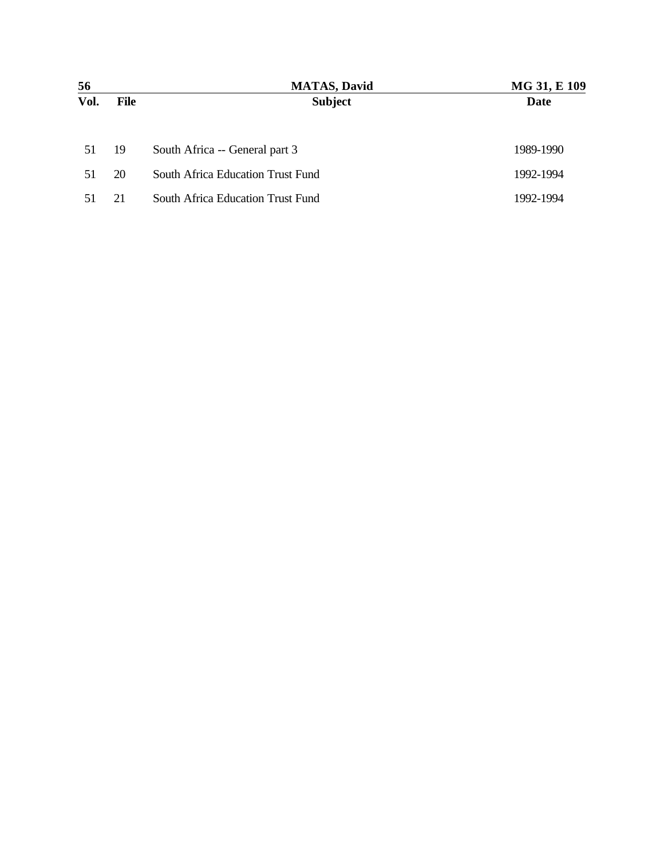| 56   |      | <b>MATAS, David</b>               | MG 31, E 109 |
|------|------|-----------------------------------|--------------|
| Vol. | File | <b>Subject</b>                    | Date         |
|      |      |                                   |              |
| 51   | 19   | South Africa -- General part 3    | 1989-1990    |
| 51   | 20   | South Africa Education Trust Fund | 1992-1994    |
| 51   | 21   | South Africa Education Trust Fund | 1992-1994    |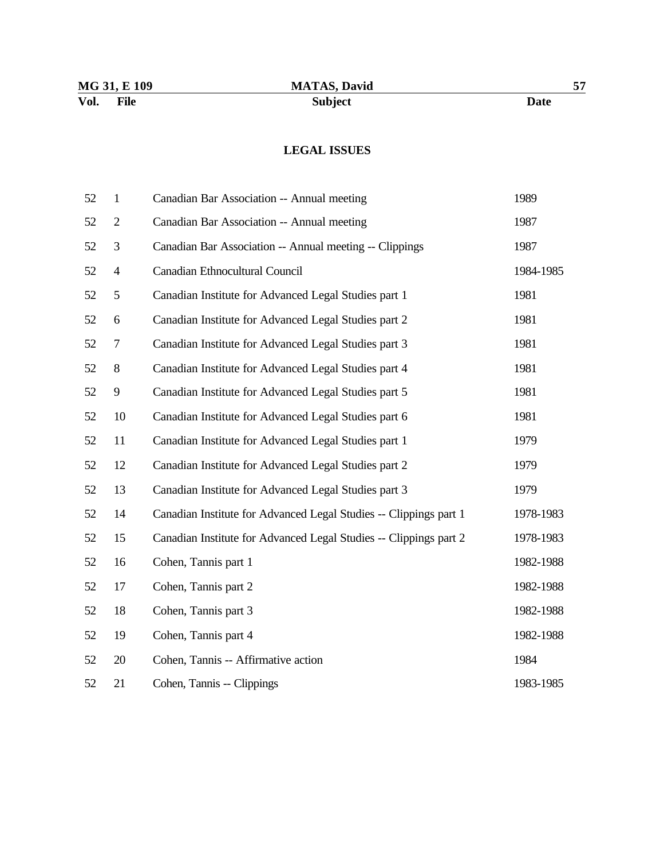## **LEGAL ISSUES**

| 52 | $\mathbf{1}$             | Canadian Bar Association -- Annual meeting                        | 1989      |
|----|--------------------------|-------------------------------------------------------------------|-----------|
| 52 | $\overline{c}$           | Canadian Bar Association -- Annual meeting                        | 1987      |
| 52 | 3                        | Canadian Bar Association -- Annual meeting -- Clippings           | 1987      |
| 52 | $\overline{\mathcal{A}}$ | Canadian Ethnocultural Council                                    | 1984-1985 |
| 52 | 5                        | Canadian Institute for Advanced Legal Studies part 1              | 1981      |
| 52 | 6                        | Canadian Institute for Advanced Legal Studies part 2              | 1981      |
| 52 | 7                        | Canadian Institute for Advanced Legal Studies part 3              | 1981      |
| 52 | 8                        | Canadian Institute for Advanced Legal Studies part 4              | 1981      |
| 52 | 9                        | Canadian Institute for Advanced Legal Studies part 5              | 1981      |
| 52 | 10                       | Canadian Institute for Advanced Legal Studies part 6              | 1981      |
| 52 | 11                       | Canadian Institute for Advanced Legal Studies part 1              | 1979      |
| 52 | 12                       | Canadian Institute for Advanced Legal Studies part 2              | 1979      |
| 52 | 13                       | Canadian Institute for Advanced Legal Studies part 3              | 1979      |
| 52 | 14                       | Canadian Institute for Advanced Legal Studies -- Clippings part 1 | 1978-1983 |
| 52 | 15                       | Canadian Institute for Advanced Legal Studies -- Clippings part 2 | 1978-1983 |
| 52 | 16                       | Cohen, Tannis part 1                                              | 1982-1988 |
| 52 | 17                       | Cohen, Tannis part 2                                              | 1982-1988 |
| 52 | 18                       | Cohen, Tannis part 3                                              | 1982-1988 |
| 52 | 19                       | Cohen, Tannis part 4                                              | 1982-1988 |
| 52 | 20                       | Cohen, Tannis -- Affirmative action                               | 1984      |
| 52 | 21                       | Cohen, Tannis -- Clippings                                        | 1983-1985 |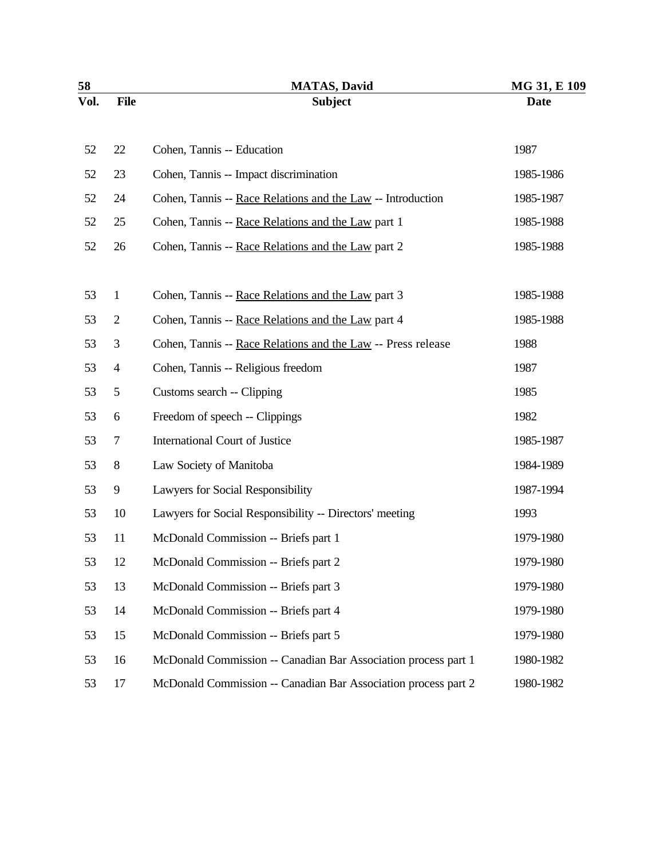| 58   |                | <b>MATAS, David</b>                                            | MG 31, E 109 |
|------|----------------|----------------------------------------------------------------|--------------|
| Vol. | <b>File</b>    | <b>Subject</b>                                                 | <b>Date</b>  |
| 52   | 22             | Cohen, Tannis -- Education                                     | 1987         |
| 52   | 23             | Cohen, Tannis -- Impact discrimination                         | 1985-1986    |
| 52   | 24             | Cohen, Tannis -- Race Relations and the Law -- Introduction    | 1985-1987    |
| 52   | 25             | Cohen, Tannis -- Race Relations and the Law part 1             | 1985-1988    |
| 52   | 26             | Cohen, Tannis -- Race Relations and the Law part 2             | 1985-1988    |
| 53   | $\mathbf{1}$   | Cohen, Tannis -- Race Relations and the Law part 3             | 1985-1988    |
| 53   | $\overline{2}$ | Cohen, Tannis -- Race Relations and the Law part 4             | 1985-1988    |
| 53   | 3              | Cohen, Tannis -- Race Relations and the Law -- Press release   | 1988         |
| 53   | $\overline{4}$ | Cohen, Tannis -- Religious freedom                             | 1987         |
| 53   | 5              | Customs search -- Clipping                                     | 1985         |
| 53   | 6              | Freedom of speech -- Clippings                                 | 1982         |
| 53   | 7              | International Court of Justice                                 | 1985-1987    |
| 53   | 8              | Law Society of Manitoba                                        | 1984-1989    |
| 53   | 9              | Lawyers for Social Responsibility                              | 1987-1994    |
| 53   | 10             | Lawyers for Social Responsibility -- Directors' meeting        | 1993         |
| 53   | 11             | McDonald Commission -- Briefs part 1                           | 1979-1980    |
| 53   | 12             | McDonald Commission -- Briefs part 2                           | 1979-1980    |
| 53   | 13             | McDonald Commission -- Briefs part 3                           | 1979-1980    |
| 53   | 14             | McDonald Commission -- Briefs part 4                           | 1979-1980    |
| 53   | 15             | McDonald Commission -- Briefs part 5                           | 1979-1980    |
| 53   | 16             | McDonald Commission -- Canadian Bar Association process part 1 | 1980-1982    |
| 53   | 17             | McDonald Commission -- Canadian Bar Association process part 2 | 1980-1982    |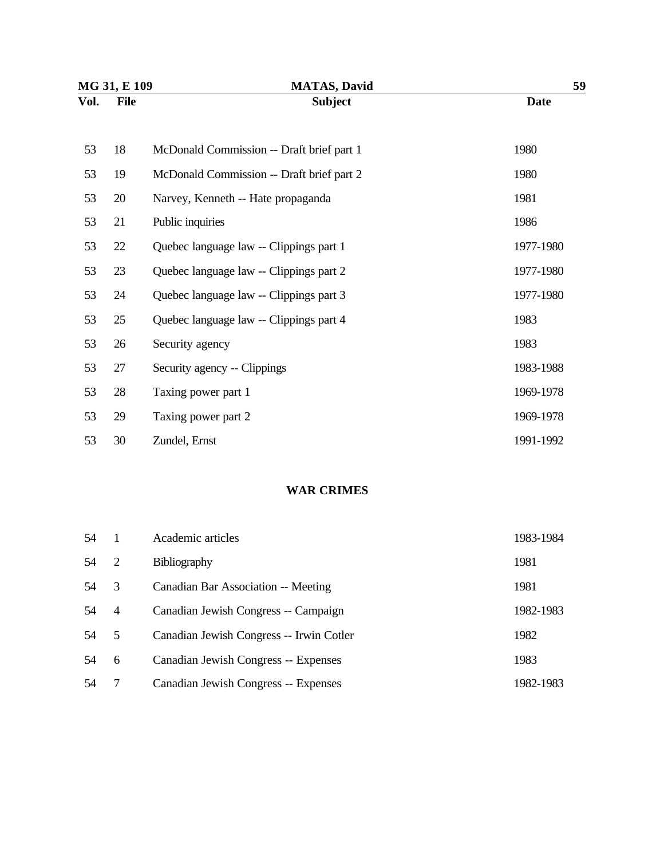| MG 31, E 109 |             | <b>MATAS, David</b>                       | 59          |  |
|--------------|-------------|-------------------------------------------|-------------|--|
| Vol.         | <b>File</b> | <b>Subject</b>                            | <b>Date</b> |  |
| 53           | 18          | McDonald Commission -- Draft brief part 1 | 1980        |  |
| 53           | 19          | McDonald Commission -- Draft brief part 2 | 1980        |  |
| 53           | 20          | Narvey, Kenneth -- Hate propaganda        | 1981        |  |
| 53           | 21          | Public inquiries                          | 1986        |  |
| 53           | 22          | Quebec language law -- Clippings part 1   | 1977-1980   |  |
| 53           | 23          | Quebec language law -- Clippings part 2   | 1977-1980   |  |
| 53           | 24          | Quebec language law -- Clippings part 3   | 1977-1980   |  |
| 53           | 25          | Quebec language law -- Clippings part 4   | 1983        |  |
| 53           | 26          | Security agency                           | 1983        |  |
| 53           | 27          | Security agency -- Clippings              | 1983-1988   |  |
| 53           | 28          | Taxing power part 1                       | 1969-1978   |  |
| 53           | 29          | Taxing power part 2                       | 1969-1978   |  |
| 53           | 30          | Zundel, Ernst                             | 1991-1992   |  |

#### **WAR CRIMES**

| 54  |                | Academic articles                        | 1983-1984 |
|-----|----------------|------------------------------------------|-----------|
| .54 | 2              | <b>Bibliography</b>                      | 1981      |
| .54 | 3              | Canadian Bar Association -- Meeting      | 1981      |
| .54 | $\overline{4}$ | Canadian Jewish Congress -- Campaign     | 1982-1983 |
| -54 | 5              | Canadian Jewish Congress -- Irwin Cotler | 1982      |
| .54 | 6              | Canadian Jewish Congress -- Expenses     | 1983      |
| 54  |                | Canadian Jewish Congress -- Expenses     | 1982-1983 |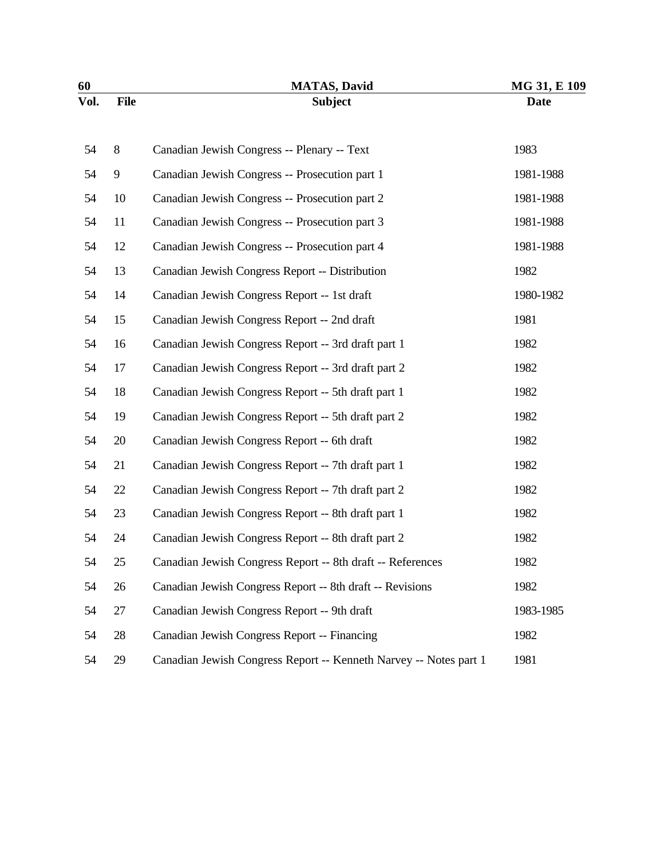| 60   |             | <b>MATAS, David</b>                                               | MG 31, E 109 |
|------|-------------|-------------------------------------------------------------------|--------------|
| Vol. | <b>File</b> | <b>Subject</b>                                                    | <b>Date</b>  |
| 54   | 8           | Canadian Jewish Congress -- Plenary -- Text                       | 1983         |
| 54   | 9           | Canadian Jewish Congress -- Prosecution part 1                    | 1981-1988    |
| 54   | 10          | Canadian Jewish Congress -- Prosecution part 2                    | 1981-1988    |
| 54   | 11          | Canadian Jewish Congress -- Prosecution part 3                    | 1981-1988    |
| 54   | 12          | Canadian Jewish Congress -- Prosecution part 4                    | 1981-1988    |
| 54   | 13          | Canadian Jewish Congress Report -- Distribution                   | 1982         |
| 54   | 14          | Canadian Jewish Congress Report -- 1st draft                      | 1980-1982    |
| 54   | 15          | Canadian Jewish Congress Report -- 2nd draft                      | 1981         |
| 54   | 16          | Canadian Jewish Congress Report -- 3rd draft part 1               | 1982         |
| 54   | 17          | Canadian Jewish Congress Report -- 3rd draft part 2               | 1982         |
| 54   | 18          | Canadian Jewish Congress Report -- 5th draft part 1               | 1982         |
| 54   | 19          | Canadian Jewish Congress Report -- 5th draft part 2               | 1982         |
| 54   | 20          | Canadian Jewish Congress Report -- 6th draft                      | 1982         |
| 54   | 21          | Canadian Jewish Congress Report -- 7th draft part 1               | 1982         |
| 54   | 22          | Canadian Jewish Congress Report -- 7th draft part 2               | 1982         |
| 54   | 23          | Canadian Jewish Congress Report -- 8th draft part 1               | 1982         |
| 54   | 24          | Canadian Jewish Congress Report -- 8th draft part 2               | 1982         |
| 54   | 25          | Canadian Jewish Congress Report -- 8th draft -- References        | 1982         |
| 54   | 26          | Canadian Jewish Congress Report -- 8th draft -- Revisions         | 1982         |
| 54   | 27          | Canadian Jewish Congress Report -- 9th draft                      | 1983-1985    |
| 54   | 28          | Canadian Jewish Congress Report -- Financing                      | 1982         |
| 54   | 29          | Canadian Jewish Congress Report -- Kenneth Narvey -- Notes part 1 | 1981         |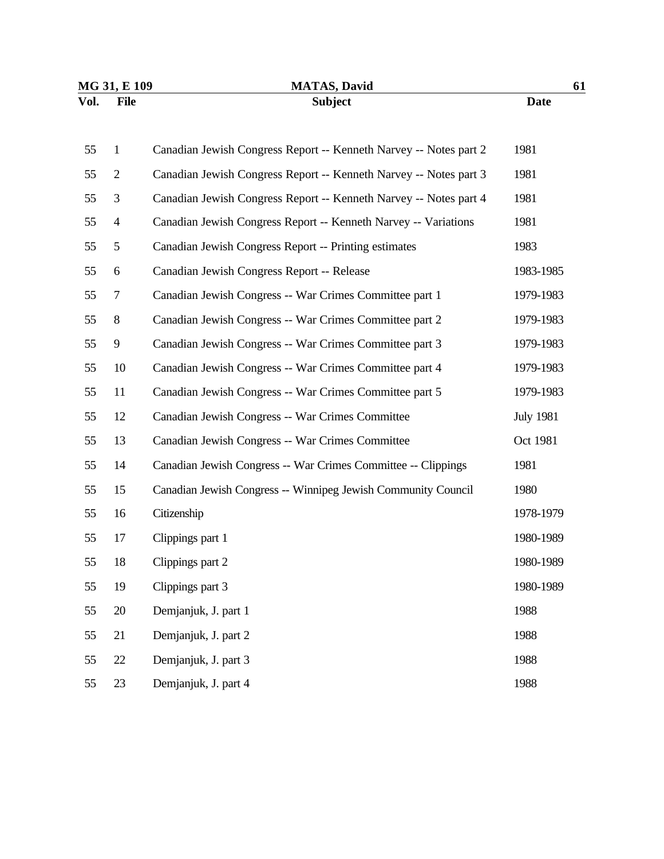| MG 31, E 109 |                | <b>MATAS, David</b>                                               | 61               |
|--------------|----------------|-------------------------------------------------------------------|------------------|
| Vol.         | <b>File</b>    | <b>Subject</b>                                                    | <b>Date</b>      |
|              |                |                                                                   |                  |
| 55           | $\mathbf{1}$   | Canadian Jewish Congress Report -- Kenneth Narvey -- Notes part 2 | 1981             |
| 55           | $\overline{2}$ | Canadian Jewish Congress Report -- Kenneth Narvey -- Notes part 3 | 1981             |
| 55           | 3              | Canadian Jewish Congress Report -- Kenneth Narvey -- Notes part 4 | 1981             |
| 55           | $\overline{4}$ | Canadian Jewish Congress Report -- Kenneth Narvey -- Variations   | 1981             |
| 55           | 5              | Canadian Jewish Congress Report -- Printing estimates             | 1983             |
| 55           | 6              | Canadian Jewish Congress Report -- Release                        | 1983-1985        |
| 55           | 7              | Canadian Jewish Congress -- War Crimes Committee part 1           | 1979-1983        |
| 55           | $8\,$          | Canadian Jewish Congress -- War Crimes Committee part 2           | 1979-1983        |
| 55           | 9              | Canadian Jewish Congress -- War Crimes Committee part 3           | 1979-1983        |
| 55           | 10             | Canadian Jewish Congress -- War Crimes Committee part 4           | 1979-1983        |
| 55           | 11             | Canadian Jewish Congress -- War Crimes Committee part 5           | 1979-1983        |
| 55           | 12             | Canadian Jewish Congress -- War Crimes Committee                  | <b>July 1981</b> |
| 55           | 13             | Canadian Jewish Congress -- War Crimes Committee                  | Oct 1981         |
| 55           | 14             | Canadian Jewish Congress -- War Crimes Committee -- Clippings     | 1981             |
| 55           | 15             | Canadian Jewish Congress -- Winnipeg Jewish Community Council     | 1980             |
| 55           | 16             | Citizenship                                                       | 1978-1979        |
| 55           | 17             | Clippings part 1                                                  | 1980-1989        |
| 55           | 18             | Clippings part 2                                                  | 1980-1989        |
| 55           | 19             | Clippings part 3                                                  | 1980-1989        |
| 55           | 20             | Demjanjuk, J. part 1                                              | 1988             |
| 55           | 21             | Demjanjuk, J. part 2                                              | 1988             |
| 55           | $22\,$         | Demjanjuk, J. part 3                                              | 1988             |
| 55           | 23             | Demjanjuk, J. part 4                                              | 1988             |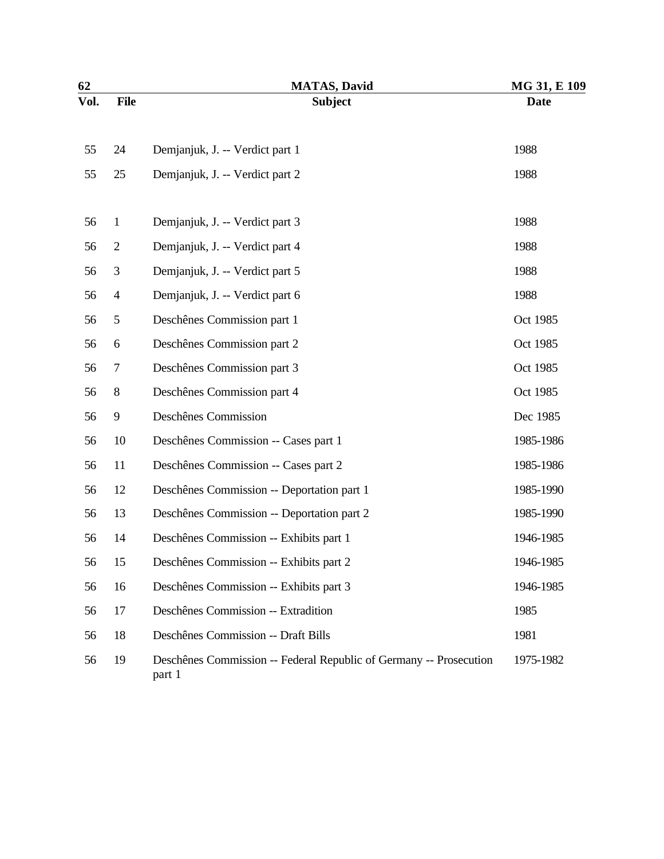| 62   |                          | <b>MATAS, David</b>                                                          | MG 31, E 109 |
|------|--------------------------|------------------------------------------------------------------------------|--------------|
| Vol. | <b>File</b>              | <b>Subject</b>                                                               | <b>Date</b>  |
|      |                          |                                                                              |              |
| 55   | 24                       | Demjanjuk, J. -- Verdict part 1                                              | 1988         |
| 55   | 25                       | Demjanjuk, J. -- Verdict part 2                                              | 1988         |
|      |                          |                                                                              |              |
| 56   | $\mathbf{1}$             | Demjanjuk, J. -- Verdict part 3                                              | 1988         |
| 56   | $\overline{2}$           | Demjanjuk, J. -- Verdict part 4                                              | 1988         |
| 56   | $\mathfrak{Z}$           | Demjanjuk, J. -- Verdict part 5                                              | 1988         |
| 56   | $\overline{\mathcal{A}}$ | Demjanjuk, J. -- Verdict part 6                                              | 1988         |
| 56   | 5                        | Deschênes Commission part 1                                                  | Oct 1985     |
| 56   | 6                        | Deschênes Commission part 2                                                  | Oct 1985     |
| 56   | $\tau$                   | Deschênes Commission part 3                                                  | Oct 1985     |
| 56   | 8                        | Deschênes Commission part 4                                                  | Oct 1985     |
| 56   | 9                        | Deschênes Commission                                                         | Dec 1985     |
| 56   | 10                       | Deschênes Commission -- Cases part 1                                         | 1985-1986    |
| 56   | 11                       | Deschênes Commission -- Cases part 2                                         | 1985-1986    |
| 56   | 12                       | Deschênes Commission -- Deportation part 1                                   | 1985-1990    |
| 56   | 13                       | Deschênes Commission -- Deportation part 2                                   | 1985-1990    |
| 56   | 14                       | Deschênes Commission -- Exhibits part 1                                      | 1946-1985    |
| 56   | 15                       | Deschênes Commission -- Exhibits part 2                                      | 1946-1985    |
| 56   | 16                       | Deschênes Commission -- Exhibits part 3                                      | 1946-1985    |
| 56   | 17                       | Deschênes Commission -- Extradition                                          | 1985         |
| 56   | 18                       | Deschênes Commission -- Draft Bills                                          | 1981         |
| 56   | 19                       | Deschênes Commission -- Federal Republic of Germany -- Prosecution<br>part 1 | 1975-1982    |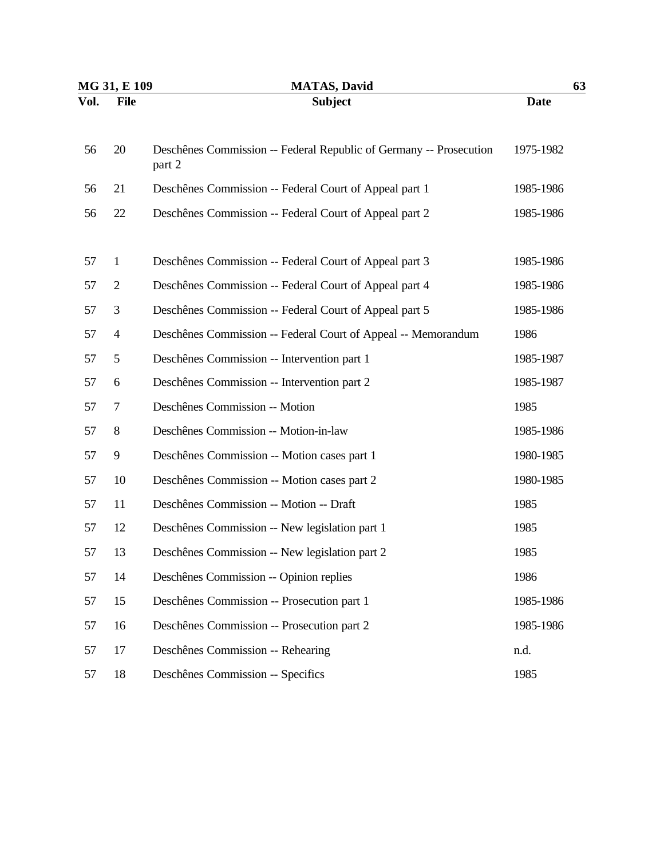|                | <b>MATAS, David</b>                                                          | 63           |  |
|----------------|------------------------------------------------------------------------------|--------------|--|
| <b>File</b>    | <b>Subject</b>                                                               | <b>Date</b>  |  |
| 20             | Deschênes Commission -- Federal Republic of Germany -- Prosecution<br>part 2 | 1975-1982    |  |
| 21             | Deschênes Commission -- Federal Court of Appeal part 1                       | 1985-1986    |  |
| 22             | Deschênes Commission -- Federal Court of Appeal part 2                       | 1985-1986    |  |
| $\mathbf{1}$   | Deschênes Commission -- Federal Court of Appeal part 3                       | 1985-1986    |  |
| $\overline{2}$ | Deschênes Commission -- Federal Court of Appeal part 4                       | 1985-1986    |  |
| $\mathfrak{Z}$ | Deschênes Commission -- Federal Court of Appeal part 5                       | 1985-1986    |  |
| 4              | Deschênes Commission -- Federal Court of Appeal -- Memorandum                | 1986         |  |
| 5              | Deschênes Commission -- Intervention part 1                                  | 1985-1987    |  |
| 6              | Deschênes Commission -- Intervention part 2                                  | 1985-1987    |  |
| 7              | Deschênes Commission -- Motion                                               | 1985         |  |
| 8              | Deschênes Commission -- Motion-in-law                                        | 1985-1986    |  |
| 9              | Deschênes Commission -- Motion cases part 1                                  | 1980-1985    |  |
| 10             | Deschênes Commission -- Motion cases part 2                                  | 1980-1985    |  |
| 11             | Deschênes Commission -- Motion -- Draft                                      | 1985         |  |
| 12             | Deschênes Commission -- New legislation part 1                               | 1985         |  |
| 13             | Deschênes Commission -- New legislation part 2                               | 1985         |  |
| 14             | Deschênes Commission -- Opinion replies                                      | 1986         |  |
| 15             | Deschênes Commission -- Prosecution part 1                                   | 1985-1986    |  |
| 16             | Deschênes Commission -- Prosecution part 2                                   | 1985-1986    |  |
| 17             | Deschênes Commission -- Rehearing                                            | n.d.         |  |
| 18             | Deschênes Commission -- Specifics                                            | 1985         |  |
|                |                                                                              | MG 31, E 109 |  |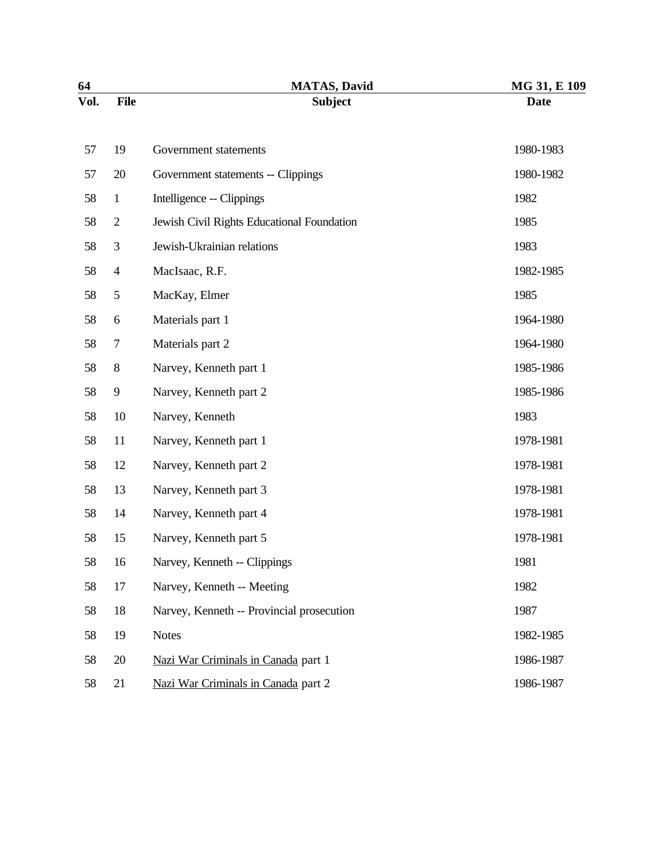| 64   |              | <b>MATAS, David</b>                        | MG 31, E 109 |
|------|--------------|--------------------------------------------|--------------|
| Vol. | <b>File</b>  | <b>Subject</b>                             | <b>Date</b>  |
| 57   | 19           | Government statements                      | 1980-1983    |
| 57   | 20           | Government statements -- Clippings         | 1980-1982    |
| 58   | $\mathbf{1}$ | Intelligence -- Clippings                  | 1982         |
| 58   | $\mathbf{2}$ | Jewish Civil Rights Educational Foundation | 1985         |
| 58   | 3            | Jewish-Ukrainian relations                 | 1983         |
| 58   | 4            | MacIsaac, R.F.                             | 1982-1985    |
| 58   | 5            | MacKay, Elmer                              | 1985         |
| 58   | 6            | Materials part 1                           | 1964-1980    |
| 58   | 7            | Materials part 2                           | 1964-1980    |
| 58   | $8\,$        | Narvey, Kenneth part 1                     | 1985-1986    |
| 58   | 9            | Narvey, Kenneth part 2                     | 1985-1986    |
| 58   | 10           | Narvey, Kenneth                            | 1983         |
| 58   | 11           | Narvey, Kenneth part 1                     | 1978-1981    |
| 58   | 12           | Narvey, Kenneth part 2                     | 1978-1981    |
| 58   | 13           | Narvey, Kenneth part 3                     | 1978-1981    |
| 58   | 14           | Narvey, Kenneth part 4                     | 1978-1981    |
| 58   | 15           | Narvey, Kenneth part 5                     | 1978-1981    |
| 58   | 16           | Narvey, Kenneth -- Clippings               | 1981         |
| 58   | 17           | Narvey, Kenneth -- Meeting                 | 1982         |
| 58   | 18           | Narvey, Kenneth -- Provincial prosecution  | 1987         |
| 58   | 19           | <b>Notes</b>                               | 1982-1985    |
| 58   | 20           | Nazi War Criminals in Canada part 1        | 1986-1987    |
| 58   | 21           | Nazi War Criminals in Canada part 2        | 1986-1987    |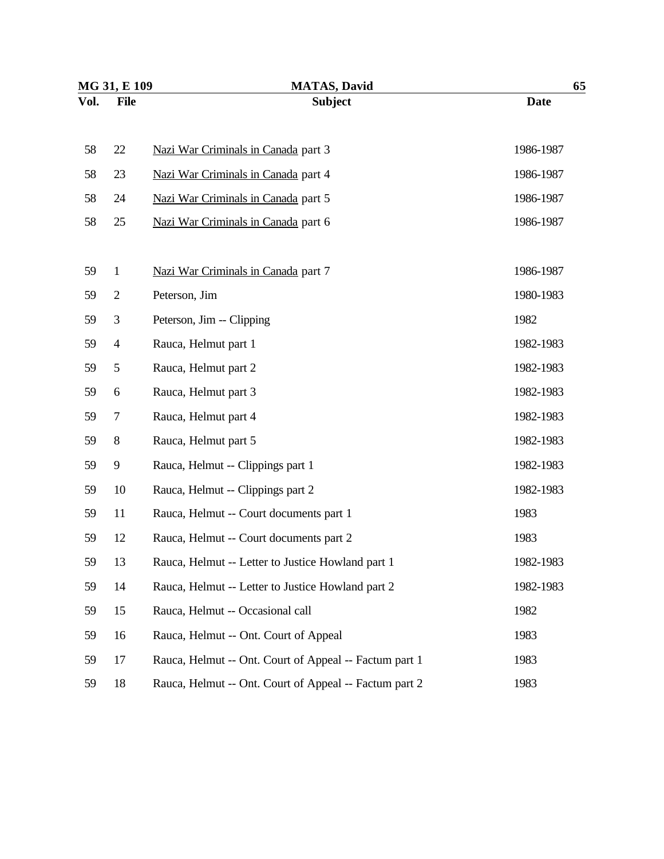| MG 31, E 109 |                | <b>MATAS, David</b>                                    | 65          |  |
|--------------|----------------|--------------------------------------------------------|-------------|--|
| Vol.         | <b>File</b>    | <b>Subject</b>                                         | <b>Date</b> |  |
| 58           | 22             | Nazi War Criminals in Canada part 3                    | 1986-1987   |  |
| 58           | 23             | Nazi War Criminals in Canada part 4                    | 1986-1987   |  |
| 58           | 24             | Nazi War Criminals in Canada part 5                    | 1986-1987   |  |
| 58           | 25             | Nazi War Criminals in Canada part 6                    | 1986-1987   |  |
| 59           | $\mathbf{1}$   | Nazi War Criminals in Canada part 7                    | 1986-1987   |  |
| 59           | $\mathbf{2}$   | Peterson, Jim                                          | 1980-1983   |  |
| 59           | 3              | Peterson, Jim -- Clipping                              | 1982        |  |
| 59           | $\overline{4}$ | Rauca, Helmut part 1                                   | 1982-1983   |  |
| 59           | 5              | Rauca, Helmut part 2                                   | 1982-1983   |  |
| 59           | 6              | Rauca, Helmut part 3                                   | 1982-1983   |  |
| 59           | 7              | Rauca, Helmut part 4                                   | 1982-1983   |  |
| 59           | $8\,$          | Rauca, Helmut part 5                                   | 1982-1983   |  |
| 59           | 9              | Rauca, Helmut -- Clippings part 1                      | 1982-1983   |  |
| 59           | 10             | Rauca, Helmut -- Clippings part 2                      | 1982-1983   |  |
| 59           | 11             | Rauca, Helmut -- Court documents part 1                | 1983        |  |
| 59           | 12             | Rauca, Helmut -- Court documents part 2                | 1983        |  |
| 59           | 13             | Rauca, Helmut -- Letter to Justice Howland part 1      | 1982-1983   |  |
| 59           | 14             | Rauca, Helmut -- Letter to Justice Howland part 2      | 1982-1983   |  |
| 59           | 15             | Rauca, Helmut -- Occasional call                       | 1982        |  |
| 59           | 16             | Rauca, Helmut -- Ont. Court of Appeal                  | 1983        |  |
| 59           | 17             | Rauca, Helmut -- Ont. Court of Appeal -- Factum part 1 | 1983        |  |
| 59           | 18             | Rauca, Helmut -- Ont. Court of Appeal -- Factum part 2 | 1983        |  |
|              |                |                                                        |             |  |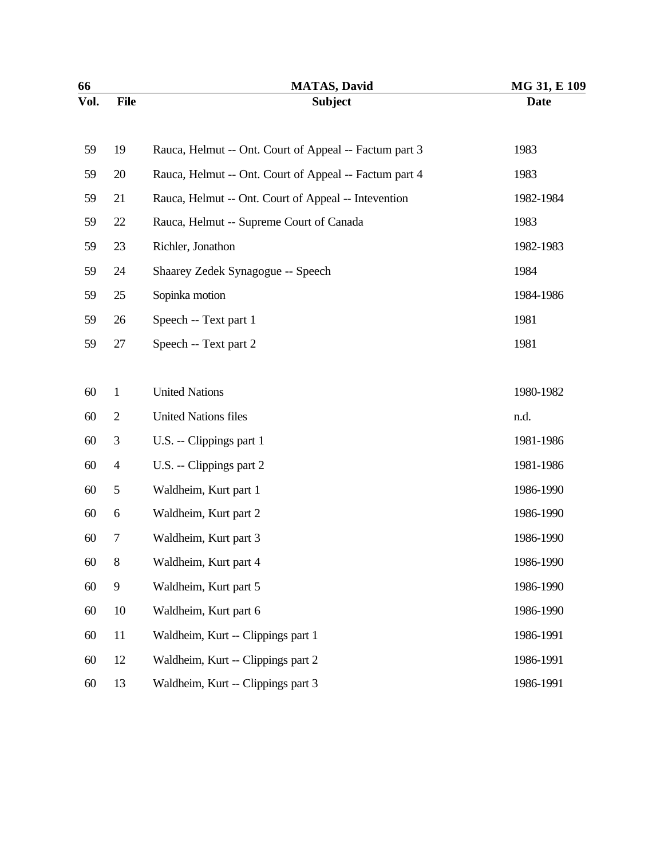| 66   |                  | <b>MATAS, David</b>                                    | MG 31, E 109 |
|------|------------------|--------------------------------------------------------|--------------|
| Vol. | <b>File</b>      | <b>Subject</b>                                         | <b>Date</b>  |
| 59   | 19               | Rauca, Helmut -- Ont. Court of Appeal -- Factum part 3 | 1983         |
| 59   | 20               | Rauca, Helmut -- Ont. Court of Appeal -- Factum part 4 | 1983         |
| 59   | 21               | Rauca, Helmut -- Ont. Court of Appeal -- Intevention   | 1982-1984    |
| 59   | 22               | Rauca, Helmut -- Supreme Court of Canada               | 1983         |
| 59   | 23               | Richler, Jonathon                                      | 1982-1983    |
| 59   | 24               | Shaarey Zedek Synagogue -- Speech                      | 1984         |
| 59   | 25               | Sopinka motion                                         | 1984-1986    |
| 59   | 26               | Speech -- Text part 1                                  | 1981         |
| 59   | 27               | Speech -- Text part 2                                  | 1981         |
|      |                  |                                                        |              |
| 60   | $\mathbf{1}$     | <b>United Nations</b>                                  | 1980-1982    |
| 60   | $\mathbf{2}$     | <b>United Nations files</b>                            | n.d.         |
| 60   | 3                | U.S. -- Clippings part 1                               | 1981-1986    |
| 60   | 4                | U.S. -- Clippings part 2                               | 1981-1986    |
| 60   | 5                | Waldheim, Kurt part 1                                  | 1986-1990    |
| 60   | 6                | Waldheim, Kurt part 2                                  | 1986-1990    |
| 60   | $\boldsymbol{7}$ | Waldheim, Kurt part 3                                  | 1986-1990    |
| 60   | 8                | Waldheim, Kurt part 4                                  | 1986-1990    |
| 60   | 9                | Waldheim, Kurt part 5                                  | 1986-1990    |
| 60   | 10               | Waldheim, Kurt part 6                                  | 1986-1990    |
| 60   | 11               | Waldheim, Kurt -- Clippings part 1                     | 1986-1991    |
| 60   | 12               | Waldheim, Kurt -- Clippings part 2                     | 1986-1991    |
| 60   | 13               | Waldheim, Kurt -- Clippings part 3                     | 1986-1991    |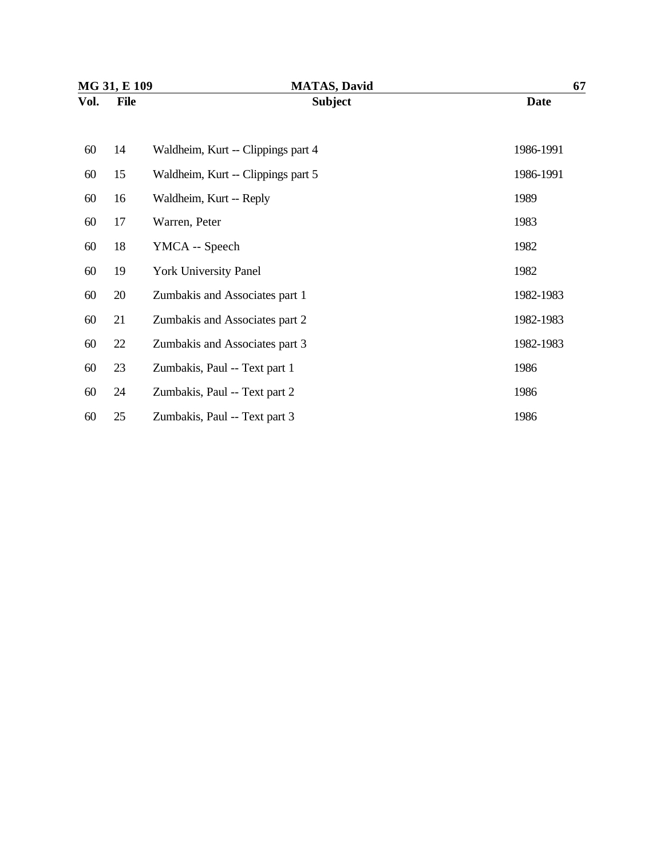| MG 31, E 109 |             | <b>MATAS, David</b>                | 67          |  |
|--------------|-------------|------------------------------------|-------------|--|
| Vol.         | <b>File</b> | <b>Subject</b>                     | <b>Date</b> |  |
|              |             |                                    |             |  |
| 60           | 14          | Waldheim, Kurt -- Clippings part 4 | 1986-1991   |  |
| 60           | 15          | Waldheim, Kurt -- Clippings part 5 | 1986-1991   |  |
| 60           | 16          | Waldheim, Kurt -- Reply            | 1989        |  |
| 60           | 17          | Warren, Peter                      | 1983        |  |
| 60           | 18          | YMCA -- Speech                     | 1982        |  |
| 60           | 19          | <b>York University Panel</b>       | 1982        |  |
| 60           | 20          | Zumbakis and Associates part 1     | 1982-1983   |  |
| 60           | 21          | Zumbakis and Associates part 2     | 1982-1983   |  |
| 60           | 22          | Zumbakis and Associates part 3     | 1982-1983   |  |
| 60           | 23          | Zumbakis, Paul -- Text part 1      | 1986        |  |
| 60           | 24          | Zumbakis, Paul -- Text part 2      | 1986        |  |
| 60           | 25          | Zumbakis, Paul -- Text part 3      | 1986        |  |
|              |             |                                    |             |  |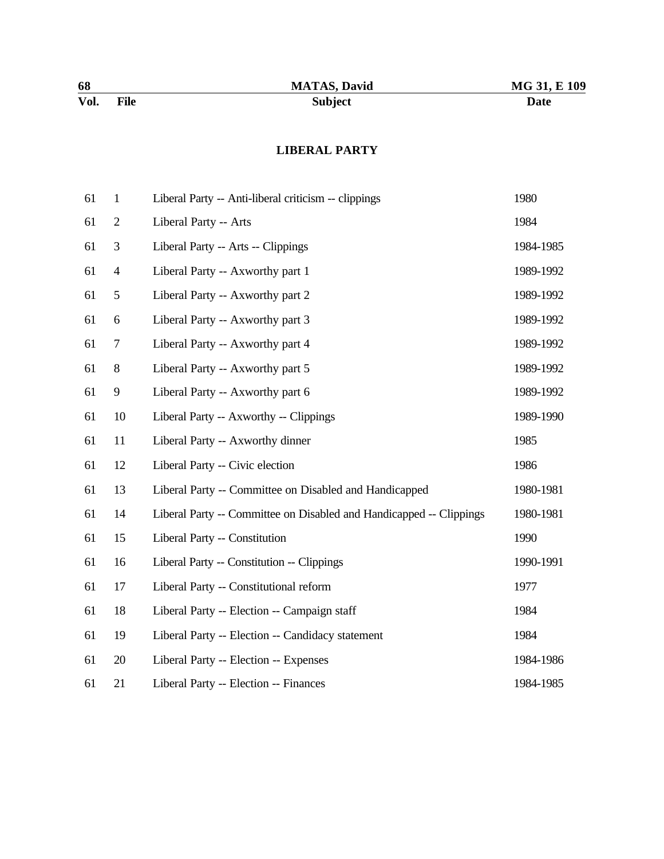#### **LIBERAL PARTY**

| 61 | $\mathbf{1}$   | Liberal Party -- Anti-liberal criticism -- clippings                | 1980      |
|----|----------------|---------------------------------------------------------------------|-----------|
| 61 | $\overline{2}$ | Liberal Party -- Arts                                               | 1984      |
| 61 | 3              | Liberal Party -- Arts -- Clippings                                  | 1984-1985 |
| 61 | $\overline{4}$ | Liberal Party -- Axworthy part 1                                    | 1989-1992 |
| 61 | 5              | Liberal Party -- Axworthy part 2                                    | 1989-1992 |
| 61 | 6              | Liberal Party -- Axworthy part 3                                    | 1989-1992 |
| 61 | 7              | Liberal Party -- Axworthy part 4                                    | 1989-1992 |
| 61 | $8\,$          | Liberal Party -- Axworthy part 5                                    | 1989-1992 |
| 61 | 9              | Liberal Party -- Axworthy part 6                                    | 1989-1992 |
| 61 | 10             | Liberal Party -- Axworthy -- Clippings                              | 1989-1990 |
| 61 | 11             | Liberal Party -- Axworthy dinner                                    | 1985      |
| 61 | 12             | Liberal Party -- Civic election                                     | 1986      |
| 61 | 13             | Liberal Party -- Committee on Disabled and Handicapped              | 1980-1981 |
| 61 | 14             | Liberal Party -- Committee on Disabled and Handicapped -- Clippings | 1980-1981 |
| 61 | 15             | Liberal Party -- Constitution                                       | 1990      |
| 61 | 16             | Liberal Party -- Constitution -- Clippings                          | 1990-1991 |
| 61 | 17             | Liberal Party -- Constitutional reform                              | 1977      |
| 61 | 18             | Liberal Party -- Election -- Campaign staff                         | 1984      |
| 61 | 19             | Liberal Party -- Election -- Candidacy statement                    | 1984      |
| 61 | 20             | Liberal Party -- Election -- Expenses                               | 1984-1986 |
| 61 | 21             | Liberal Party -- Election -- Finances                               | 1984-1985 |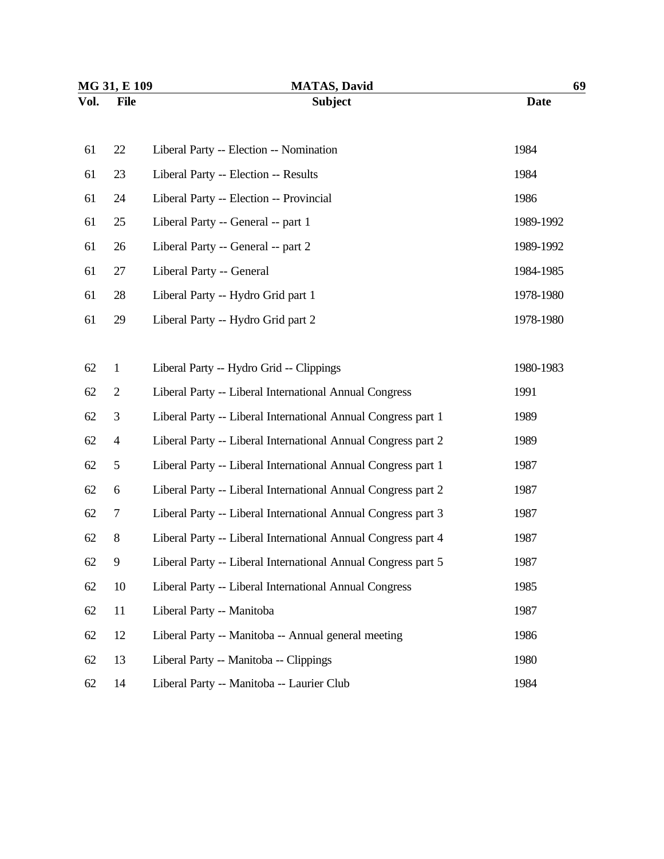| MG 31, E 109 |                | <b>MATAS, David</b>                                           | 69          |  |
|--------------|----------------|---------------------------------------------------------------|-------------|--|
| Vol.         | <b>File</b>    | <b>Subject</b>                                                | <b>Date</b> |  |
|              |                |                                                               |             |  |
| 61           | 22             | Liberal Party -- Election -- Nomination                       | 1984        |  |
| 61           | 23             | Liberal Party -- Election -- Results                          | 1984        |  |
| 61           | 24             | Liberal Party -- Election -- Provincial                       | 1986        |  |
| 61           | 25             | Liberal Party -- General -- part 1                            | 1989-1992   |  |
| 61           | 26             | Liberal Party -- General -- part 2                            | 1989-1992   |  |
| 61           | 27             | Liberal Party -- General                                      | 1984-1985   |  |
| 61           | 28             | Liberal Party -- Hydro Grid part 1                            | 1978-1980   |  |
| 61           | 29             | Liberal Party -- Hydro Grid part 2                            | 1978-1980   |  |
|              |                |                                                               |             |  |
| 62           | $\mathbf{1}$   | Liberal Party -- Hydro Grid -- Clippings                      | 1980-1983   |  |
| 62           | $\overline{2}$ | Liberal Party -- Liberal International Annual Congress        | 1991        |  |
| 62           | 3              | Liberal Party -- Liberal International Annual Congress part 1 | 1989        |  |
| 62           | $\overline{4}$ | Liberal Party -- Liberal International Annual Congress part 2 | 1989        |  |
| 62           | 5              | Liberal Party -- Liberal International Annual Congress part 1 | 1987        |  |
| 62           | 6              | Liberal Party -- Liberal International Annual Congress part 2 | 1987        |  |
| 62           | 7              | Liberal Party -- Liberal International Annual Congress part 3 | 1987        |  |
| 62           | $8\,$          | Liberal Party -- Liberal International Annual Congress part 4 | 1987        |  |
| 62           | 9              | Liberal Party -- Liberal International Annual Congress part 5 | 1987        |  |
| 62           | 10             | Liberal Party -- Liberal International Annual Congress        | 1985        |  |
| 62           | 11             | Liberal Party -- Manitoba                                     | 1987        |  |
| 62           | 12             | Liberal Party -- Manitoba -- Annual general meeting           | 1986        |  |
| 62           | 13             | Liberal Party -- Manitoba -- Clippings                        | 1980        |  |
| 62           | 14             | Liberal Party -- Manitoba -- Laurier Club                     | 1984        |  |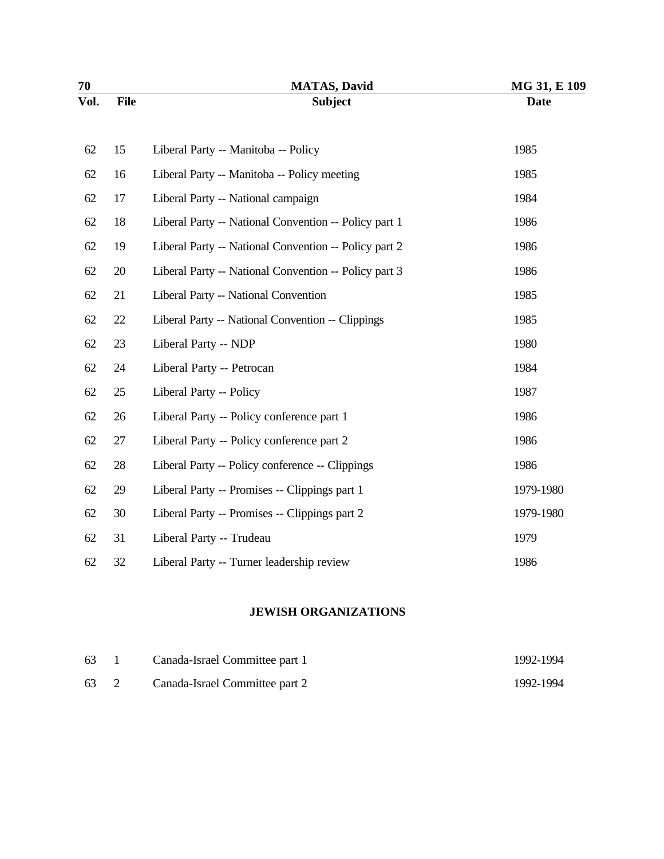| 70   |             | <b>MATAS, David</b>                                   | MG 31, E 109 |
|------|-------------|-------------------------------------------------------|--------------|
| Vol. | <b>File</b> | <b>Subject</b>                                        | <b>Date</b>  |
| 62   | 15          | Liberal Party -- Manitoba -- Policy                   | 1985         |
| 62   | 16          | Liberal Party -- Manitoba -- Policy meeting           | 1985         |
| 62   | 17          | Liberal Party -- National campaign                    | 1984         |
| 62   | 18          | Liberal Party -- National Convention -- Policy part 1 | 1986         |
| 62   | 19          | Liberal Party -- National Convention -- Policy part 2 | 1986         |
| 62   | 20          | Liberal Party -- National Convention -- Policy part 3 | 1986         |
| 62   | 21          | Liberal Party -- National Convention                  | 1985         |
| 62   | 22          | Liberal Party -- National Convention -- Clippings     | 1985         |
| 62   | 23          | Liberal Party -- NDP                                  | 1980         |
| 62   | 24          | Liberal Party -- Petrocan                             | 1984         |
| 62   | 25          | Liberal Party -- Policy                               | 1987         |
| 62   | 26          | Liberal Party -- Policy conference part 1             | 1986         |
| 62   | 27          | Liberal Party -- Policy conference part 2             | 1986         |
| 62   | 28          | Liberal Party -- Policy conference -- Clippings       | 1986         |
| 62   | 29          | Liberal Party -- Promises -- Clippings part 1         | 1979-1980    |
| 62   | 30          | Liberal Party -- Promises -- Clippings part 2         | 1979-1980    |
| 62   | 31          | Liberal Party -- Trudeau                              | 1979         |
| 62   | 32          | Liberal Party -- Turner leadership review             | 1986         |

## **JEWISH ORGANIZATIONS**

| 63 1 | Canada-Israel Committee part 1      | 1992-1994 |
|------|-------------------------------------|-----------|
|      | 63 2 Canada-Israel Committee part 2 | 1992-1994 |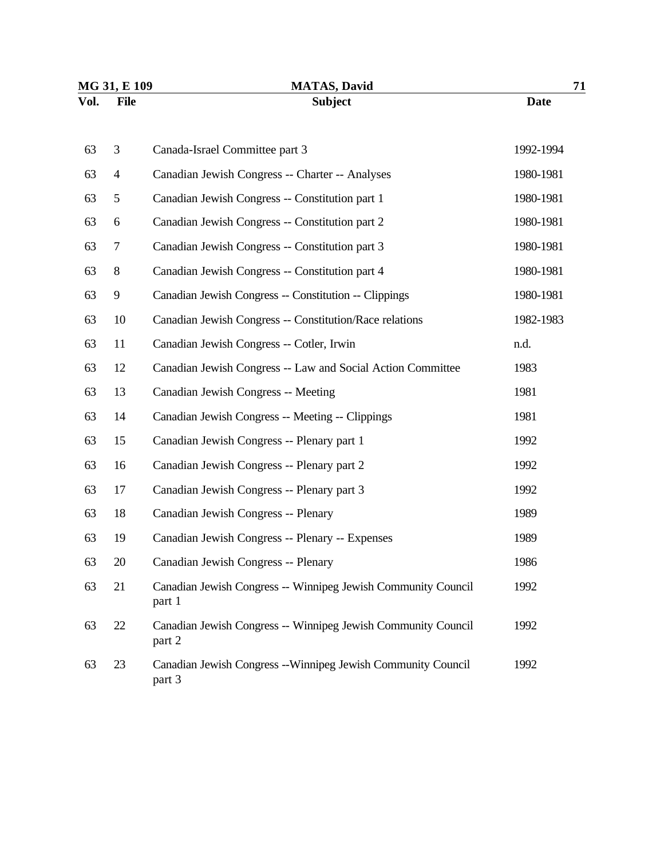| MG 31, E 109 |                | <b>MATAS, David</b>                                                     | 71          |  |
|--------------|----------------|-------------------------------------------------------------------------|-------------|--|
| Vol.         | <b>File</b>    | <b>Subject</b>                                                          | <b>Date</b> |  |
| 63           | 3              | Canada-Israel Committee part 3                                          | 1992-1994   |  |
| 63           | $\overline{4}$ | Canadian Jewish Congress -- Charter -- Analyses                         | 1980-1981   |  |
| 63           | 5              | Canadian Jewish Congress -- Constitution part 1                         | 1980-1981   |  |
| 63           | 6              | Canadian Jewish Congress -- Constitution part 2                         | 1980-1981   |  |
| 63           | 7              | Canadian Jewish Congress -- Constitution part 3                         | 1980-1981   |  |
| 63           | 8              | Canadian Jewish Congress -- Constitution part 4                         | 1980-1981   |  |
| 63           | 9              | Canadian Jewish Congress -- Constitution -- Clippings                   | 1980-1981   |  |
| 63           | 10             | Canadian Jewish Congress -- Constitution/Race relations                 | 1982-1983   |  |
| 63           | 11             | Canadian Jewish Congress -- Cotler, Irwin                               | n.d.        |  |
| 63           | 12             | Canadian Jewish Congress -- Law and Social Action Committee             | 1983        |  |
| 63           | 13             | Canadian Jewish Congress -- Meeting                                     | 1981        |  |
| 63           | 14             | Canadian Jewish Congress -- Meeting -- Clippings                        | 1981        |  |
| 63           | 15             | Canadian Jewish Congress -- Plenary part 1                              | 1992        |  |
| 63           | 16             | Canadian Jewish Congress -- Plenary part 2                              | 1992        |  |
| 63           | 17             | Canadian Jewish Congress -- Plenary part 3                              | 1992        |  |
| 63           | 18             | Canadian Jewish Congress -- Plenary                                     | 1989        |  |
| 63           | 19             | Canadian Jewish Congress -- Plenary -- Expenses                         | 1989        |  |
| 63           | 20             | Canadian Jewish Congress -- Plenary                                     | 1986        |  |
| 63           | 21             | Canadian Jewish Congress -- Winnipeg Jewish Community Council<br>part 1 | 1992        |  |
| 63           | 22             | Canadian Jewish Congress -- Winnipeg Jewish Community Council<br>part 2 | 1992        |  |
| 63           | 23             | Canadian Jewish Congress --Winnipeg Jewish Community Council<br>part 3  | 1992        |  |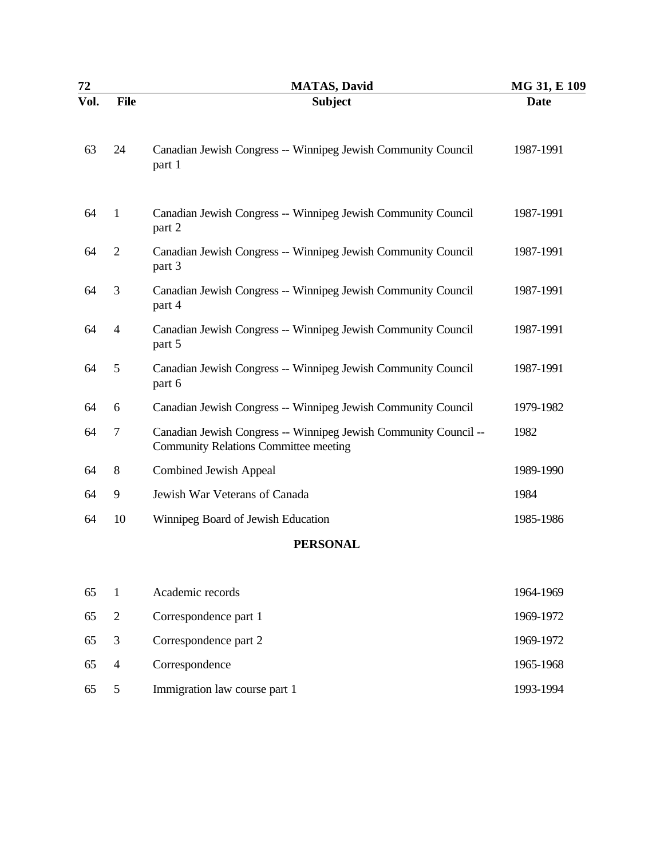| 72   |                | <b>MATAS, David</b>                                                                                       | MG 31, E 109 |
|------|----------------|-----------------------------------------------------------------------------------------------------------|--------------|
| Vol. | <b>File</b>    | <b>Subject</b>                                                                                            | <b>Date</b>  |
| 63   | 24             | Canadian Jewish Congress -- Winnipeg Jewish Community Council<br>part 1                                   | 1987-1991    |
| 64   | $\mathbf{1}$   | Canadian Jewish Congress -- Winnipeg Jewish Community Council<br>part 2                                   | 1987-1991    |
| 64   | $\overline{2}$ | Canadian Jewish Congress -- Winnipeg Jewish Community Council<br>part 3                                   | 1987-1991    |
| 64   | 3              | Canadian Jewish Congress -- Winnipeg Jewish Community Council<br>part 4                                   | 1987-1991    |
| 64   | $\overline{4}$ | Canadian Jewish Congress -- Winnipeg Jewish Community Council<br>part 5                                   | 1987-1991    |
| 64   | 5              | Canadian Jewish Congress -- Winnipeg Jewish Community Council<br>part 6                                   | 1987-1991    |
| 64   | 6              | Canadian Jewish Congress -- Winnipeg Jewish Community Council                                             | 1979-1982    |
| 64   | 7              | Canadian Jewish Congress -- Winnipeg Jewish Community Council --<br>Community Relations Committee meeting | 1982         |
| 64   | 8              | Combined Jewish Appeal                                                                                    | 1989-1990    |
| 64   | 9              | Jewish War Veterans of Canada                                                                             | 1984         |
| 64   | 10             | Winnipeg Board of Jewish Education                                                                        | 1985-1986    |
|      |                | <b>PERSONAL</b>                                                                                           |              |
| 65   | $\mathbf{1}$   | Academic records                                                                                          | 1964-1969    |
| 65   | $\overline{2}$ | Correspondence part 1                                                                                     | 1969-1972    |
| 65   | 3              | Correspondence part 2                                                                                     | 1969-1972    |
| 65   | $\overline{4}$ | Correspondence                                                                                            | 1965-1968    |

65 5 Immigration law course part 1 1993-1994